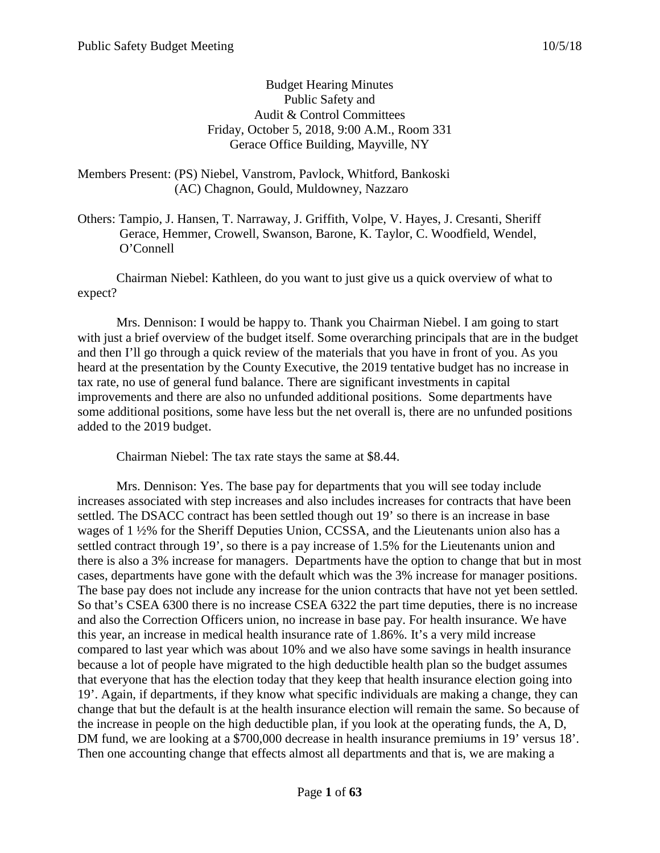# Budget Hearing Minutes Public Safety and Audit & Control Committees Friday, October 5, 2018, 9:00 A.M., Room 331 Gerace Office Building, Mayville, NY

# Members Present: (PS) Niebel, Vanstrom, Pavlock, Whitford, Bankoski (AC) Chagnon, Gould, Muldowney, Nazzaro

Others: Tampio, J. Hansen, T. Narraway, J. Griffith, Volpe, V. Hayes, J. Cresanti, Sheriff Gerace, Hemmer, Crowell, Swanson, Barone, K. Taylor, C. Woodfield, Wendel, O'Connell

Chairman Niebel: Kathleen, do you want to just give us a quick overview of what to expect?

Mrs. Dennison: I would be happy to. Thank you Chairman Niebel. I am going to start with just a brief overview of the budget itself. Some overarching principals that are in the budget and then I'll go through a quick review of the materials that you have in front of you. As you heard at the presentation by the County Executive, the 2019 tentative budget has no increase in tax rate, no use of general fund balance. There are significant investments in capital improvements and there are also no unfunded additional positions. Some departments have some additional positions, some have less but the net overall is, there are no unfunded positions added to the 2019 budget.

Chairman Niebel: The tax rate stays the same at \$8.44.

Mrs. Dennison: Yes. The base pay for departments that you will see today include increases associated with step increases and also includes increases for contracts that have been settled. The DSACC contract has been settled though out 19' so there is an increase in base wages of 1 ½% for the Sheriff Deputies Union, CCSSA, and the Lieutenants union also has a settled contract through 19', so there is a pay increase of 1.5% for the Lieutenants union and there is also a 3% increase for managers. Departments have the option to change that but in most cases, departments have gone with the default which was the 3% increase for manager positions. The base pay does not include any increase for the union contracts that have not yet been settled. So that's CSEA 6300 there is no increase CSEA 6322 the part time deputies, there is no increase and also the Correction Officers union, no increase in base pay. For health insurance. We have this year, an increase in medical health insurance rate of 1.86%. It's a very mild increase compared to last year which was about 10% and we also have some savings in health insurance because a lot of people have migrated to the high deductible health plan so the budget assumes that everyone that has the election today that they keep that health insurance election going into 19'. Again, if departments, if they know what specific individuals are making a change, they can change that but the default is at the health insurance election will remain the same. So because of the increase in people on the high deductible plan, if you look at the operating funds, the A, D, DM fund, we are looking at a \$700,000 decrease in health insurance premiums in 19' versus 18'. Then one accounting change that effects almost all departments and that is, we are making a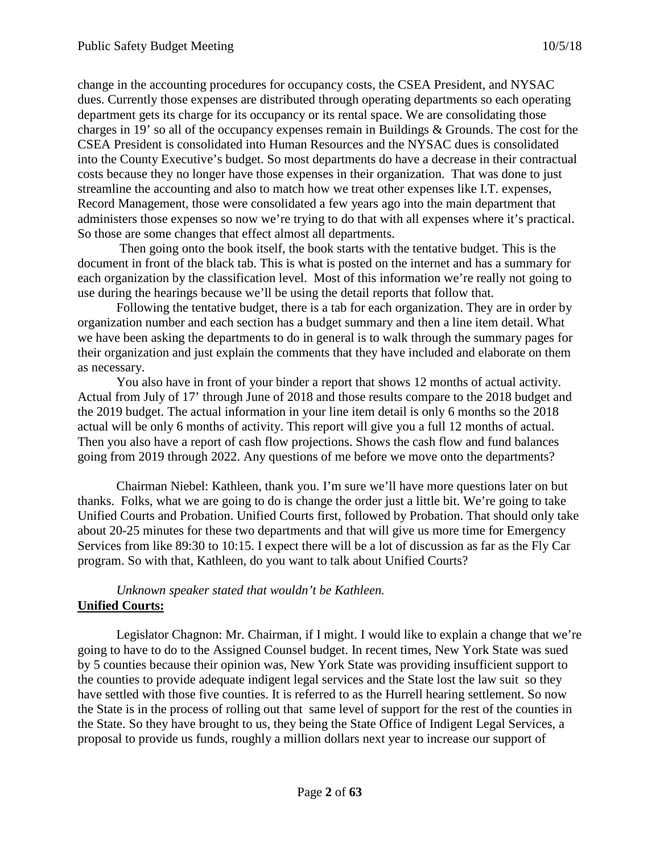change in the accounting procedures for occupancy costs, the CSEA President, and NYSAC dues. Currently those expenses are distributed through operating departments so each operating department gets its charge for its occupancy or its rental space. We are consolidating those charges in 19' so all of the occupancy expenses remain in Buildings & Grounds. The cost for the CSEA President is consolidated into Human Resources and the NYSAC dues is consolidated into the County Executive's budget. So most departments do have a decrease in their contractual costs because they no longer have those expenses in their organization. That was done to just streamline the accounting and also to match how we treat other expenses like I.T. expenses, Record Management, those were consolidated a few years ago into the main department that administers those expenses so now we're trying to do that with all expenses where it's practical. So those are some changes that effect almost all departments.

Then going onto the book itself, the book starts with the tentative budget. This is the document in front of the black tab. This is what is posted on the internet and has a summary for each organization by the classification level. Most of this information we're really not going to use during the hearings because we'll be using the detail reports that follow that.

Following the tentative budget, there is a tab for each organization. They are in order by organization number and each section has a budget summary and then a line item detail. What we have been asking the departments to do in general is to walk through the summary pages for their organization and just explain the comments that they have included and elaborate on them as necessary.

You also have in front of your binder a report that shows 12 months of actual activity. Actual from July of 17' through June of 2018 and those results compare to the 2018 budget and the 2019 budget. The actual information in your line item detail is only 6 months so the 2018 actual will be only 6 months of activity. This report will give you a full 12 months of actual. Then you also have a report of cash flow projections. Shows the cash flow and fund balances going from 2019 through 2022. Any questions of me before we move onto the departments?

Chairman Niebel: Kathleen, thank you. I'm sure we'll have more questions later on but thanks. Folks, what we are going to do is change the order just a little bit. We're going to take Unified Courts and Probation. Unified Courts first, followed by Probation. That should only take about 20-25 minutes for these two departments and that will give us more time for Emergency Services from like 89:30 to 10:15. I expect there will be a lot of discussion as far as the Fly Car program. So with that, Kathleen, do you want to talk about Unified Courts?

# *Unknown speaker stated that wouldn't be Kathleen.* **Unified Courts:**

Legislator Chagnon: Mr. Chairman, if I might. I would like to explain a change that we're going to have to do to the Assigned Counsel budget. In recent times, New York State was sued by 5 counties because their opinion was, New York State was providing insufficient support to the counties to provide adequate indigent legal services and the State lost the law suit so they have settled with those five counties. It is referred to as the Hurrell hearing settlement. So now the State is in the process of rolling out that same level of support for the rest of the counties in the State. So they have brought to us, they being the State Office of Indigent Legal Services, a proposal to provide us funds, roughly a million dollars next year to increase our support of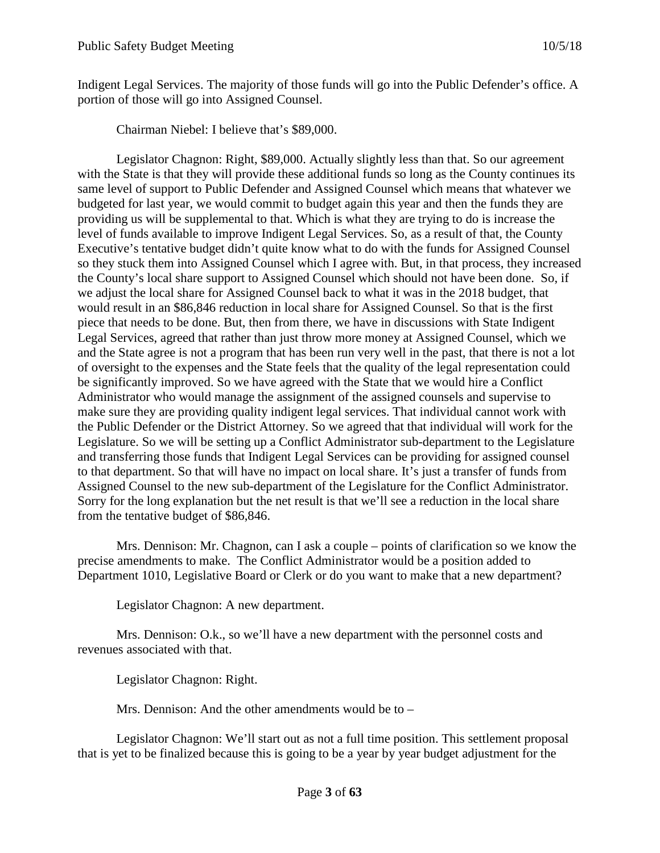Indigent Legal Services. The majority of those funds will go into the Public Defender's office. A portion of those will go into Assigned Counsel.

Chairman Niebel: I believe that's \$89,000.

Legislator Chagnon: Right, \$89,000. Actually slightly less than that. So our agreement with the State is that they will provide these additional funds so long as the County continues its same level of support to Public Defender and Assigned Counsel which means that whatever we budgeted for last year, we would commit to budget again this year and then the funds they are providing us will be supplemental to that. Which is what they are trying to do is increase the level of funds available to improve Indigent Legal Services. So, as a result of that, the County Executive's tentative budget didn't quite know what to do with the funds for Assigned Counsel so they stuck them into Assigned Counsel which I agree with. But, in that process, they increased the County's local share support to Assigned Counsel which should not have been done. So, if we adjust the local share for Assigned Counsel back to what it was in the 2018 budget, that would result in an \$86,846 reduction in local share for Assigned Counsel. So that is the first piece that needs to be done. But, then from there, we have in discussions with State Indigent Legal Services, agreed that rather than just throw more money at Assigned Counsel, which we and the State agree is not a program that has been run very well in the past, that there is not a lot of oversight to the expenses and the State feels that the quality of the legal representation could be significantly improved. So we have agreed with the State that we would hire a Conflict Administrator who would manage the assignment of the assigned counsels and supervise to make sure they are providing quality indigent legal services. That individual cannot work with the Public Defender or the District Attorney. So we agreed that that individual will work for the Legislature. So we will be setting up a Conflict Administrator sub-department to the Legislature and transferring those funds that Indigent Legal Services can be providing for assigned counsel to that department. So that will have no impact on local share. It's just a transfer of funds from Assigned Counsel to the new sub-department of the Legislature for the Conflict Administrator. Sorry for the long explanation but the net result is that we'll see a reduction in the local share from the tentative budget of \$86,846.

Mrs. Dennison: Mr. Chagnon, can I ask a couple – points of clarification so we know the precise amendments to make. The Conflict Administrator would be a position added to Department 1010, Legislative Board or Clerk or do you want to make that a new department?

Legislator Chagnon: A new department.

Mrs. Dennison: O.k., so we'll have a new department with the personnel costs and revenues associated with that.

Legislator Chagnon: Right.

Mrs. Dennison: And the other amendments would be to –

Legislator Chagnon: We'll start out as not a full time position. This settlement proposal that is yet to be finalized because this is going to be a year by year budget adjustment for the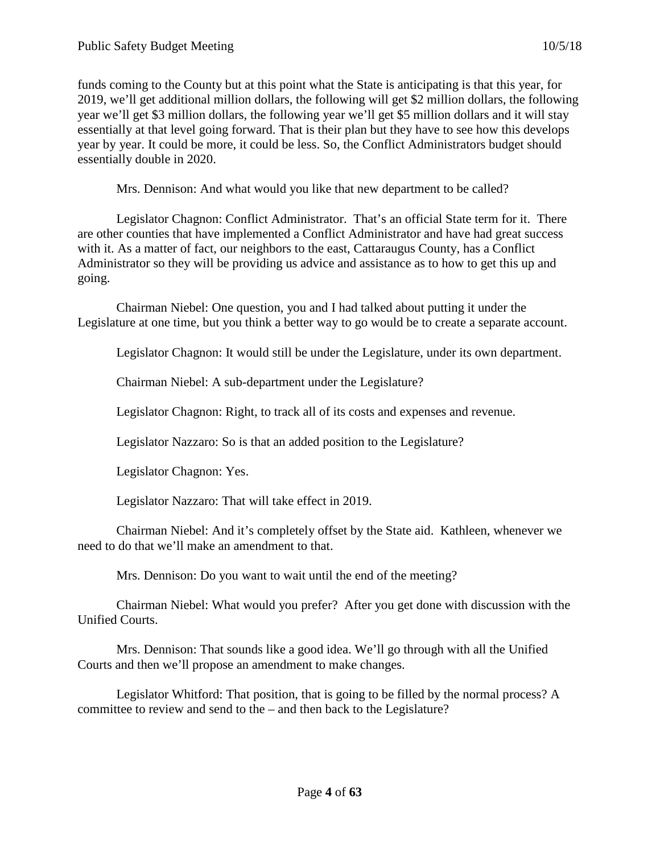funds coming to the County but at this point what the State is anticipating is that this year, for 2019, we'll get additional million dollars, the following will get \$2 million dollars, the following year we'll get \$3 million dollars, the following year we'll get \$5 million dollars and it will stay essentially at that level going forward. That is their plan but they have to see how this develops year by year. It could be more, it could be less. So, the Conflict Administrators budget should essentially double in 2020.

Mrs. Dennison: And what would you like that new department to be called?

Legislator Chagnon: Conflict Administrator. That's an official State term for it. There are other counties that have implemented a Conflict Administrator and have had great success with it. As a matter of fact, our neighbors to the east, Cattaraugus County, has a Conflict Administrator so they will be providing us advice and assistance as to how to get this up and going.

Chairman Niebel: One question, you and I had talked about putting it under the Legislature at one time, but you think a better way to go would be to create a separate account.

Legislator Chagnon: It would still be under the Legislature, under its own department.

Chairman Niebel: A sub-department under the Legislature?

Legislator Chagnon: Right, to track all of its costs and expenses and revenue.

Legislator Nazzaro: So is that an added position to the Legislature?

Legislator Chagnon: Yes.

Legislator Nazzaro: That will take effect in 2019.

Chairman Niebel: And it's completely offset by the State aid. Kathleen, whenever we need to do that we'll make an amendment to that.

Mrs. Dennison: Do you want to wait until the end of the meeting?

Chairman Niebel: What would you prefer? After you get done with discussion with the Unified Courts.

Mrs. Dennison: That sounds like a good idea. We'll go through with all the Unified Courts and then we'll propose an amendment to make changes.

Legislator Whitford: That position, that is going to be filled by the normal process? A committee to review and send to the – and then back to the Legislature?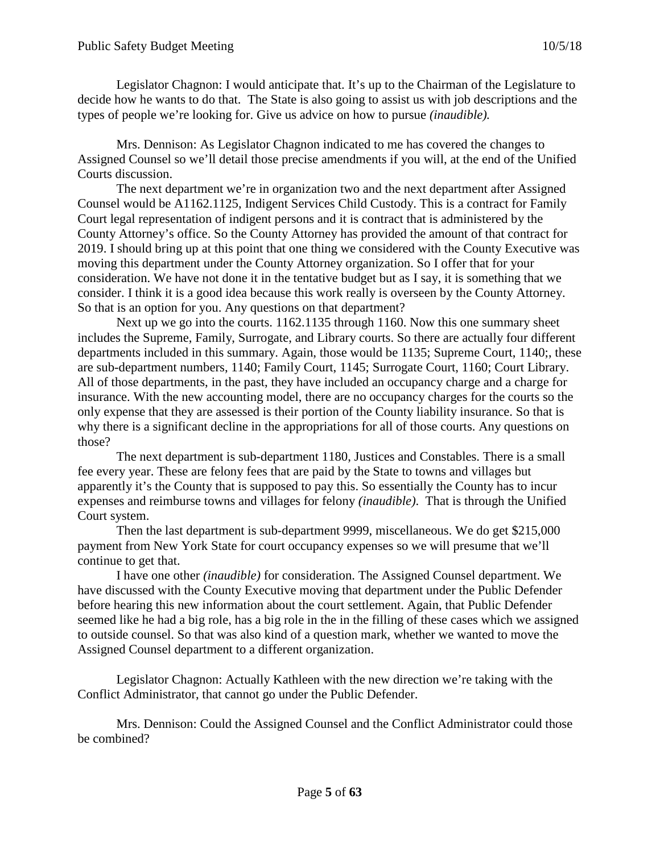Legislator Chagnon: I would anticipate that. It's up to the Chairman of the Legislature to decide how he wants to do that. The State is also going to assist us with job descriptions and the types of people we're looking for. Give us advice on how to pursue *(inaudible).*

Mrs. Dennison: As Legislator Chagnon indicated to me has covered the changes to Assigned Counsel so we'll detail those precise amendments if you will, at the end of the Unified Courts discussion.

The next department we're in organization two and the next department after Assigned Counsel would be A1162.1125, Indigent Services Child Custody. This is a contract for Family Court legal representation of indigent persons and it is contract that is administered by the County Attorney's office. So the County Attorney has provided the amount of that contract for 2019. I should bring up at this point that one thing we considered with the County Executive was moving this department under the County Attorney organization. So I offer that for your consideration. We have not done it in the tentative budget but as I say, it is something that we consider. I think it is a good idea because this work really is overseen by the County Attorney. So that is an option for you. Any questions on that department?

Next up we go into the courts. 1162.1135 through 1160. Now this one summary sheet includes the Supreme, Family, Surrogate, and Library courts. So there are actually four different departments included in this summary. Again, those would be 1135; Supreme Court, 1140;, these are sub-department numbers, 1140; Family Court, 1145; Surrogate Court, 1160; Court Library. All of those departments, in the past, they have included an occupancy charge and a charge for insurance. With the new accounting model, there are no occupancy charges for the courts so the only expense that they are assessed is their portion of the County liability insurance. So that is why there is a significant decline in the appropriations for all of those courts. Any questions on those?

The next department is sub-department 1180, Justices and Constables. There is a small fee every year. These are felony fees that are paid by the State to towns and villages but apparently it's the County that is supposed to pay this. So essentially the County has to incur expenses and reimburse towns and villages for felony *(inaudible)*. That is through the Unified Court system.

Then the last department is sub-department 9999, miscellaneous. We do get \$215,000 payment from New York State for court occupancy expenses so we will presume that we'll continue to get that.

I have one other *(inaudible)* for consideration. The Assigned Counsel department. We have discussed with the County Executive moving that department under the Public Defender before hearing this new information about the court settlement. Again, that Public Defender seemed like he had a big role, has a big role in the in the filling of these cases which we assigned to outside counsel. So that was also kind of a question mark, whether we wanted to move the Assigned Counsel department to a different organization.

Legislator Chagnon: Actually Kathleen with the new direction we're taking with the Conflict Administrator, that cannot go under the Public Defender.

Mrs. Dennison: Could the Assigned Counsel and the Conflict Administrator could those be combined?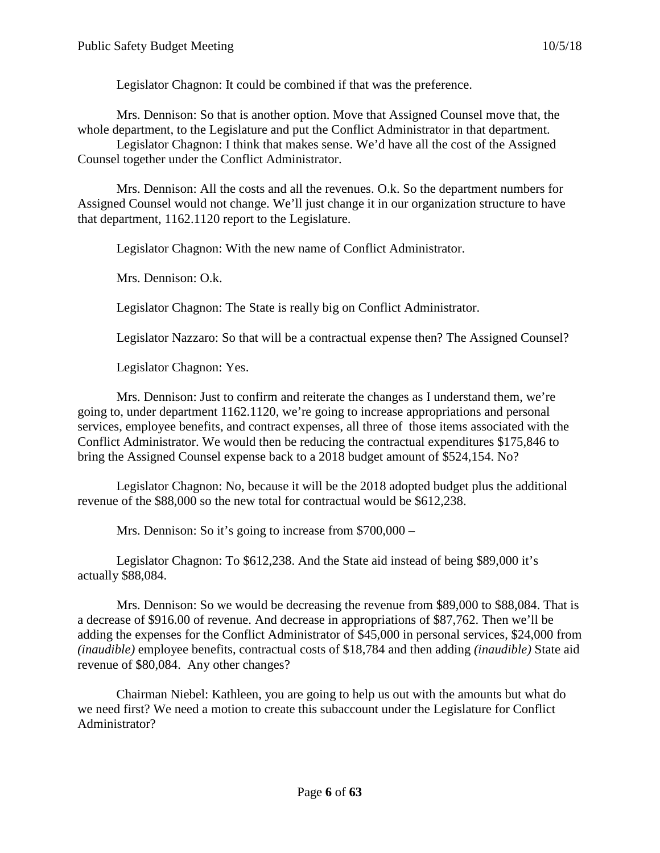Legislator Chagnon: It could be combined if that was the preference.

Mrs. Dennison: So that is another option. Move that Assigned Counsel move that, the whole department, to the Legislature and put the Conflict Administrator in that department.

Legislator Chagnon: I think that makes sense. We'd have all the cost of the Assigned Counsel together under the Conflict Administrator.

Mrs. Dennison: All the costs and all the revenues. O.k. So the department numbers for Assigned Counsel would not change. We'll just change it in our organization structure to have that department, 1162.1120 report to the Legislature.

Legislator Chagnon: With the new name of Conflict Administrator.

Mrs. Dennison: O.k.

Legislator Chagnon: The State is really big on Conflict Administrator.

Legislator Nazzaro: So that will be a contractual expense then? The Assigned Counsel?

Legislator Chagnon: Yes.

Mrs. Dennison: Just to confirm and reiterate the changes as I understand them, we're going to, under department 1162.1120, we're going to increase appropriations and personal services, employee benefits, and contract expenses, all three of those items associated with the Conflict Administrator. We would then be reducing the contractual expenditures \$175,846 to bring the Assigned Counsel expense back to a 2018 budget amount of \$524,154. No?

Legislator Chagnon: No, because it will be the 2018 adopted budget plus the additional revenue of the \$88,000 so the new total for contractual would be \$612,238.

Mrs. Dennison: So it's going to increase from \$700,000 –

Legislator Chagnon: To \$612,238. And the State aid instead of being \$89,000 it's actually \$88,084.

Mrs. Dennison: So we would be decreasing the revenue from \$89,000 to \$88,084. That is a decrease of \$916.00 of revenue. And decrease in appropriations of \$87,762. Then we'll be adding the expenses for the Conflict Administrator of \$45,000 in personal services, \$24,000 from *(inaudible)* employee benefits, contractual costs of \$18,784 and then adding *(inaudible)* State aid revenue of \$80,084. Any other changes?

Chairman Niebel: Kathleen, you are going to help us out with the amounts but what do we need first? We need a motion to create this subaccount under the Legislature for Conflict Administrator?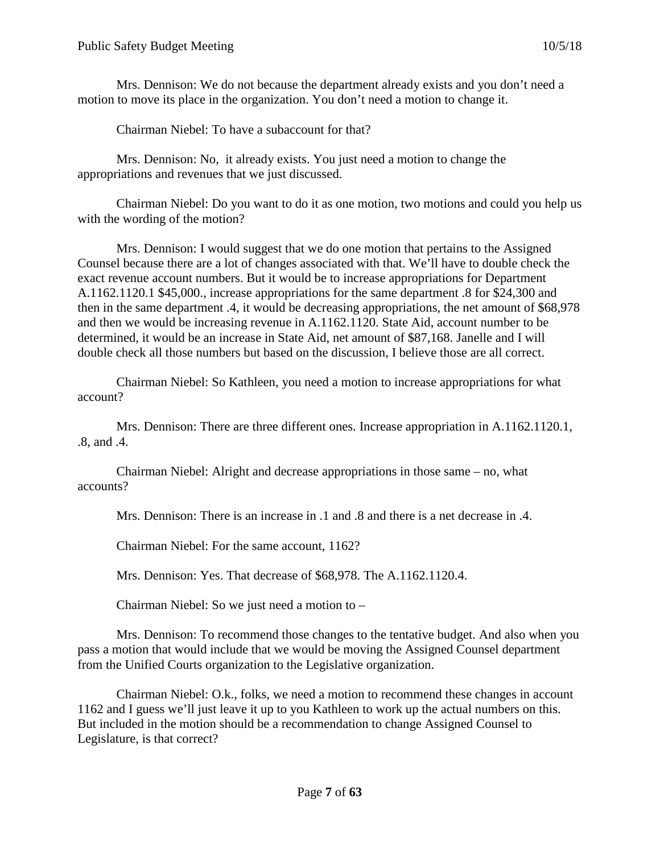Mrs. Dennison: We do not because the department already exists and you don't need a motion to move its place in the organization. You don't need a motion to change it.

Chairman Niebel: To have a subaccount for that?

Mrs. Dennison: No, it already exists. You just need a motion to change the appropriations and revenues that we just discussed.

Chairman Niebel: Do you want to do it as one motion, two motions and could you help us with the wording of the motion?

Mrs. Dennison: I would suggest that we do one motion that pertains to the Assigned Counsel because there are a lot of changes associated with that. We'll have to double check the exact revenue account numbers. But it would be to increase appropriations for Department A.1162.1120.1 \$45,000., increase appropriations for the same department .8 for \$24,300 and then in the same department .4, it would be decreasing appropriations, the net amount of \$68,978 and then we would be increasing revenue in A.1162.1120. State Aid, account number to be determined, it would be an increase in State Aid, net amount of \$87,168. Janelle and I will double check all those numbers but based on the discussion, I believe those are all correct.

Chairman Niebel: So Kathleen, you need a motion to increase appropriations for what account?

Mrs. Dennison: There are three different ones. Increase appropriation in A.1162.1120.1, .8, and .4.

Chairman Niebel: Alright and decrease appropriations in those same – no, what accounts?

Mrs. Dennison: There is an increase in .1 and .8 and there is a net decrease in .4.

Chairman Niebel: For the same account, 1162?

Mrs. Dennison: Yes. That decrease of \$68,978. The A.1162.1120.4.

Chairman Niebel: So we just need a motion to –

Mrs. Dennison: To recommend those changes to the tentative budget. And also when you pass a motion that would include that we would be moving the Assigned Counsel department from the Unified Courts organization to the Legislative organization.

Chairman Niebel: O.k., folks, we need a motion to recommend these changes in account 1162 and I guess we'll just leave it up to you Kathleen to work up the actual numbers on this. But included in the motion should be a recommendation to change Assigned Counsel to Legislature, is that correct?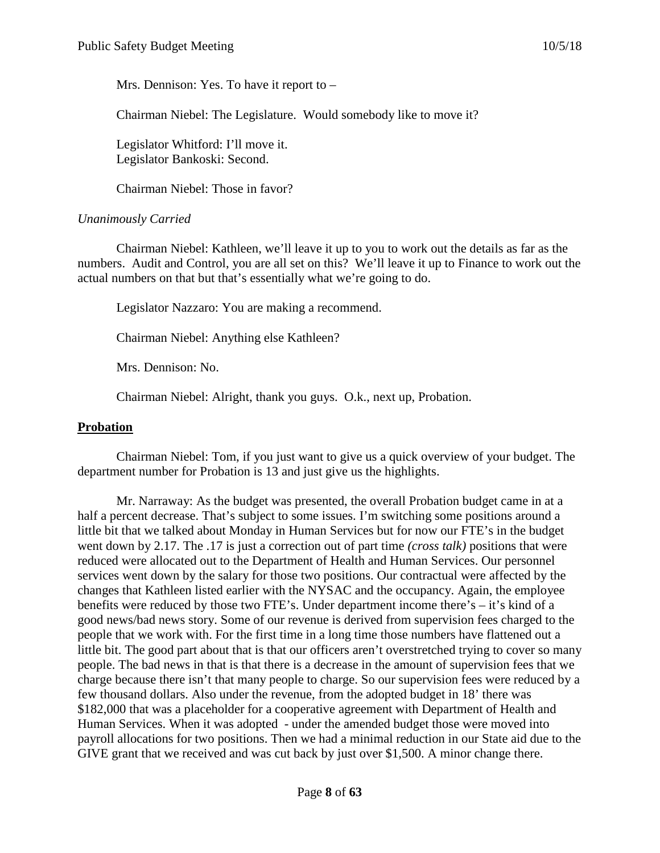Mrs. Dennison: Yes. To have it report to –

Chairman Niebel: The Legislature. Would somebody like to move it?

Legislator Whitford: I'll move it. Legislator Bankoski: Second.

Chairman Niebel: Those in favor?

# *Unanimously Carried*

Chairman Niebel: Kathleen, we'll leave it up to you to work out the details as far as the numbers. Audit and Control, you are all set on this? We'll leave it up to Finance to work out the actual numbers on that but that's essentially what we're going to do.

Legislator Nazzaro: You are making a recommend.

Chairman Niebel: Anything else Kathleen?

Mrs. Dennison: No.

Chairman Niebel: Alright, thank you guys. O.k., next up, Probation.

#### **Probation**

Chairman Niebel: Tom, if you just want to give us a quick overview of your budget. The department number for Probation is 13 and just give us the highlights.

Mr. Narraway: As the budget was presented, the overall Probation budget came in at a half a percent decrease. That's subject to some issues. I'm switching some positions around a little bit that we talked about Monday in Human Services but for now our FTE's in the budget went down by 2.17. The .17 is just a correction out of part time *(cross talk)* positions that were reduced were allocated out to the Department of Health and Human Services. Our personnel services went down by the salary for those two positions. Our contractual were affected by the changes that Kathleen listed earlier with the NYSAC and the occupancy. Again, the employee benefits were reduced by those two FTE's. Under department income there's – it's kind of a good news/bad news story. Some of our revenue is derived from supervision fees charged to the people that we work with. For the first time in a long time those numbers have flattened out a little bit. The good part about that is that our officers aren't overstretched trying to cover so many people. The bad news in that is that there is a decrease in the amount of supervision fees that we charge because there isn't that many people to charge. So our supervision fees were reduced by a few thousand dollars. Also under the revenue, from the adopted budget in 18' there was \$182,000 that was a placeholder for a cooperative agreement with Department of Health and Human Services. When it was adopted - under the amended budget those were moved into payroll allocations for two positions. Then we had a minimal reduction in our State aid due to the GIVE grant that we received and was cut back by just over \$1,500. A minor change there.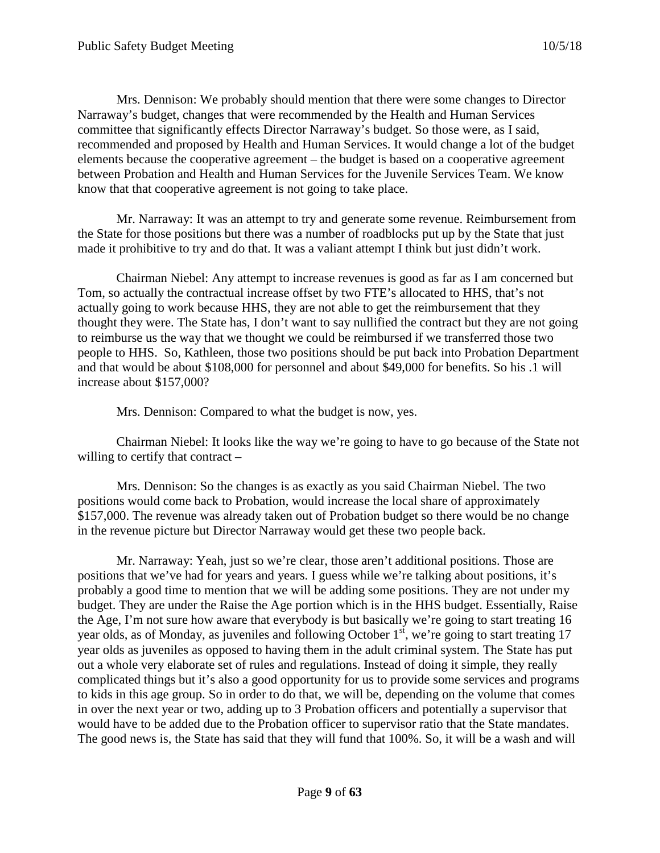Mrs. Dennison: We probably should mention that there were some changes to Director Narraway's budget, changes that were recommended by the Health and Human Services committee that significantly effects Director Narraway's budget. So those were, as I said, recommended and proposed by Health and Human Services. It would change a lot of the budget elements because the cooperative agreement – the budget is based on a cooperative agreement between Probation and Health and Human Services for the Juvenile Services Team. We know know that that cooperative agreement is not going to take place.

Mr. Narraway: It was an attempt to try and generate some revenue. Reimbursement from the State for those positions but there was a number of roadblocks put up by the State that just made it prohibitive to try and do that. It was a valiant attempt I think but just didn't work.

Chairman Niebel: Any attempt to increase revenues is good as far as I am concerned but Tom, so actually the contractual increase offset by two FTE's allocated to HHS, that's not actually going to work because HHS, they are not able to get the reimbursement that they thought they were. The State has, I don't want to say nullified the contract but they are not going to reimburse us the way that we thought we could be reimbursed if we transferred those two people to HHS. So, Kathleen, those two positions should be put back into Probation Department and that would be about \$108,000 for personnel and about \$49,000 for benefits. So his .1 will increase about \$157,000?

Mrs. Dennison: Compared to what the budget is now, yes.

Chairman Niebel: It looks like the way we're going to have to go because of the State not willing to certify that contract –

Mrs. Dennison: So the changes is as exactly as you said Chairman Niebel. The two positions would come back to Probation, would increase the local share of approximately \$157,000. The revenue was already taken out of Probation budget so there would be no change in the revenue picture but Director Narraway would get these two people back.

Mr. Narraway: Yeah, just so we're clear, those aren't additional positions. Those are positions that we've had for years and years. I guess while we're talking about positions, it's probably a good time to mention that we will be adding some positions. They are not under my budget. They are under the Raise the Age portion which is in the HHS budget. Essentially, Raise the Age, I'm not sure how aware that everybody is but basically we're going to start treating 16 year olds, as of Monday, as juveniles and following October  $1<sup>st</sup>$ , we're going to start treating 17 year olds as juveniles as opposed to having them in the adult criminal system. The State has put out a whole very elaborate set of rules and regulations. Instead of doing it simple, they really complicated things but it's also a good opportunity for us to provide some services and programs to kids in this age group. So in order to do that, we will be, depending on the volume that comes in over the next year or two, adding up to 3 Probation officers and potentially a supervisor that would have to be added due to the Probation officer to supervisor ratio that the State mandates. The good news is, the State has said that they will fund that 100%. So, it will be a wash and will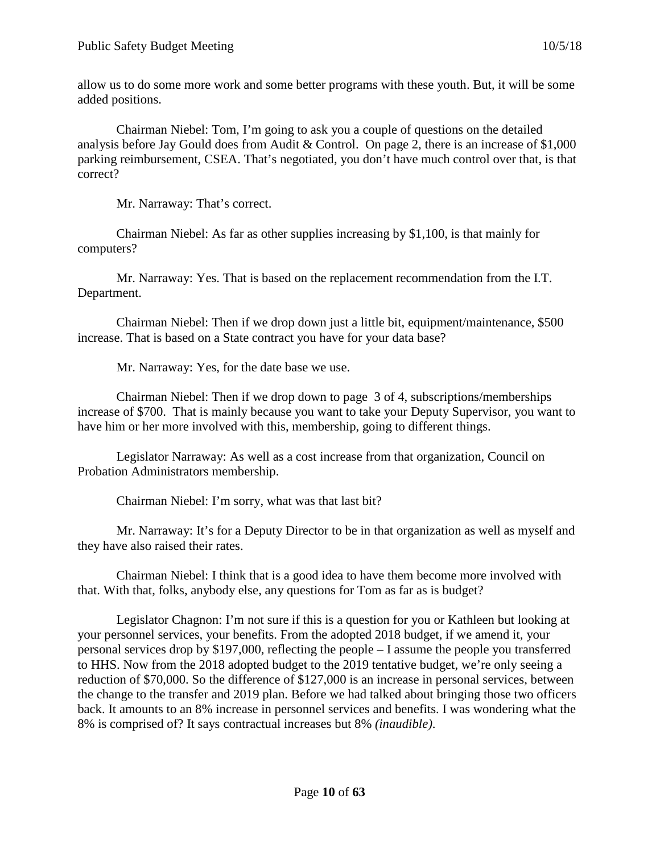allow us to do some more work and some better programs with these youth. But, it will be some added positions.

Chairman Niebel: Tom, I'm going to ask you a couple of questions on the detailed analysis before Jay Gould does from Audit & Control. On page 2, there is an increase of \$1,000 parking reimbursement, CSEA. That's negotiated, you don't have much control over that, is that correct?

Mr. Narraway: That's correct.

Chairman Niebel: As far as other supplies increasing by \$1,100, is that mainly for computers?

Mr. Narraway: Yes. That is based on the replacement recommendation from the I.T. Department.

Chairman Niebel: Then if we drop down just a little bit, equipment/maintenance, \$500 increase. That is based on a State contract you have for your data base?

Mr. Narraway: Yes, for the date base we use.

Chairman Niebel: Then if we drop down to page 3 of 4, subscriptions/memberships increase of \$700. That is mainly because you want to take your Deputy Supervisor, you want to have him or her more involved with this, membership, going to different things.

Legislator Narraway: As well as a cost increase from that organization, Council on Probation Administrators membership.

Chairman Niebel: I'm sorry, what was that last bit?

Mr. Narraway: It's for a Deputy Director to be in that organization as well as myself and they have also raised their rates.

Chairman Niebel: I think that is a good idea to have them become more involved with that. With that, folks, anybody else, any questions for Tom as far as is budget?

Legislator Chagnon: I'm not sure if this is a question for you or Kathleen but looking at your personnel services, your benefits. From the adopted 2018 budget, if we amend it, your personal services drop by \$197,000, reflecting the people – I assume the people you transferred to HHS. Now from the 2018 adopted budget to the 2019 tentative budget, we're only seeing a reduction of \$70,000. So the difference of \$127,000 is an increase in personal services, between the change to the transfer and 2019 plan. Before we had talked about bringing those two officers back. It amounts to an 8% increase in personnel services and benefits. I was wondering what the 8% is comprised of? It says contractual increases but 8% *(inaudible)*.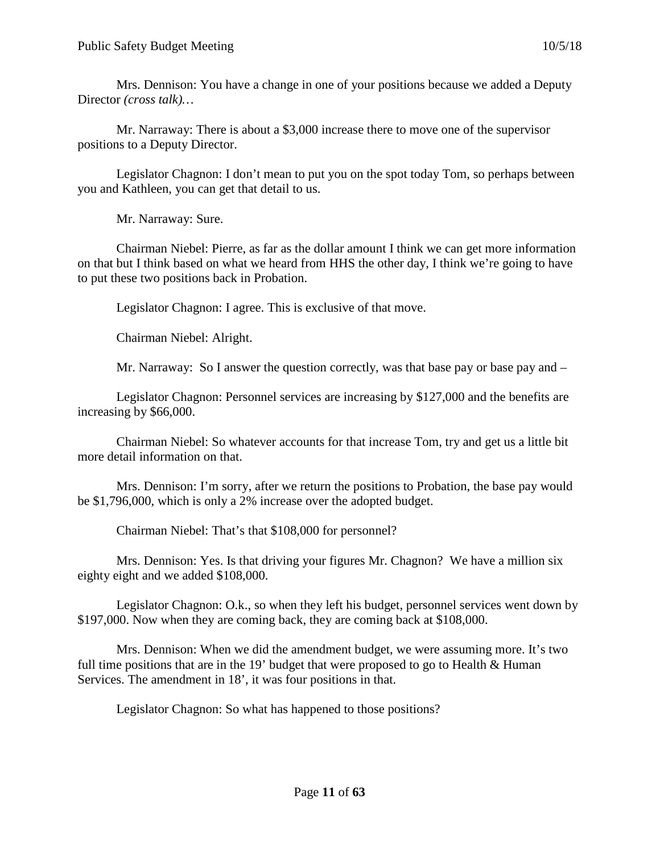Mrs. Dennison: You have a change in one of your positions because we added a Deputy Director *(cross talk)…*

Mr. Narraway: There is about a \$3,000 increase there to move one of the supervisor positions to a Deputy Director.

Legislator Chagnon: I don't mean to put you on the spot today Tom, so perhaps between you and Kathleen, you can get that detail to us.

Mr. Narraway: Sure.

Chairman Niebel: Pierre, as far as the dollar amount I think we can get more information on that but I think based on what we heard from HHS the other day, I think we're going to have to put these two positions back in Probation.

Legislator Chagnon: I agree. This is exclusive of that move.

Chairman Niebel: Alright.

Mr. Narraway: So I answer the question correctly, was that base pay or base pay and  $-$ 

Legislator Chagnon: Personnel services are increasing by \$127,000 and the benefits are increasing by \$66,000.

Chairman Niebel: So whatever accounts for that increase Tom, try and get us a little bit more detail information on that.

Mrs. Dennison: I'm sorry, after we return the positions to Probation, the base pay would be \$1,796,000, which is only a 2% increase over the adopted budget.

Chairman Niebel: That's that \$108,000 for personnel?

Mrs. Dennison: Yes. Is that driving your figures Mr. Chagnon? We have a million six eighty eight and we added \$108,000.

Legislator Chagnon: O.k., so when they left his budget, personnel services went down by \$197,000. Now when they are coming back, they are coming back at \$108,000.

Mrs. Dennison: When we did the amendment budget, we were assuming more. It's two full time positions that are in the 19' budget that were proposed to go to Health & Human Services. The amendment in 18', it was four positions in that.

Legislator Chagnon: So what has happened to those positions?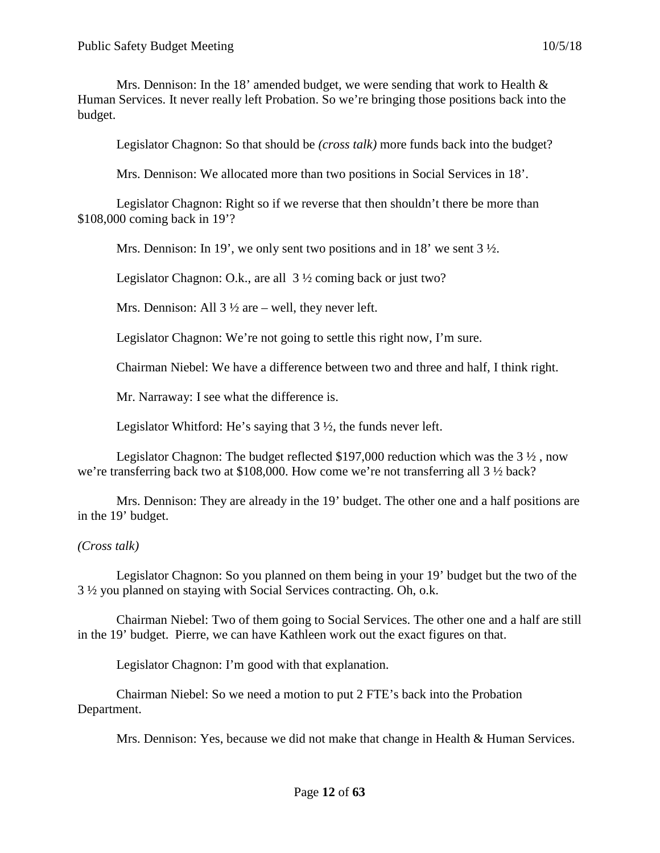Mrs. Dennison: In the 18' amended budget, we were sending that work to Health  $\&$ Human Services. It never really left Probation. So we're bringing those positions back into the budget.

Legislator Chagnon: So that should be *(cross talk)* more funds back into the budget?

Mrs. Dennison: We allocated more than two positions in Social Services in 18'.

Legislator Chagnon: Right so if we reverse that then shouldn't there be more than \$108,000 coming back in 19'?

Mrs. Dennison: In 19', we only sent two positions and in 18' we sent 3  $\frac{1}{2}$ .

Legislator Chagnon: O.k., are all 3 ½ coming back or just two?

Mrs. Dennison: All  $3\frac{1}{2}$  are – well, they never left.

Legislator Chagnon: We're not going to settle this right now, I'm sure.

Chairman Niebel: We have a difference between two and three and half, I think right.

Mr. Narraway: I see what the difference is.

Legislator Whitford: He's saying that  $3\frac{1}{2}$ , the funds never left.

Legislator Chagnon: The budget reflected \$197,000 reduction which was the 3 ½ , now we're transferring back two at \$108,000. How come we're not transferring all 3 ½ back?

Mrs. Dennison: They are already in the 19' budget. The other one and a half positions are in the 19' budget.

#### *(Cross talk)*

Legislator Chagnon: So you planned on them being in your 19' budget but the two of the 3 ½ you planned on staying with Social Services contracting. Oh, o.k.

Chairman Niebel: Two of them going to Social Services. The other one and a half are still in the 19' budget. Pierre, we can have Kathleen work out the exact figures on that.

Legislator Chagnon: I'm good with that explanation.

Chairman Niebel: So we need a motion to put 2 FTE's back into the Probation Department.

Mrs. Dennison: Yes, because we did not make that change in Health & Human Services.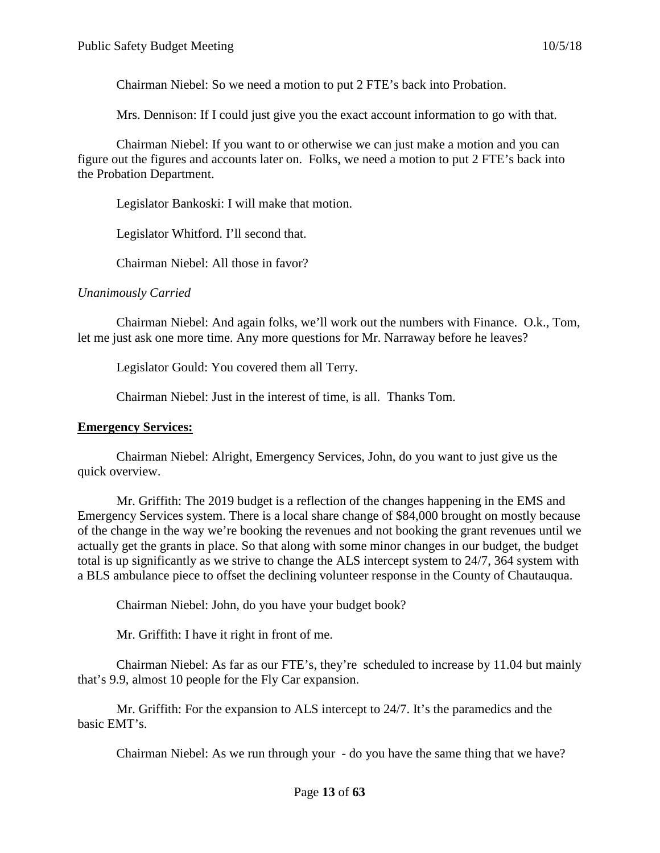Chairman Niebel: So we need a motion to put 2 FTE's back into Probation.

Mrs. Dennison: If I could just give you the exact account information to go with that.

Chairman Niebel: If you want to or otherwise we can just make a motion and you can figure out the figures and accounts later on. Folks, we need a motion to put 2 FTE's back into the Probation Department.

Legislator Bankoski: I will make that motion.

Legislator Whitford. I'll second that.

Chairman Niebel: All those in favor?

#### *Unanimously Carried*

Chairman Niebel: And again folks, we'll work out the numbers with Finance. O.k., Tom, let me just ask one more time. Any more questions for Mr. Narraway before he leaves?

Legislator Gould: You covered them all Terry.

Chairman Niebel: Just in the interest of time, is all. Thanks Tom.

#### **Emergency Services:**

Chairman Niebel: Alright, Emergency Services, John, do you want to just give us the quick overview.

Mr. Griffith: The 2019 budget is a reflection of the changes happening in the EMS and Emergency Services system. There is a local share change of \$84,000 brought on mostly because of the change in the way we're booking the revenues and not booking the grant revenues until we actually get the grants in place. So that along with some minor changes in our budget, the budget total is up significantly as we strive to change the ALS intercept system to 24/7, 364 system with a BLS ambulance piece to offset the declining volunteer response in the County of Chautauqua.

Chairman Niebel: John, do you have your budget book?

Mr. Griffith: I have it right in front of me.

Chairman Niebel: As far as our FTE's, they're scheduled to increase by 11.04 but mainly that's 9.9, almost 10 people for the Fly Car expansion.

Mr. Griffith: For the expansion to ALS intercept to 24/7. It's the paramedics and the basic EMT's.

Chairman Niebel: As we run through your - do you have the same thing that we have?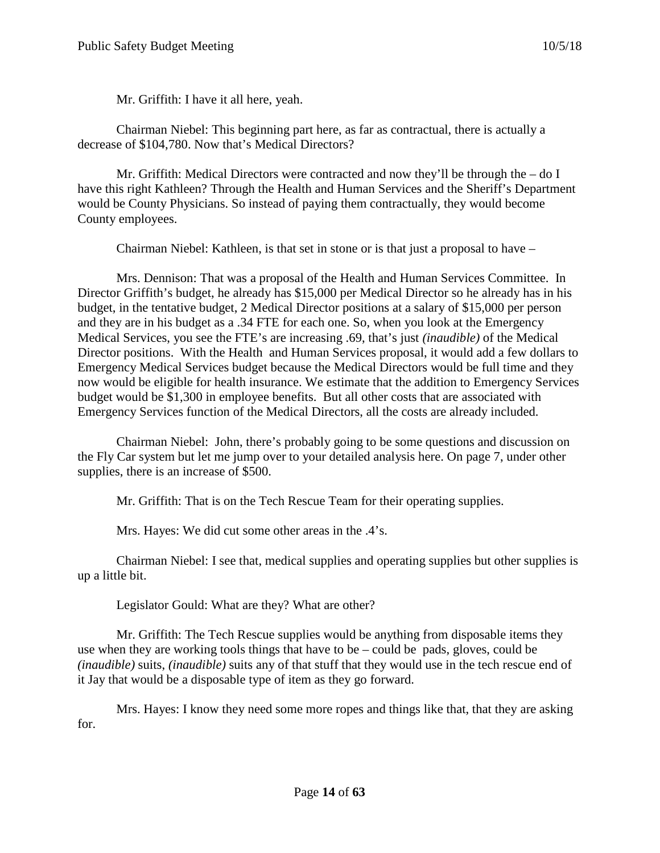Mr. Griffith: I have it all here, yeah.

Chairman Niebel: This beginning part here, as far as contractual, there is actually a decrease of \$104,780. Now that's Medical Directors?

Mr. Griffith: Medical Directors were contracted and now they'll be through the  $-$  do I have this right Kathleen? Through the Health and Human Services and the Sheriff's Department would be County Physicians. So instead of paying them contractually, they would become County employees.

Chairman Niebel: Kathleen, is that set in stone or is that just a proposal to have –

Mrs. Dennison: That was a proposal of the Health and Human Services Committee. In Director Griffith's budget, he already has \$15,000 per Medical Director so he already has in his budget, in the tentative budget, 2 Medical Director positions at a salary of \$15,000 per person and they are in his budget as a .34 FTE for each one. So, when you look at the Emergency Medical Services, you see the FTE's are increasing .69, that's just *(inaudible)* of the Medical Director positions. With the Health and Human Services proposal, it would add a few dollars to Emergency Medical Services budget because the Medical Directors would be full time and they now would be eligible for health insurance. We estimate that the addition to Emergency Services budget would be \$1,300 in employee benefits. But all other costs that are associated with Emergency Services function of the Medical Directors, all the costs are already included.

Chairman Niebel: John, there's probably going to be some questions and discussion on the Fly Car system but let me jump over to your detailed analysis here. On page 7, under other supplies, there is an increase of \$500.

Mr. Griffith: That is on the Tech Rescue Team for their operating supplies.

Mrs. Hayes: We did cut some other areas in the .4's.

Chairman Niebel: I see that, medical supplies and operating supplies but other supplies is up a little bit.

Legislator Gould: What are they? What are other?

Mr. Griffith: The Tech Rescue supplies would be anything from disposable items they use when they are working tools things that have to be – could be pads, gloves, could be *(inaudible)* suits, *(inaudible)* suits any of that stuff that they would use in the tech rescue end of it Jay that would be a disposable type of item as they go forward.

Mrs. Hayes: I know they need some more ropes and things like that, that they are asking for.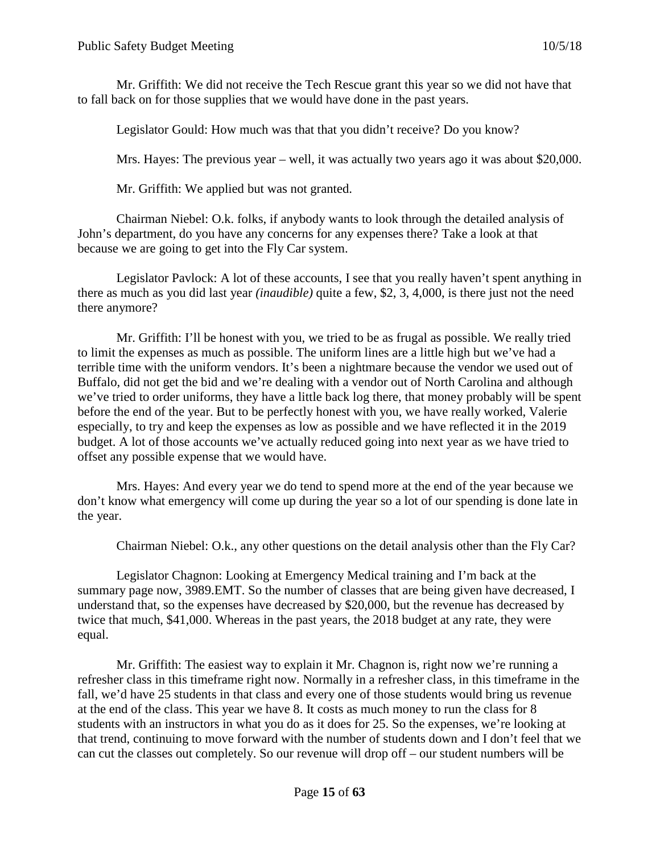Mr. Griffith: We did not receive the Tech Rescue grant this year so we did not have that to fall back on for those supplies that we would have done in the past years.

Legislator Gould: How much was that that you didn't receive? Do you know?

Mrs. Hayes: The previous year – well, it was actually two years ago it was about \$20,000.

Mr. Griffith: We applied but was not granted.

Chairman Niebel: O.k. folks, if anybody wants to look through the detailed analysis of John's department, do you have any concerns for any expenses there? Take a look at that because we are going to get into the Fly Car system.

Legislator Pavlock: A lot of these accounts, I see that you really haven't spent anything in there as much as you did last year *(inaudible)* quite a few, \$2, 3, 4,000, is there just not the need there anymore?

Mr. Griffith: I'll be honest with you, we tried to be as frugal as possible. We really tried to limit the expenses as much as possible. The uniform lines are a little high but we've had a terrible time with the uniform vendors. It's been a nightmare because the vendor we used out of Buffalo, did not get the bid and we're dealing with a vendor out of North Carolina and although we've tried to order uniforms, they have a little back log there, that money probably will be spent before the end of the year. But to be perfectly honest with you, we have really worked, Valerie especially, to try and keep the expenses as low as possible and we have reflected it in the 2019 budget. A lot of those accounts we've actually reduced going into next year as we have tried to offset any possible expense that we would have.

Mrs. Hayes: And every year we do tend to spend more at the end of the year because we don't know what emergency will come up during the year so a lot of our spending is done late in the year.

Chairman Niebel: O.k., any other questions on the detail analysis other than the Fly Car?

Legislator Chagnon: Looking at Emergency Medical training and I'm back at the summary page now, 3989.EMT. So the number of classes that are being given have decreased, I understand that, so the expenses have decreased by \$20,000, but the revenue has decreased by twice that much, \$41,000. Whereas in the past years, the 2018 budget at any rate, they were equal.

Mr. Griffith: The easiest way to explain it Mr. Chagnon is, right now we're running a refresher class in this timeframe right now. Normally in a refresher class, in this timeframe in the fall, we'd have 25 students in that class and every one of those students would bring us revenue at the end of the class. This year we have 8. It costs as much money to run the class for 8 students with an instructors in what you do as it does for 25. So the expenses, we're looking at that trend, continuing to move forward with the number of students down and I don't feel that we can cut the classes out completely. So our revenue will drop off – our student numbers will be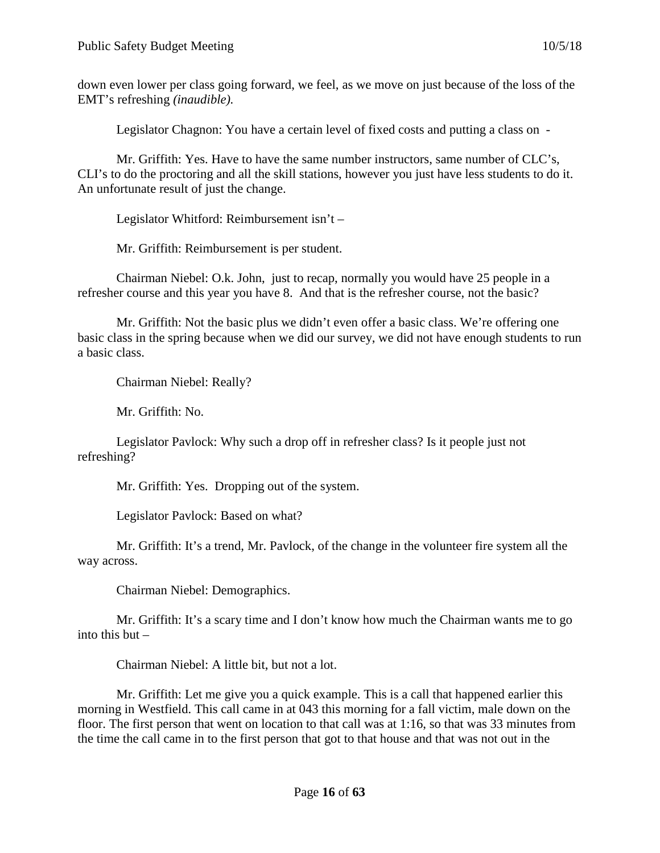down even lower per class going forward, we feel, as we move on just because of the loss of the EMT's refreshing *(inaudible).*

Legislator Chagnon: You have a certain level of fixed costs and putting a class on -

Mr. Griffith: Yes. Have to have the same number instructors, same number of CLC's, CLI's to do the proctoring and all the skill stations, however you just have less students to do it. An unfortunate result of just the change.

Legislator Whitford: Reimbursement isn't –

Mr. Griffith: Reimbursement is per student.

Chairman Niebel: O.k. John, just to recap, normally you would have 25 people in a refresher course and this year you have 8. And that is the refresher course, not the basic?

Mr. Griffith: Not the basic plus we didn't even offer a basic class. We're offering one basic class in the spring because when we did our survey, we did not have enough students to run a basic class.

Chairman Niebel: Really?

Mr. Griffith: No.

Legislator Pavlock: Why such a drop off in refresher class? Is it people just not refreshing?

Mr. Griffith: Yes. Dropping out of the system.

Legislator Pavlock: Based on what?

Mr. Griffith: It's a trend, Mr. Pavlock, of the change in the volunteer fire system all the way across.

Chairman Niebel: Demographics.

Mr. Griffith: It's a scary time and I don't know how much the Chairman wants me to go into this but –

Chairman Niebel: A little bit, but not a lot.

Mr. Griffith: Let me give you a quick example. This is a call that happened earlier this morning in Westfield. This call came in at 043 this morning for a fall victim, male down on the floor. The first person that went on location to that call was at 1:16, so that was 33 minutes from the time the call came in to the first person that got to that house and that was not out in the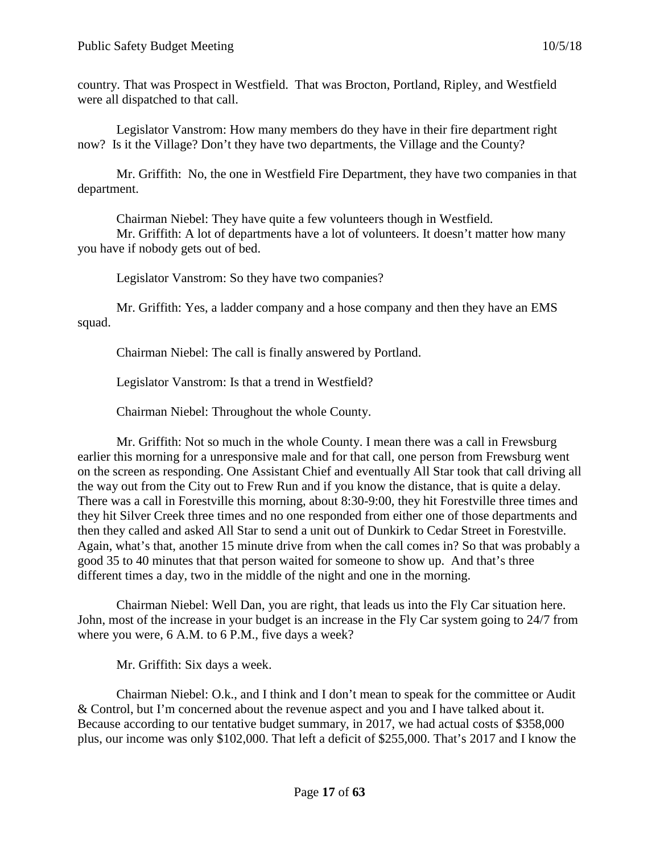country. That was Prospect in Westfield. That was Brocton, Portland, Ripley, and Westfield were all dispatched to that call.

Legislator Vanstrom: How many members do they have in their fire department right now? Is it the Village? Don't they have two departments, the Village and the County?

Mr. Griffith: No, the one in Westfield Fire Department, they have two companies in that department.

Chairman Niebel: They have quite a few volunteers though in Westfield.

Mr. Griffith: A lot of departments have a lot of volunteers. It doesn't matter how many you have if nobody gets out of bed.

Legislator Vanstrom: So they have two companies?

Mr. Griffith: Yes, a ladder company and a hose company and then they have an EMS squad.

Chairman Niebel: The call is finally answered by Portland.

Legislator Vanstrom: Is that a trend in Westfield?

Chairman Niebel: Throughout the whole County.

Mr. Griffith: Not so much in the whole County. I mean there was a call in Frewsburg earlier this morning for a unresponsive male and for that call, one person from Frewsburg went on the screen as responding. One Assistant Chief and eventually All Star took that call driving all the way out from the City out to Frew Run and if you know the distance, that is quite a delay. There was a call in Forestville this morning, about 8:30-9:00, they hit Forestville three times and they hit Silver Creek three times and no one responded from either one of those departments and then they called and asked All Star to send a unit out of Dunkirk to Cedar Street in Forestville. Again, what's that, another 15 minute drive from when the call comes in? So that was probably a good 35 to 40 minutes that that person waited for someone to show up. And that's three different times a day, two in the middle of the night and one in the morning.

Chairman Niebel: Well Dan, you are right, that leads us into the Fly Car situation here. John, most of the increase in your budget is an increase in the Fly Car system going to 24/7 from where you were, 6 A.M. to 6 P.M., five days a week?

Mr. Griffith: Six days a week.

Chairman Niebel: O.k., and I think and I don't mean to speak for the committee or Audit & Control, but I'm concerned about the revenue aspect and you and I have talked about it. Because according to our tentative budget summary, in 2017, we had actual costs of \$358,000 plus, our income was only \$102,000. That left a deficit of \$255,000. That's 2017 and I know the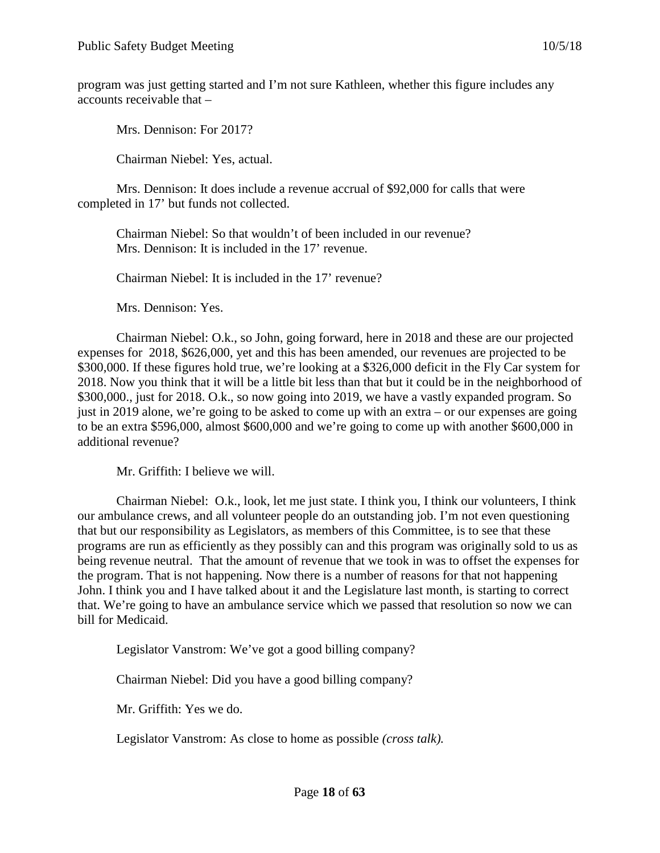program was just getting started and I'm not sure Kathleen, whether this figure includes any accounts receivable that –

Mrs. Dennison: For 2017?

Chairman Niebel: Yes, actual.

Mrs. Dennison: It does include a revenue accrual of \$92,000 for calls that were completed in 17' but funds not collected.

Chairman Niebel: So that wouldn't of been included in our revenue? Mrs. Dennison: It is included in the 17' revenue.

Chairman Niebel: It is included in the 17' revenue?

Mrs. Dennison: Yes.

Chairman Niebel: O.k., so John, going forward, here in 2018 and these are our projected expenses for 2018, \$626,000, yet and this has been amended, our revenues are projected to be \$300,000. If these figures hold true, we're looking at a \$326,000 deficit in the Fly Car system for 2018. Now you think that it will be a little bit less than that but it could be in the neighborhood of \$300,000., just for 2018. O.k., so now going into 2019, we have a vastly expanded program. So just in 2019 alone, we're going to be asked to come up with an extra – or our expenses are going to be an extra \$596,000, almost \$600,000 and we're going to come up with another \$600,000 in additional revenue?

Mr. Griffith: I believe we will.

Chairman Niebel: O.k., look, let me just state. I think you, I think our volunteers, I think our ambulance crews, and all volunteer people do an outstanding job. I'm not even questioning that but our responsibility as Legislators, as members of this Committee, is to see that these programs are run as efficiently as they possibly can and this program was originally sold to us as being revenue neutral. That the amount of revenue that we took in was to offset the expenses for the program. That is not happening. Now there is a number of reasons for that not happening John. I think you and I have talked about it and the Legislature last month, is starting to correct that. We're going to have an ambulance service which we passed that resolution so now we can bill for Medicaid.

Legislator Vanstrom: We've got a good billing company?

Chairman Niebel: Did you have a good billing company?

Mr. Griffith: Yes we do.

Legislator Vanstrom: As close to home as possible *(cross talk).*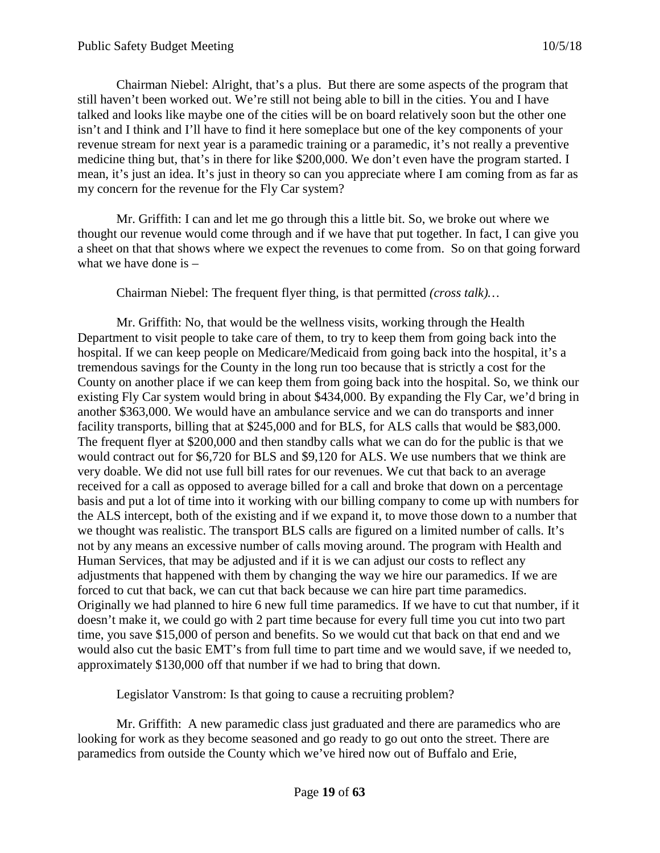Chairman Niebel: Alright, that's a plus. But there are some aspects of the program that still haven't been worked out. We're still not being able to bill in the cities. You and I have talked and looks like maybe one of the cities will be on board relatively soon but the other one isn't and I think and I'll have to find it here someplace but one of the key components of your revenue stream for next year is a paramedic training or a paramedic, it's not really a preventive medicine thing but, that's in there for like \$200,000. We don't even have the program started. I mean, it's just an idea. It's just in theory so can you appreciate where I am coming from as far as my concern for the revenue for the Fly Car system?

Mr. Griffith: I can and let me go through this a little bit. So, we broke out where we thought our revenue would come through and if we have that put together. In fact, I can give you a sheet on that that shows where we expect the revenues to come from. So on that going forward what we have done is –

Chairman Niebel: The frequent flyer thing, is that permitted *(cross talk)…*

Mr. Griffith: No, that would be the wellness visits, working through the Health Department to visit people to take care of them, to try to keep them from going back into the hospital. If we can keep people on Medicare/Medicaid from going back into the hospital, it's a tremendous savings for the County in the long run too because that is strictly a cost for the County on another place if we can keep them from going back into the hospital. So, we think our existing Fly Car system would bring in about \$434,000. By expanding the Fly Car, we'd bring in another \$363,000. We would have an ambulance service and we can do transports and inner facility transports, billing that at \$245,000 and for BLS, for ALS calls that would be \$83,000. The frequent flyer at \$200,000 and then standby calls what we can do for the public is that we would contract out for \$6,720 for BLS and \$9,120 for ALS. We use numbers that we think are very doable. We did not use full bill rates for our revenues. We cut that back to an average received for a call as opposed to average billed for a call and broke that down on a percentage basis and put a lot of time into it working with our billing company to come up with numbers for the ALS intercept, both of the existing and if we expand it, to move those down to a number that we thought was realistic. The transport BLS calls are figured on a limited number of calls. It's not by any means an excessive number of calls moving around. The program with Health and Human Services, that may be adjusted and if it is we can adjust our costs to reflect any adjustments that happened with them by changing the way we hire our paramedics. If we are forced to cut that back, we can cut that back because we can hire part time paramedics. Originally we had planned to hire 6 new full time paramedics. If we have to cut that number, if it doesn't make it, we could go with 2 part time because for every full time you cut into two part time, you save \$15,000 of person and benefits. So we would cut that back on that end and we would also cut the basic EMT's from full time to part time and we would save, if we needed to, approximately \$130,000 off that number if we had to bring that down.

Legislator Vanstrom: Is that going to cause a recruiting problem?

Mr. Griffith: A new paramedic class just graduated and there are paramedics who are looking for work as they become seasoned and go ready to go out onto the street. There are paramedics from outside the County which we've hired now out of Buffalo and Erie,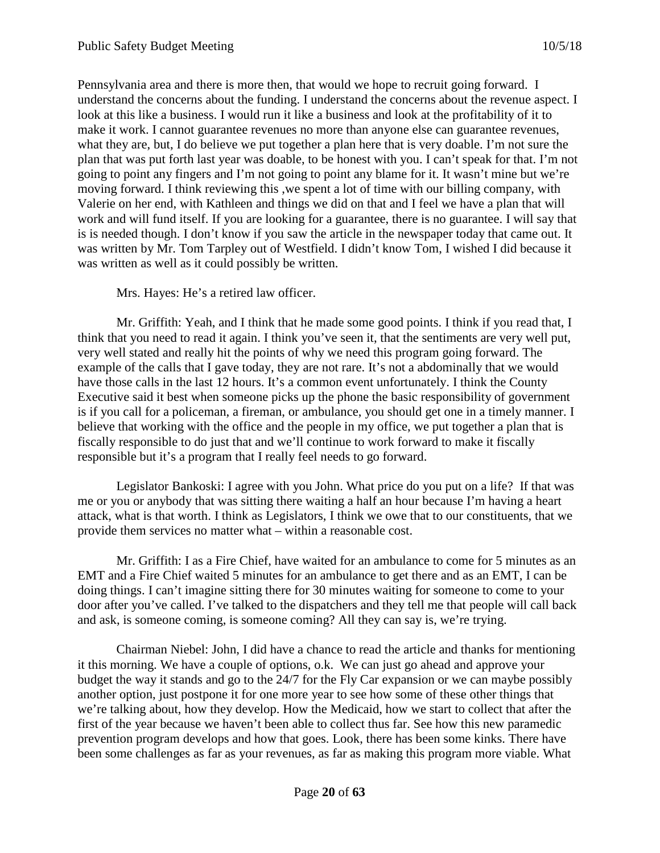Pennsylvania area and there is more then, that would we hope to recruit going forward. I understand the concerns about the funding. I understand the concerns about the revenue aspect. I look at this like a business. I would run it like a business and look at the profitability of it to make it work. I cannot guarantee revenues no more than anyone else can guarantee revenues, what they are, but, I do believe we put together a plan here that is very doable. I'm not sure the plan that was put forth last year was doable, to be honest with you. I can't speak for that. I'm not going to point any fingers and I'm not going to point any blame for it. It wasn't mine but we're moving forward. I think reviewing this ,we spent a lot of time with our billing company, with Valerie on her end, with Kathleen and things we did on that and I feel we have a plan that will work and will fund itself. If you are looking for a guarantee, there is no guarantee. I will say that is is needed though. I don't know if you saw the article in the newspaper today that came out. It was written by Mr. Tom Tarpley out of Westfield. I didn't know Tom, I wished I did because it was written as well as it could possibly be written.

Mrs. Hayes: He's a retired law officer.

Mr. Griffith: Yeah, and I think that he made some good points. I think if you read that, I think that you need to read it again. I think you've seen it, that the sentiments are very well put, very well stated and really hit the points of why we need this program going forward. The example of the calls that I gave today, they are not rare. It's not a abdominally that we would have those calls in the last 12 hours. It's a common event unfortunately. I think the County Executive said it best when someone picks up the phone the basic responsibility of government is if you call for a policeman, a fireman, or ambulance, you should get one in a timely manner. I believe that working with the office and the people in my office, we put together a plan that is fiscally responsible to do just that and we'll continue to work forward to make it fiscally responsible but it's a program that I really feel needs to go forward.

Legislator Bankoski: I agree with you John. What price do you put on a life? If that was me or you or anybody that was sitting there waiting a half an hour because I'm having a heart attack, what is that worth. I think as Legislators, I think we owe that to our constituents, that we provide them services no matter what – within a reasonable cost.

Mr. Griffith: I as a Fire Chief, have waited for an ambulance to come for 5 minutes as an EMT and a Fire Chief waited 5 minutes for an ambulance to get there and as an EMT, I can be doing things. I can't imagine sitting there for 30 minutes waiting for someone to come to your door after you've called. I've talked to the dispatchers and they tell me that people will call back and ask, is someone coming, is someone coming? All they can say is, we're trying.

Chairman Niebel: John, I did have a chance to read the article and thanks for mentioning it this morning. We have a couple of options, o.k. We can just go ahead and approve your budget the way it stands and go to the 24/7 for the Fly Car expansion or we can maybe possibly another option, just postpone it for one more year to see how some of these other things that we're talking about, how they develop. How the Medicaid, how we start to collect that after the first of the year because we haven't been able to collect thus far. See how this new paramedic prevention program develops and how that goes. Look, there has been some kinks. There have been some challenges as far as your revenues, as far as making this program more viable. What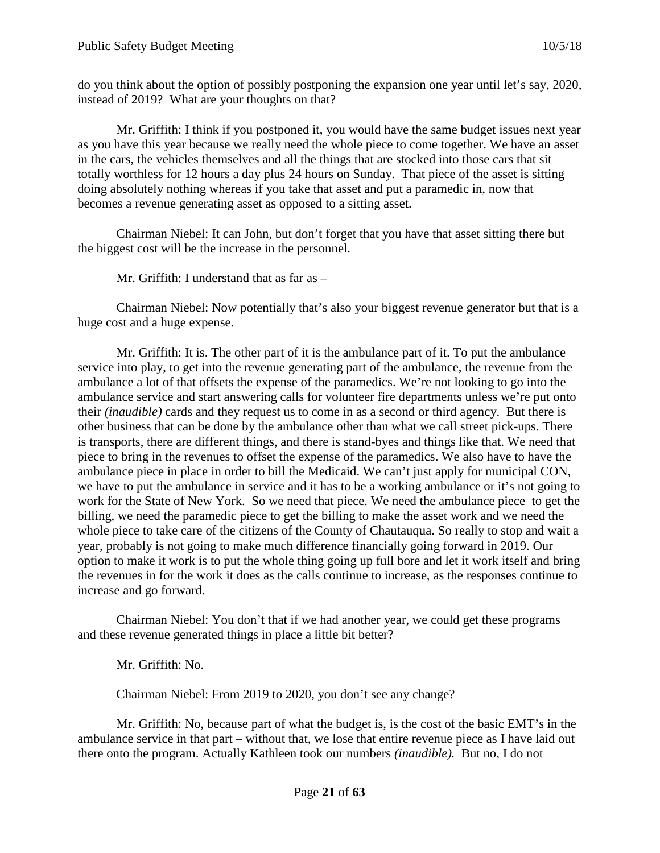do you think about the option of possibly postponing the expansion one year until let's say, 2020, instead of 2019? What are your thoughts on that?

Mr. Griffith: I think if you postponed it, you would have the same budget issues next year as you have this year because we really need the whole piece to come together. We have an asset in the cars, the vehicles themselves and all the things that are stocked into those cars that sit totally worthless for 12 hours a day plus 24 hours on Sunday. That piece of the asset is sitting doing absolutely nothing whereas if you take that asset and put a paramedic in, now that becomes a revenue generating asset as opposed to a sitting asset.

Chairman Niebel: It can John, but don't forget that you have that asset sitting there but the biggest cost will be the increase in the personnel.

Mr. Griffith: I understand that as far as –

Chairman Niebel: Now potentially that's also your biggest revenue generator but that is a huge cost and a huge expense.

Mr. Griffith: It is. The other part of it is the ambulance part of it. To put the ambulance service into play, to get into the revenue generating part of the ambulance, the revenue from the ambulance a lot of that offsets the expense of the paramedics. We're not looking to go into the ambulance service and start answering calls for volunteer fire departments unless we're put onto their *(inaudible)* cards and they request us to come in as a second or third agency. But there is other business that can be done by the ambulance other than what we call street pick-ups. There is transports, there are different things, and there is stand-byes and things like that. We need that piece to bring in the revenues to offset the expense of the paramedics. We also have to have the ambulance piece in place in order to bill the Medicaid. We can't just apply for municipal CON, we have to put the ambulance in service and it has to be a working ambulance or it's not going to work for the State of New York. So we need that piece. We need the ambulance piece to get the billing, we need the paramedic piece to get the billing to make the asset work and we need the whole piece to take care of the citizens of the County of Chautauqua. So really to stop and wait a year, probably is not going to make much difference financially going forward in 2019. Our option to make it work is to put the whole thing going up full bore and let it work itself and bring the revenues in for the work it does as the calls continue to increase, as the responses continue to increase and go forward.

Chairman Niebel: You don't that if we had another year, we could get these programs and these revenue generated things in place a little bit better?

Mr. Griffith: No.

Chairman Niebel: From 2019 to 2020, you don't see any change?

Mr. Griffith: No, because part of what the budget is, is the cost of the basic EMT's in the ambulance service in that part – without that, we lose that entire revenue piece as I have laid out there onto the program. Actually Kathleen took our numbers *(inaudible).* But no, I do not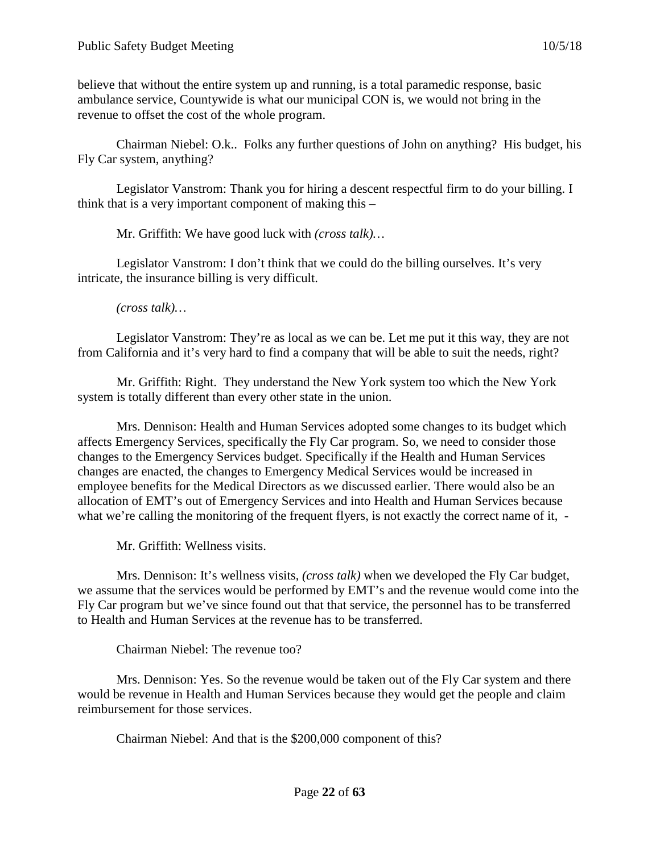believe that without the entire system up and running, is a total paramedic response, basic ambulance service, Countywide is what our municipal CON is, we would not bring in the revenue to offset the cost of the whole program.

Chairman Niebel: O.k.. Folks any further questions of John on anything? His budget, his Fly Car system, anything?

Legislator Vanstrom: Thank you for hiring a descent respectful firm to do your billing. I think that is a very important component of making this –

Mr. Griffith: We have good luck with *(cross talk)…*

Legislator Vanstrom: I don't think that we could do the billing ourselves. It's very intricate, the insurance billing is very difficult.

*(cross talk)…*

Legislator Vanstrom: They're as local as we can be. Let me put it this way, they are not from California and it's very hard to find a company that will be able to suit the needs, right?

Mr. Griffith: Right. They understand the New York system too which the New York system is totally different than every other state in the union.

Mrs. Dennison: Health and Human Services adopted some changes to its budget which affects Emergency Services, specifically the Fly Car program. So, we need to consider those changes to the Emergency Services budget. Specifically if the Health and Human Services changes are enacted, the changes to Emergency Medical Services would be increased in employee benefits for the Medical Directors as we discussed earlier. There would also be an allocation of EMT's out of Emergency Services and into Health and Human Services because what we're calling the monitoring of the frequent flyers, is not exactly the correct name of it, -

Mr. Griffith: Wellness visits.

Mrs. Dennison: It's wellness visits, *(cross talk)* when we developed the Fly Car budget, we assume that the services would be performed by EMT's and the revenue would come into the Fly Car program but we've since found out that that service, the personnel has to be transferred to Health and Human Services at the revenue has to be transferred.

Chairman Niebel: The revenue too?

Mrs. Dennison: Yes. So the revenue would be taken out of the Fly Car system and there would be revenue in Health and Human Services because they would get the people and claim reimbursement for those services.

Chairman Niebel: And that is the \$200,000 component of this?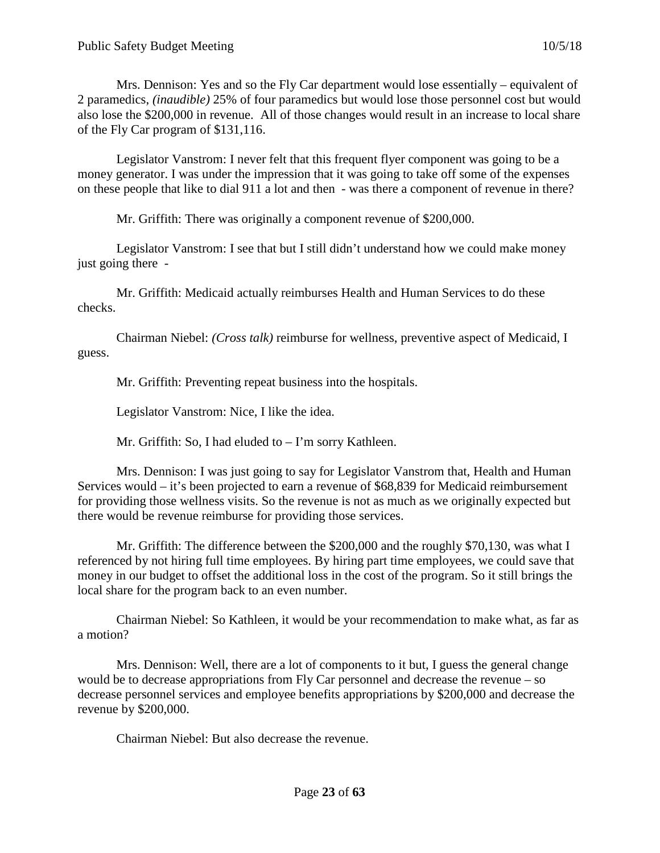Mrs. Dennison: Yes and so the Fly Car department would lose essentially – equivalent of 2 paramedics, *(inaudible)* 25% of four paramedics but would lose those personnel cost but would also lose the \$200,000 in revenue. All of those changes would result in an increase to local share of the Fly Car program of \$131,116.

Legislator Vanstrom: I never felt that this frequent flyer component was going to be a money generator. I was under the impression that it was going to take off some of the expenses on these people that like to dial 911 a lot and then - was there a component of revenue in there?

Mr. Griffith: There was originally a component revenue of \$200,000.

Legislator Vanstrom: I see that but I still didn't understand how we could make money just going there -

Mr. Griffith: Medicaid actually reimburses Health and Human Services to do these checks.

Chairman Niebel: *(Cross talk)* reimburse for wellness, preventive aspect of Medicaid, I guess.

Mr. Griffith: Preventing repeat business into the hospitals.

Legislator Vanstrom: Nice, I like the idea.

Mr. Griffith: So, I had eluded to – I'm sorry Kathleen.

Mrs. Dennison: I was just going to say for Legislator Vanstrom that, Health and Human Services would – it's been projected to earn a revenue of \$68,839 for Medicaid reimbursement for providing those wellness visits. So the revenue is not as much as we originally expected but there would be revenue reimburse for providing those services.

Mr. Griffith: The difference between the \$200,000 and the roughly \$70,130, was what I referenced by not hiring full time employees. By hiring part time employees, we could save that money in our budget to offset the additional loss in the cost of the program. So it still brings the local share for the program back to an even number.

Chairman Niebel: So Kathleen, it would be your recommendation to make what, as far as a motion?

Mrs. Dennison: Well, there are a lot of components to it but, I guess the general change would be to decrease appropriations from Fly Car personnel and decrease the revenue – so decrease personnel services and employee benefits appropriations by \$200,000 and decrease the revenue by \$200,000.

Chairman Niebel: But also decrease the revenue.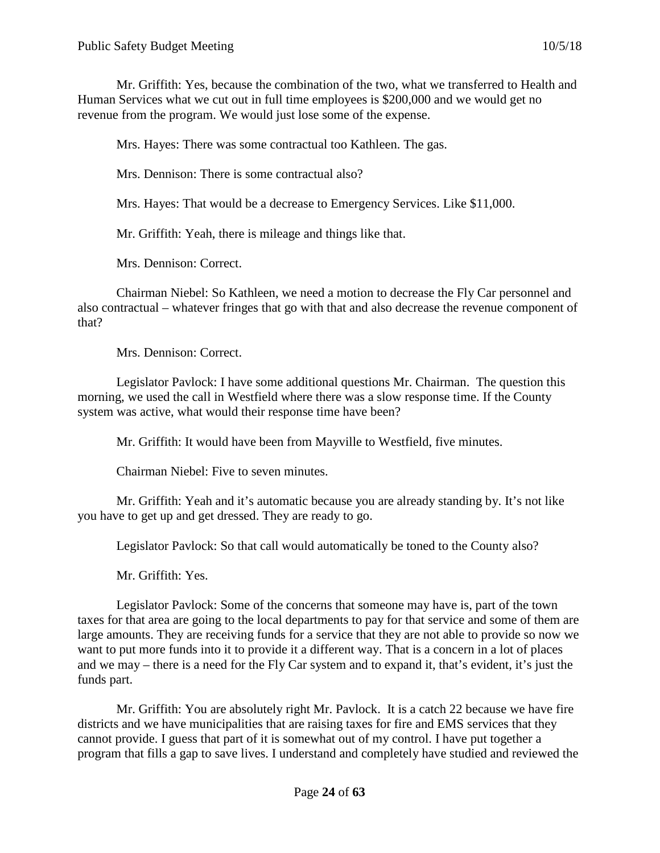Mr. Griffith: Yes, because the combination of the two, what we transferred to Health and Human Services what we cut out in full time employees is \$200,000 and we would get no revenue from the program. We would just lose some of the expense.

Mrs. Hayes: There was some contractual too Kathleen. The gas.

Mrs. Dennison: There is some contractual also?

Mrs. Hayes: That would be a decrease to Emergency Services. Like \$11,000.

Mr. Griffith: Yeah, there is mileage and things like that.

Mrs. Dennison: Correct.

Chairman Niebel: So Kathleen, we need a motion to decrease the Fly Car personnel and also contractual – whatever fringes that go with that and also decrease the revenue component of that?

Mrs. Dennison: Correct.

Legislator Pavlock: I have some additional questions Mr. Chairman. The question this morning, we used the call in Westfield where there was a slow response time. If the County system was active, what would their response time have been?

Mr. Griffith: It would have been from Mayville to Westfield, five minutes.

Chairman Niebel: Five to seven minutes.

Mr. Griffith: Yeah and it's automatic because you are already standing by. It's not like you have to get up and get dressed. They are ready to go.

Legislator Pavlock: So that call would automatically be toned to the County also?

Mr. Griffith: Yes.

Legislator Pavlock: Some of the concerns that someone may have is, part of the town taxes for that area are going to the local departments to pay for that service and some of them are large amounts. They are receiving funds for a service that they are not able to provide so now we want to put more funds into it to provide it a different way. That is a concern in a lot of places and we may – there is a need for the Fly Car system and to expand it, that's evident, it's just the funds part.

Mr. Griffith: You are absolutely right Mr. Pavlock. It is a catch 22 because we have fire districts and we have municipalities that are raising taxes for fire and EMS services that they cannot provide. I guess that part of it is somewhat out of my control. I have put together a program that fills a gap to save lives. I understand and completely have studied and reviewed the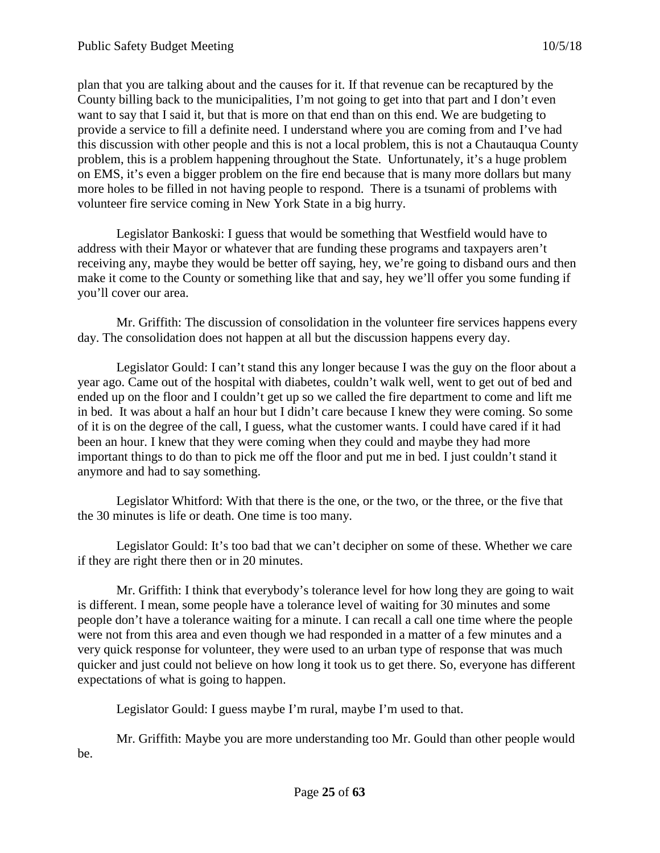plan that you are talking about and the causes for it. If that revenue can be recaptured by the County billing back to the municipalities, I'm not going to get into that part and I don't even want to say that I said it, but that is more on that end than on this end. We are budgeting to provide a service to fill a definite need. I understand where you are coming from and I've had this discussion with other people and this is not a local problem, this is not a Chautauqua County problem, this is a problem happening throughout the State. Unfortunately, it's a huge problem on EMS, it's even a bigger problem on the fire end because that is many more dollars but many more holes to be filled in not having people to respond. There is a tsunami of problems with volunteer fire service coming in New York State in a big hurry.

Legislator Bankoski: I guess that would be something that Westfield would have to address with their Mayor or whatever that are funding these programs and taxpayers aren't receiving any, maybe they would be better off saying, hey, we're going to disband ours and then make it come to the County or something like that and say, hey we'll offer you some funding if you'll cover our area.

Mr. Griffith: The discussion of consolidation in the volunteer fire services happens every day. The consolidation does not happen at all but the discussion happens every day.

Legislator Gould: I can't stand this any longer because I was the guy on the floor about a year ago. Came out of the hospital with diabetes, couldn't walk well, went to get out of bed and ended up on the floor and I couldn't get up so we called the fire department to come and lift me in bed. It was about a half an hour but I didn't care because I knew they were coming. So some of it is on the degree of the call, I guess, what the customer wants. I could have cared if it had been an hour. I knew that they were coming when they could and maybe they had more important things to do than to pick me off the floor and put me in bed. I just couldn't stand it anymore and had to say something.

Legislator Whitford: With that there is the one, or the two, or the three, or the five that the 30 minutes is life or death. One time is too many.

Legislator Gould: It's too bad that we can't decipher on some of these. Whether we care if they are right there then or in 20 minutes.

Mr. Griffith: I think that everybody's tolerance level for how long they are going to wait is different. I mean, some people have a tolerance level of waiting for 30 minutes and some people don't have a tolerance waiting for a minute. I can recall a call one time where the people were not from this area and even though we had responded in a matter of a few minutes and a very quick response for volunteer, they were used to an urban type of response that was much quicker and just could not believe on how long it took us to get there. So, everyone has different expectations of what is going to happen.

Legislator Gould: I guess maybe I'm rural, maybe I'm used to that.

Mr. Griffith: Maybe you are more understanding too Mr. Gould than other people would be.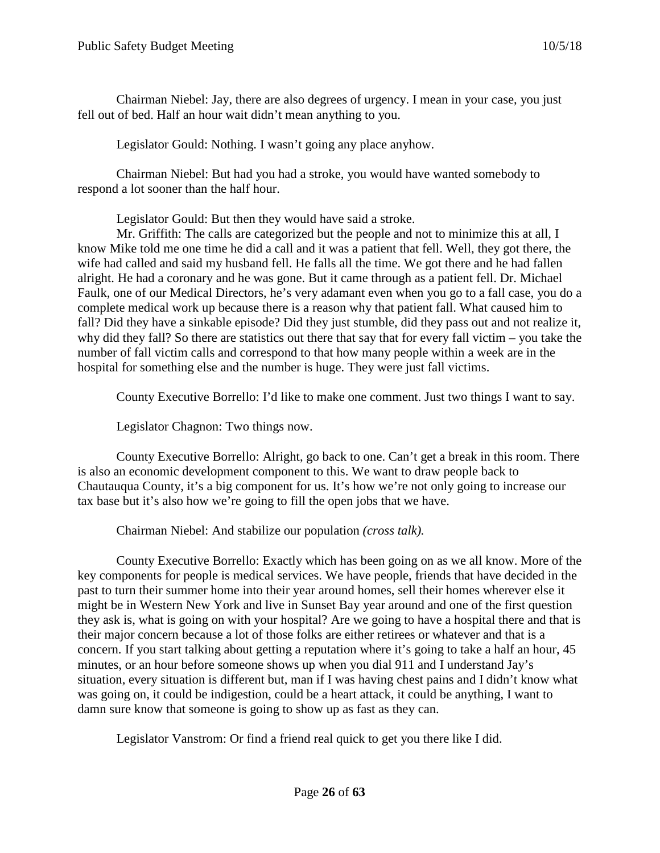Chairman Niebel: Jay, there are also degrees of urgency. I mean in your case, you just fell out of bed. Half an hour wait didn't mean anything to you.

Legislator Gould: Nothing. I wasn't going any place anyhow.

Chairman Niebel: But had you had a stroke, you would have wanted somebody to respond a lot sooner than the half hour.

Legislator Gould: But then they would have said a stroke.

Mr. Griffith: The calls are categorized but the people and not to minimize this at all, I know Mike told me one time he did a call and it was a patient that fell. Well, they got there, the wife had called and said my husband fell. He falls all the time. We got there and he had fallen alright. He had a coronary and he was gone. But it came through as a patient fell. Dr. Michael Faulk, one of our Medical Directors, he's very adamant even when you go to a fall case, you do a complete medical work up because there is a reason why that patient fall. What caused him to fall? Did they have a sinkable episode? Did they just stumble, did they pass out and not realize it, why did they fall? So there are statistics out there that say that for every fall victim – you take the number of fall victim calls and correspond to that how many people within a week are in the hospital for something else and the number is huge. They were just fall victims.

County Executive Borrello: I'd like to make one comment. Just two things I want to say.

Legislator Chagnon: Two things now.

County Executive Borrello: Alright, go back to one. Can't get a break in this room. There is also an economic development component to this. We want to draw people back to Chautauqua County, it's a big component for us. It's how we're not only going to increase our tax base but it's also how we're going to fill the open jobs that we have.

Chairman Niebel: And stabilize our population *(cross talk).*

County Executive Borrello: Exactly which has been going on as we all know. More of the key components for people is medical services. We have people, friends that have decided in the past to turn their summer home into their year around homes, sell their homes wherever else it might be in Western New York and live in Sunset Bay year around and one of the first question they ask is, what is going on with your hospital? Are we going to have a hospital there and that is their major concern because a lot of those folks are either retirees or whatever and that is a concern. If you start talking about getting a reputation where it's going to take a half an hour, 45 minutes, or an hour before someone shows up when you dial 911 and I understand Jay's situation, every situation is different but, man if I was having chest pains and I didn't know what was going on, it could be indigestion, could be a heart attack, it could be anything, I want to damn sure know that someone is going to show up as fast as they can.

Legislator Vanstrom: Or find a friend real quick to get you there like I did.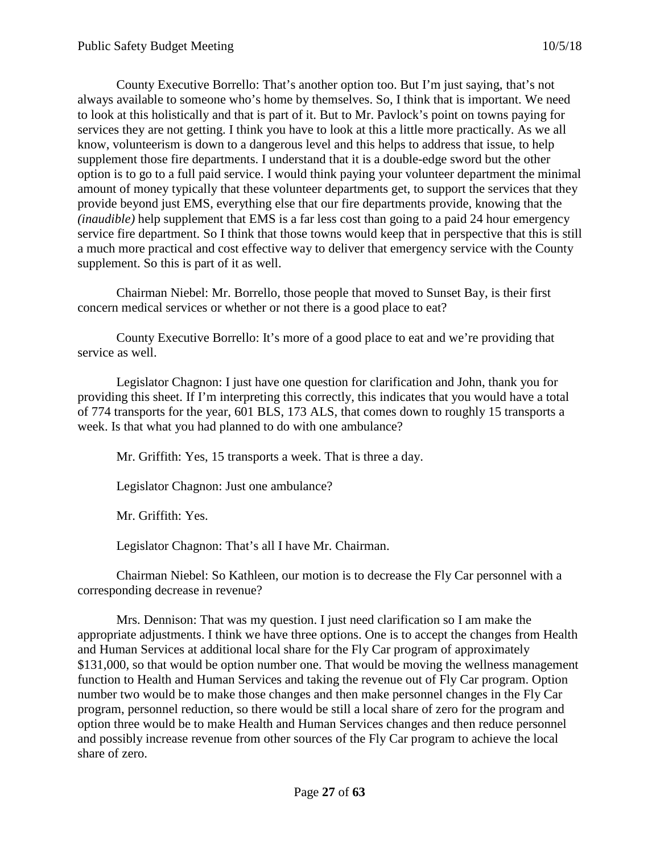County Executive Borrello: That's another option too. But I'm just saying, that's not always available to someone who's home by themselves. So, I think that is important. We need to look at this holistically and that is part of it. But to Mr. Pavlock's point on towns paying for services they are not getting. I think you have to look at this a little more practically. As we all know, volunteerism is down to a dangerous level and this helps to address that issue, to help supplement those fire departments. I understand that it is a double-edge sword but the other option is to go to a full paid service. I would think paying your volunteer department the minimal amount of money typically that these volunteer departments get, to support the services that they provide beyond just EMS, everything else that our fire departments provide, knowing that the *(inaudible)* help supplement that EMS is a far less cost than going to a paid 24 hour emergency service fire department. So I think that those towns would keep that in perspective that this is still a much more practical and cost effective way to deliver that emergency service with the County supplement. So this is part of it as well.

Chairman Niebel: Mr. Borrello, those people that moved to Sunset Bay, is their first concern medical services or whether or not there is a good place to eat?

County Executive Borrello: It's more of a good place to eat and we're providing that service as well.

Legislator Chagnon: I just have one question for clarification and John, thank you for providing this sheet. If I'm interpreting this correctly, this indicates that you would have a total of 774 transports for the year, 601 BLS, 173 ALS, that comes down to roughly 15 transports a week. Is that what you had planned to do with one ambulance?

Mr. Griffith: Yes, 15 transports a week. That is three a day.

Legislator Chagnon: Just one ambulance?

Mr. Griffith: Yes.

Legislator Chagnon: That's all I have Mr. Chairman.

Chairman Niebel: So Kathleen, our motion is to decrease the Fly Car personnel with a corresponding decrease in revenue?

Mrs. Dennison: That was my question. I just need clarification so I am make the appropriate adjustments. I think we have three options. One is to accept the changes from Health and Human Services at additional local share for the Fly Car program of approximately \$131,000, so that would be option number one. That would be moving the wellness management function to Health and Human Services and taking the revenue out of Fly Car program. Option number two would be to make those changes and then make personnel changes in the Fly Car program, personnel reduction, so there would be still a local share of zero for the program and option three would be to make Health and Human Services changes and then reduce personnel and possibly increase revenue from other sources of the Fly Car program to achieve the local share of zero.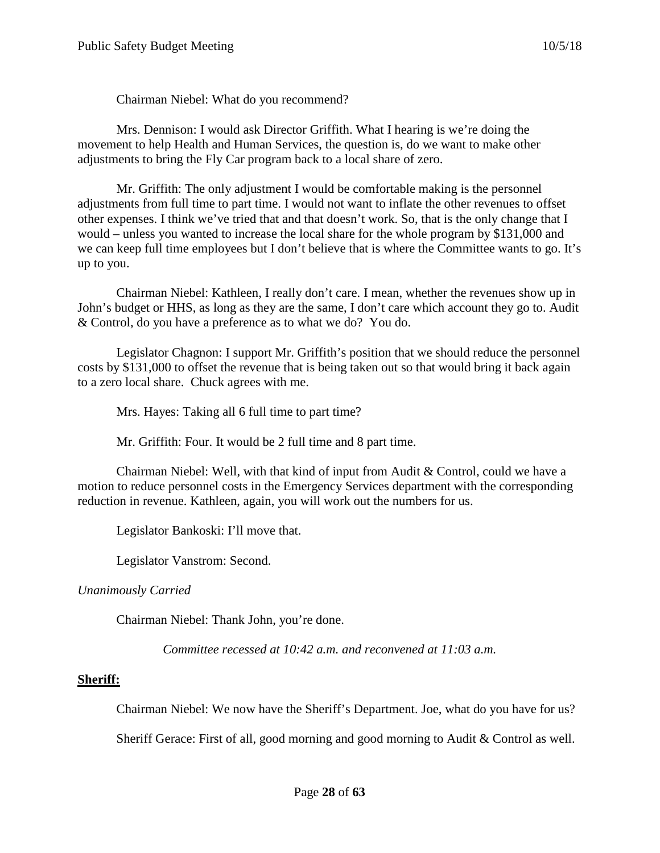Chairman Niebel: What do you recommend?

Mrs. Dennison: I would ask Director Griffith. What I hearing is we're doing the movement to help Health and Human Services, the question is, do we want to make other adjustments to bring the Fly Car program back to a local share of zero.

Mr. Griffith: The only adjustment I would be comfortable making is the personnel adjustments from full time to part time. I would not want to inflate the other revenues to offset other expenses. I think we've tried that and that doesn't work. So, that is the only change that I would – unless you wanted to increase the local share for the whole program by \$131,000 and we can keep full time employees but I don't believe that is where the Committee wants to go. It's up to you.

Chairman Niebel: Kathleen, I really don't care. I mean, whether the revenues show up in John's budget or HHS, as long as they are the same, I don't care which account they go to. Audit & Control, do you have a preference as to what we do? You do.

Legislator Chagnon: I support Mr. Griffith's position that we should reduce the personnel costs by \$131,000 to offset the revenue that is being taken out so that would bring it back again to a zero local share. Chuck agrees with me.

Mrs. Hayes: Taking all 6 full time to part time?

Mr. Griffith: Four. It would be 2 full time and 8 part time.

Chairman Niebel: Well, with that kind of input from Audit & Control, could we have a motion to reduce personnel costs in the Emergency Services department with the corresponding reduction in revenue. Kathleen, again, you will work out the numbers for us.

Legislator Bankoski: I'll move that.

Legislator Vanstrom: Second.

*Unanimously Carried*

Chairman Niebel: Thank John, you're done.

*Committee recessed at 10:42 a.m. and reconvened at 11:03 a.m.*

#### **Sheriff:**

Chairman Niebel: We now have the Sheriff's Department. Joe, what do you have for us?

Sheriff Gerace: First of all, good morning and good morning to Audit  $&$  Control as well.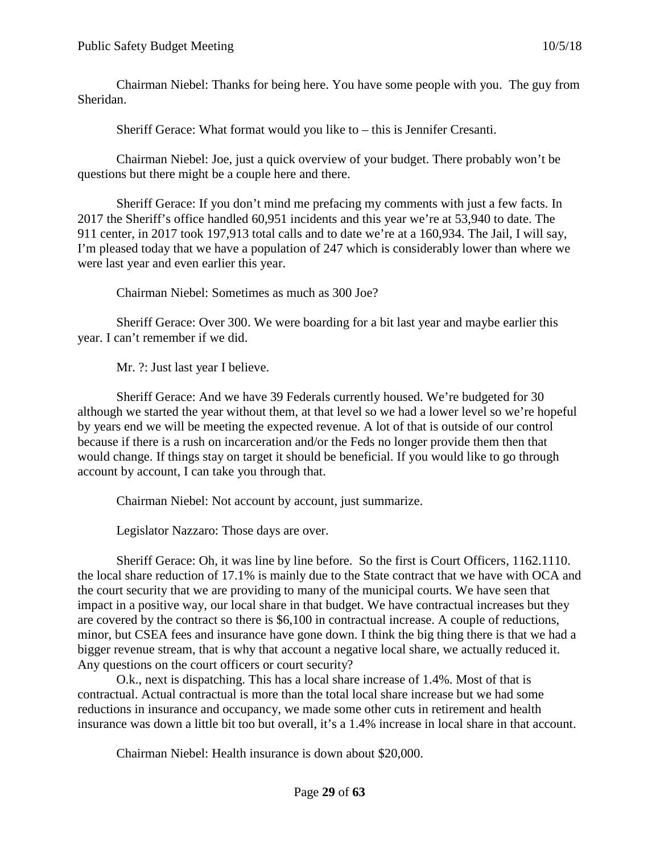Chairman Niebel: Thanks for being here. You have some people with you. The guy from Sheridan.

Sheriff Gerace: What format would you like to – this is Jennifer Cresanti.

Chairman Niebel: Joe, just a quick overview of your budget. There probably won't be questions but there might be a couple here and there.

Sheriff Gerace: If you don't mind me prefacing my comments with just a few facts. In 2017 the Sheriff's office handled 60,951 incidents and this year we're at 53,940 to date. The 911 center, in 2017 took 197,913 total calls and to date we're at a 160,934. The Jail, I will say, I'm pleased today that we have a population of 247 which is considerably lower than where we were last year and even earlier this year.

Chairman Niebel: Sometimes as much as 300 Joe?

Sheriff Gerace: Over 300. We were boarding for a bit last year and maybe earlier this year. I can't remember if we did.

Mr. ?: Just last year I believe.

Sheriff Gerace: And we have 39 Federals currently housed. We're budgeted for 30 although we started the year without them, at that level so we had a lower level so we're hopeful by years end we will be meeting the expected revenue. A lot of that is outside of our control because if there is a rush on incarceration and/or the Feds no longer provide them then that would change. If things stay on target it should be beneficial. If you would like to go through account by account, I can take you through that.

Chairman Niebel: Not account by account, just summarize.

Legislator Nazzaro: Those days are over.

Sheriff Gerace: Oh, it was line by line before. So the first is Court Officers, 1162.1110. the local share reduction of 17.1% is mainly due to the State contract that we have with OCA and the court security that we are providing to many of the municipal courts. We have seen that impact in a positive way, our local share in that budget. We have contractual increases but they are covered by the contract so there is \$6,100 in contractual increase. A couple of reductions, minor, but CSEA fees and insurance have gone down. I think the big thing there is that we had a bigger revenue stream, that is why that account a negative local share, we actually reduced it. Any questions on the court officers or court security?

O.k., next is dispatching. This has a local share increase of 1.4%. Most of that is contractual. Actual contractual is more than the total local share increase but we had some reductions in insurance and occupancy, we made some other cuts in retirement and health insurance was down a little bit too but overall, it's a 1.4% increase in local share in that account.

Chairman Niebel: Health insurance is down about \$20,000.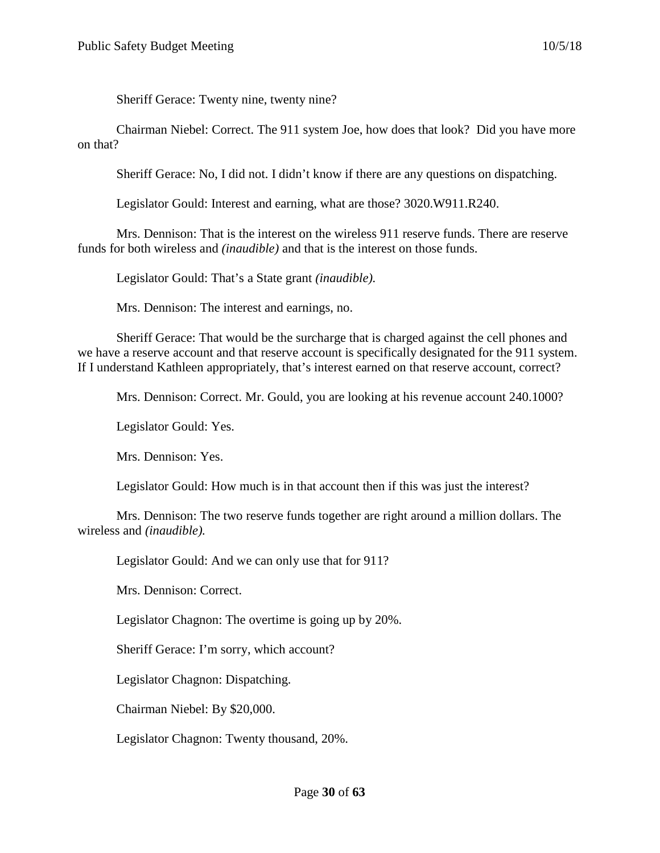Sheriff Gerace: Twenty nine, twenty nine?

Chairman Niebel: Correct. The 911 system Joe, how does that look? Did you have more on that?

Sheriff Gerace: No, I did not. I didn't know if there are any questions on dispatching.

Legislator Gould: Interest and earning, what are those? 3020.W911.R240.

Mrs. Dennison: That is the interest on the wireless 911 reserve funds. There are reserve funds for both wireless and *(inaudible)* and that is the interest on those funds.

Legislator Gould: That's a State grant *(inaudible).*

Mrs. Dennison: The interest and earnings, no.

Sheriff Gerace: That would be the surcharge that is charged against the cell phones and we have a reserve account and that reserve account is specifically designated for the 911 system. If I understand Kathleen appropriately, that's interest earned on that reserve account, correct?

Mrs. Dennison: Correct. Mr. Gould, you are looking at his revenue account 240.1000?

Legislator Gould: Yes.

Mrs. Dennison: Yes.

Legislator Gould: How much is in that account then if this was just the interest?

Mrs. Dennison: The two reserve funds together are right around a million dollars. The wireless and *(inaudible).*

Legislator Gould: And we can only use that for 911?

Mrs. Dennison: Correct.

Legislator Chagnon: The overtime is going up by 20%.

Sheriff Gerace: I'm sorry, which account?

Legislator Chagnon: Dispatching.

Chairman Niebel: By \$20,000.

Legislator Chagnon: Twenty thousand, 20%.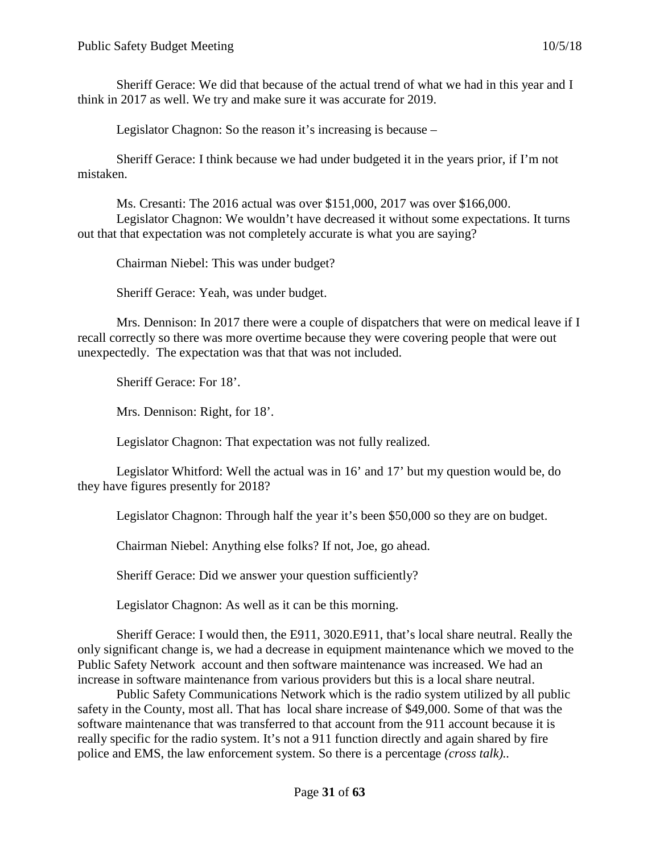Sheriff Gerace: We did that because of the actual trend of what we had in this year and I think in 2017 as well. We try and make sure it was accurate for 2019.

Legislator Chagnon: So the reason it's increasing is because –

Sheriff Gerace: I think because we had under budgeted it in the years prior, if I'm not mistaken.

Ms. Cresanti: The 2016 actual was over \$151,000, 2017 was over \$166,000. Legislator Chagnon: We wouldn't have decreased it without some expectations. It turns out that that expectation was not completely accurate is what you are saying?

Chairman Niebel: This was under budget?

Sheriff Gerace: Yeah, was under budget.

Mrs. Dennison: In 2017 there were a couple of dispatchers that were on medical leave if I recall correctly so there was more overtime because they were covering people that were out unexpectedly. The expectation was that that was not included.

Sheriff Gerace: For 18'.

Mrs. Dennison: Right, for 18'.

Legislator Chagnon: That expectation was not fully realized.

Legislator Whitford: Well the actual was in 16' and 17' but my question would be, do they have figures presently for 2018?

Legislator Chagnon: Through half the year it's been \$50,000 so they are on budget.

Chairman Niebel: Anything else folks? If not, Joe, go ahead.

Sheriff Gerace: Did we answer your question sufficiently?

Legislator Chagnon: As well as it can be this morning.

Sheriff Gerace: I would then, the E911, 3020.E911, that's local share neutral. Really the only significant change is, we had a decrease in equipment maintenance which we moved to the Public Safety Network account and then software maintenance was increased. We had an increase in software maintenance from various providers but this is a local share neutral.

Public Safety Communications Network which is the radio system utilized by all public safety in the County, most all. That has local share increase of \$49,000. Some of that was the software maintenance that was transferred to that account from the 911 account because it is really specific for the radio system. It's not a 911 function directly and again shared by fire police and EMS, the law enforcement system. So there is a percentage *(cross talk)..*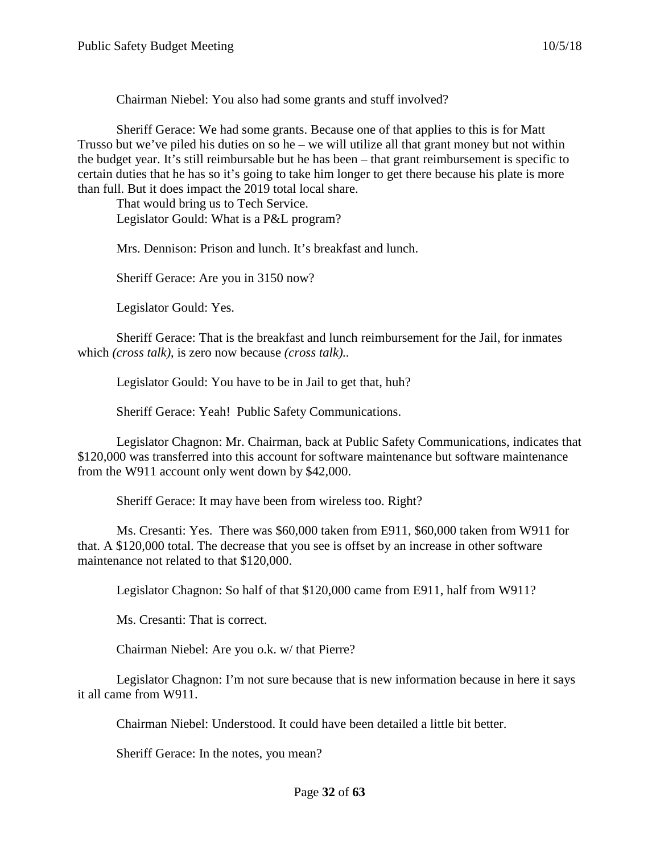Chairman Niebel: You also had some grants and stuff involved?

Sheriff Gerace: We had some grants. Because one of that applies to this is for Matt Trusso but we've piled his duties on so he – we will utilize all that grant money but not within the budget year. It's still reimbursable but he has been – that grant reimbursement is specific to certain duties that he has so it's going to take him longer to get there because his plate is more than full. But it does impact the 2019 total local share.

That would bring us to Tech Service. Legislator Gould: What is a P&L program?

Mrs. Dennison: Prison and lunch. It's breakfast and lunch.

Sheriff Gerace: Are you in 3150 now?

Legislator Gould: Yes.

Sheriff Gerace: That is the breakfast and lunch reimbursement for the Jail, for inmates which *(cross talk)*, is zero now because *(cross talk)..*

Legislator Gould: You have to be in Jail to get that, huh?

Sheriff Gerace: Yeah! Public Safety Communications.

Legislator Chagnon: Mr. Chairman, back at Public Safety Communications, indicates that \$120,000 was transferred into this account for software maintenance but software maintenance from the W911 account only went down by \$42,000.

Sheriff Gerace: It may have been from wireless too. Right?

Ms. Cresanti: Yes. There was \$60,000 taken from E911, \$60,000 taken from W911 for that. A \$120,000 total. The decrease that you see is offset by an increase in other software maintenance not related to that \$120,000.

Legislator Chagnon: So half of that \$120,000 came from E911, half from W911?

Ms. Cresanti: That is correct.

Chairman Niebel: Are you o.k. w/ that Pierre?

Legislator Chagnon: I'm not sure because that is new information because in here it says it all came from W911.

Chairman Niebel: Understood. It could have been detailed a little bit better.

Sheriff Gerace: In the notes, you mean?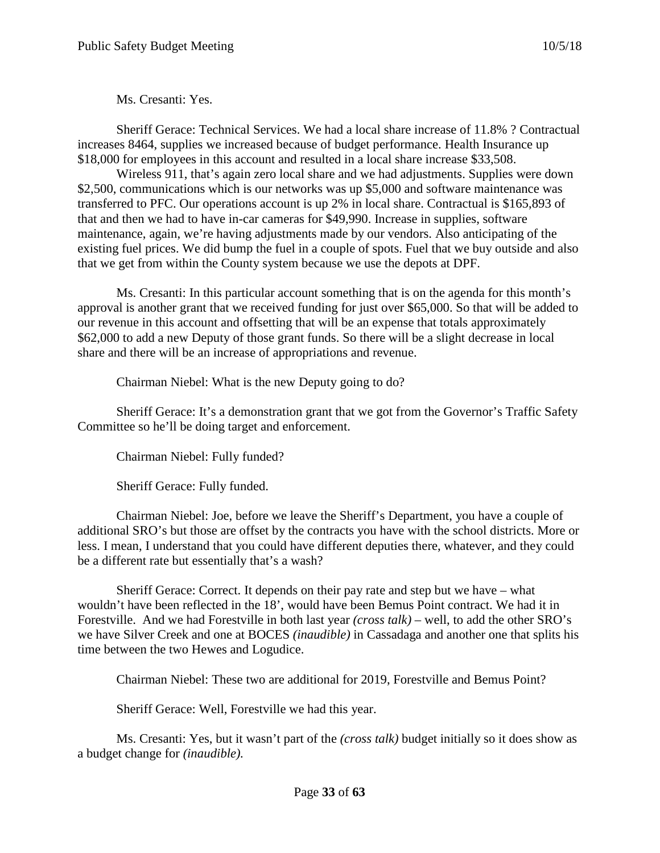Ms. Cresanti: Yes.

Sheriff Gerace: Technical Services. We had a local share increase of 11.8% ? Contractual increases 8464, supplies we increased because of budget performance. Health Insurance up \$18,000 for employees in this account and resulted in a local share increase \$33,508.

Wireless 911, that's again zero local share and we had adjustments. Supplies were down \$2,500, communications which is our networks was up \$5,000 and software maintenance was transferred to PFC. Our operations account is up 2% in local share. Contractual is \$165,893 of that and then we had to have in-car cameras for \$49,990. Increase in supplies, software maintenance, again, we're having adjustments made by our vendors. Also anticipating of the existing fuel prices. We did bump the fuel in a couple of spots. Fuel that we buy outside and also that we get from within the County system because we use the depots at DPF.

Ms. Cresanti: In this particular account something that is on the agenda for this month's approval is another grant that we received funding for just over \$65,000. So that will be added to our revenue in this account and offsetting that will be an expense that totals approximately \$62,000 to add a new Deputy of those grant funds. So there will be a slight decrease in local share and there will be an increase of appropriations and revenue.

Chairman Niebel: What is the new Deputy going to do?

Sheriff Gerace: It's a demonstration grant that we got from the Governor's Traffic Safety Committee so he'll be doing target and enforcement.

Chairman Niebel: Fully funded?

Sheriff Gerace: Fully funded.

Chairman Niebel: Joe, before we leave the Sheriff's Department, you have a couple of additional SRO's but those are offset by the contracts you have with the school districts. More or less. I mean, I understand that you could have different deputies there, whatever, and they could be a different rate but essentially that's a wash?

Sheriff Gerace: Correct. It depends on their pay rate and step but we have – what wouldn't have been reflected in the 18', would have been Bemus Point contract. We had it in Forestville. And we had Forestville in both last year *(cross talk) –* well, to add the other SRO's we have Silver Creek and one at BOCES *(inaudible)* in Cassadaga and another one that splits his time between the two Hewes and Logudice.

Chairman Niebel: These two are additional for 2019, Forestville and Bemus Point?

Sheriff Gerace: Well, Forestville we had this year.

Ms. Cresanti: Yes, but it wasn't part of the *(cross talk)* budget initially so it does show as a budget change for *(inaudible).*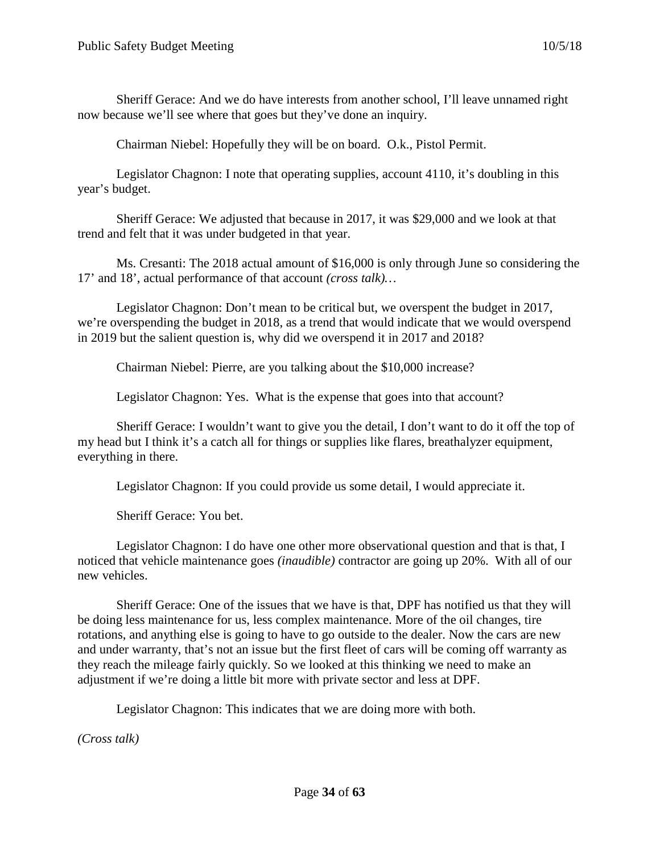Sheriff Gerace: And we do have interests from another school, I'll leave unnamed right now because we'll see where that goes but they've done an inquiry.

Chairman Niebel: Hopefully they will be on board. O.k., Pistol Permit.

Legislator Chagnon: I note that operating supplies, account 4110, it's doubling in this year's budget.

Sheriff Gerace: We adjusted that because in 2017, it was \$29,000 and we look at that trend and felt that it was under budgeted in that year.

Ms. Cresanti: The 2018 actual amount of \$16,000 is only through June so considering the 17' and 18', actual performance of that account *(cross talk)…*

Legislator Chagnon: Don't mean to be critical but, we overspent the budget in 2017, we're overspending the budget in 2018, as a trend that would indicate that we would overspend in 2019 but the salient question is, why did we overspend it in 2017 and 2018?

Chairman Niebel: Pierre, are you talking about the \$10,000 increase?

Legislator Chagnon: Yes. What is the expense that goes into that account?

Sheriff Gerace: I wouldn't want to give you the detail, I don't want to do it off the top of my head but I think it's a catch all for things or supplies like flares, breathalyzer equipment, everything in there.

Legislator Chagnon: If you could provide us some detail, I would appreciate it.

Sheriff Gerace: You bet.

Legislator Chagnon: I do have one other more observational question and that is that, I noticed that vehicle maintenance goes *(inaudible)* contractor are going up 20%. With all of our new vehicles.

Sheriff Gerace: One of the issues that we have is that, DPF has notified us that they will be doing less maintenance for us, less complex maintenance. More of the oil changes, tire rotations, and anything else is going to have to go outside to the dealer. Now the cars are new and under warranty, that's not an issue but the first fleet of cars will be coming off warranty as they reach the mileage fairly quickly. So we looked at this thinking we need to make an adjustment if we're doing a little bit more with private sector and less at DPF.

Legislator Chagnon: This indicates that we are doing more with both.

*(Cross talk)*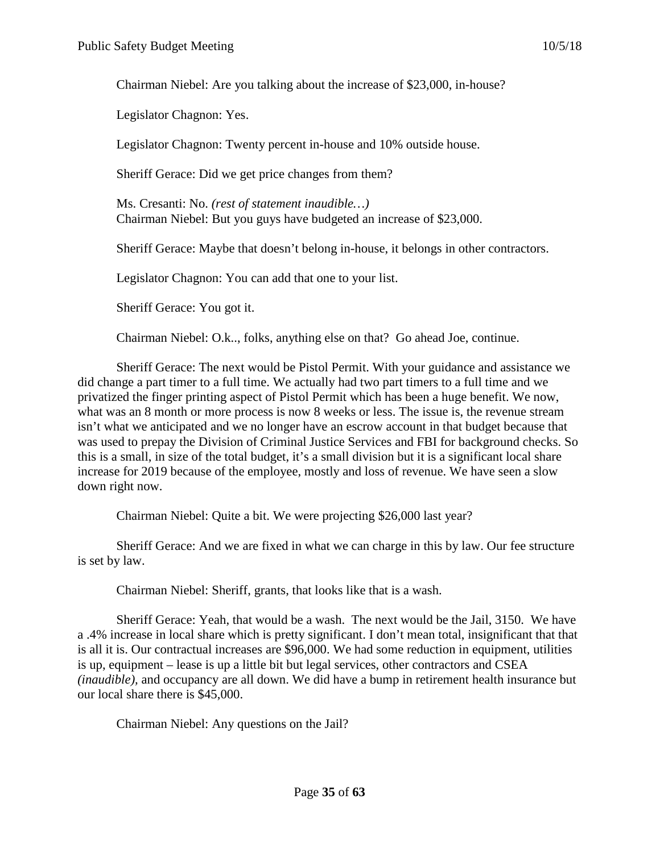Chairman Niebel: Are you talking about the increase of \$23,000, in-house?

Legislator Chagnon: Yes.

Legislator Chagnon: Twenty percent in-house and 10% outside house.

Sheriff Gerace: Did we get price changes from them?

Ms. Cresanti: No. *(rest of statement inaudible…)* Chairman Niebel: But you guys have budgeted an increase of \$23,000.

Sheriff Gerace: Maybe that doesn't belong in-house, it belongs in other contractors.

Legislator Chagnon: You can add that one to your list.

Sheriff Gerace: You got it.

Chairman Niebel: O.k.., folks, anything else on that? Go ahead Joe, continue.

Sheriff Gerace: The next would be Pistol Permit. With your guidance and assistance we did change a part timer to a full time. We actually had two part timers to a full time and we privatized the finger printing aspect of Pistol Permit which has been a huge benefit. We now, what was an 8 month or more process is now 8 weeks or less. The issue is, the revenue stream isn't what we anticipated and we no longer have an escrow account in that budget because that was used to prepay the Division of Criminal Justice Services and FBI for background checks. So this is a small, in size of the total budget, it's a small division but it is a significant local share increase for 2019 because of the employee, mostly and loss of revenue. We have seen a slow down right now.

Chairman Niebel: Quite a bit. We were projecting \$26,000 last year?

Sheriff Gerace: And we are fixed in what we can charge in this by law. Our fee structure is set by law.

Chairman Niebel: Sheriff, grants, that looks like that is a wash.

Sheriff Gerace: Yeah, that would be a wash. The next would be the Jail, 3150. We have a .4% increase in local share which is pretty significant. I don't mean total, insignificant that that is all it is. Our contractual increases are \$96,000. We had some reduction in equipment, utilities is up, equipment – lease is up a little bit but legal services, other contractors and CSEA *(inaudible),* and occupancy are all down. We did have a bump in retirement health insurance but our local share there is \$45,000.

Chairman Niebel: Any questions on the Jail?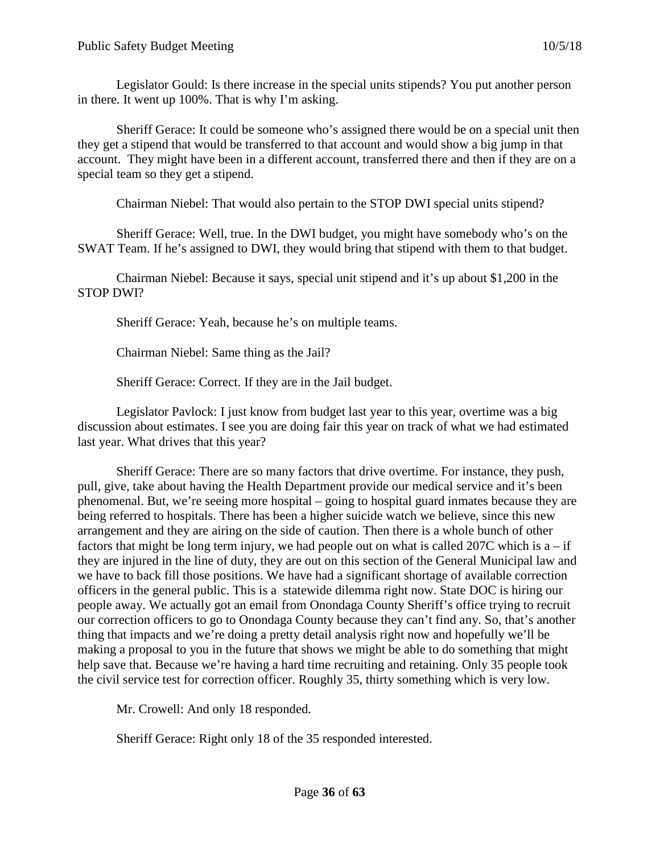Legislator Gould: Is there increase in the special units stipends? You put another person in there. It went up 100%. That is why I'm asking.

Sheriff Gerace: It could be someone who's assigned there would be on a special unit then they get a stipend that would be transferred to that account and would show a big jump in that account. They might have been in a different account, transferred there and then if they are on a special team so they get a stipend.

Chairman Niebel: That would also pertain to the STOP DWI special units stipend?

Sheriff Gerace: Well, true. In the DWI budget, you might have somebody who's on the SWAT Team. If he's assigned to DWI, they would bring that stipend with them to that budget.

Chairman Niebel: Because it says, special unit stipend and it's up about \$1,200 in the STOP DWI?

Sheriff Gerace: Yeah, because he's on multiple teams.

Chairman Niebel: Same thing as the Jail?

Sheriff Gerace: Correct. If they are in the Jail budget.

Legislator Pavlock: I just know from budget last year to this year, overtime was a big discussion about estimates. I see you are doing fair this year on track of what we had estimated last year. What drives that this year?

Sheriff Gerace: There are so many factors that drive overtime. For instance, they push, pull, give, take about having the Health Department provide our medical service and it's been phenomenal. But, we're seeing more hospital – going to hospital guard inmates because they are being referred to hospitals. There has been a higher suicide watch we believe, since this new arrangement and they are airing on the side of caution. Then there is a whole bunch of other factors that might be long term injury, we had people out on what is called 207C which is  $a - if$ they are injured in the line of duty, they are out on this section of the General Municipal law and we have to back fill those positions. We have had a significant shortage of available correction officers in the general public. This is a statewide dilemma right now. State DOC is hiring our people away. We actually got an email from Onondaga County Sheriff's office trying to recruit our correction officers to go to Onondaga County because they can't find any. So, that's another thing that impacts and we're doing a pretty detail analysis right now and hopefully we'll be making a proposal to you in the future that shows we might be able to do something that might help save that. Because we're having a hard time recruiting and retaining. Only 35 people took the civil service test for correction officer. Roughly 35, thirty something which is very low.

Mr. Crowell: And only 18 responded.

Sheriff Gerace: Right only 18 of the 35 responded interested.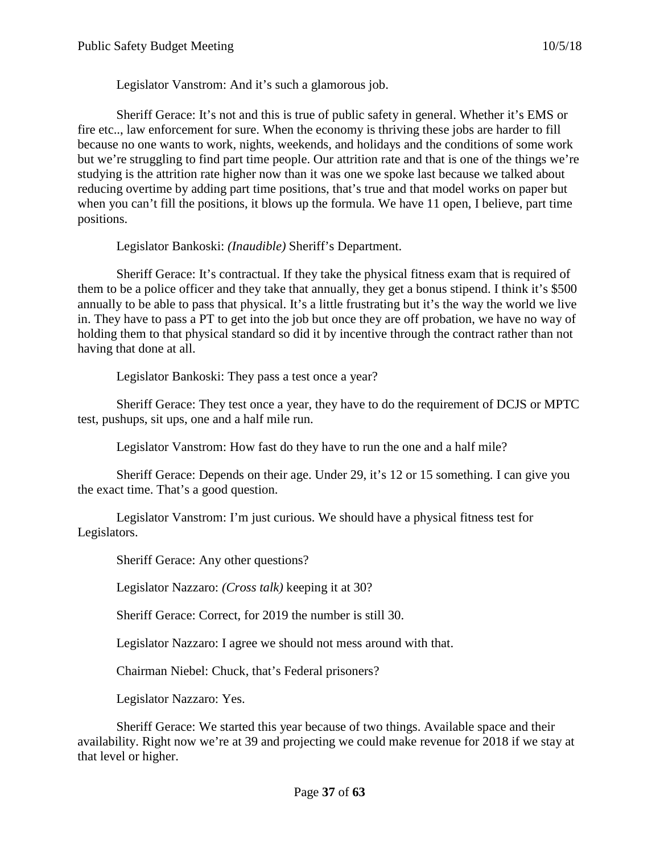Legislator Vanstrom: And it's such a glamorous job.

Sheriff Gerace: It's not and this is true of public safety in general. Whether it's EMS or fire etc.., law enforcement for sure. When the economy is thriving these jobs are harder to fill because no one wants to work, nights, weekends, and holidays and the conditions of some work but we're struggling to find part time people. Our attrition rate and that is one of the things we're studying is the attrition rate higher now than it was one we spoke last because we talked about reducing overtime by adding part time positions, that's true and that model works on paper but when you can't fill the positions, it blows up the formula. We have 11 open, I believe, part time positions.

Legislator Bankoski: *(Inaudible)* Sheriff's Department.

Sheriff Gerace: It's contractual. If they take the physical fitness exam that is required of them to be a police officer and they take that annually, they get a bonus stipend. I think it's \$500 annually to be able to pass that physical. It's a little frustrating but it's the way the world we live in. They have to pass a PT to get into the job but once they are off probation, we have no way of holding them to that physical standard so did it by incentive through the contract rather than not having that done at all.

Legislator Bankoski: They pass a test once a year?

Sheriff Gerace: They test once a year, they have to do the requirement of DCJS or MPTC test, pushups, sit ups, one and a half mile run.

Legislator Vanstrom: How fast do they have to run the one and a half mile?

Sheriff Gerace: Depends on their age. Under 29, it's 12 or 15 something. I can give you the exact time. That's a good question.

Legislator Vanstrom: I'm just curious. We should have a physical fitness test for Legislators.

Sheriff Gerace: Any other questions?

Legislator Nazzaro: *(Cross talk)* keeping it at 30?

Sheriff Gerace: Correct, for 2019 the number is still 30.

Legislator Nazzaro: I agree we should not mess around with that.

Chairman Niebel: Chuck, that's Federal prisoners?

Legislator Nazzaro: Yes.

Sheriff Gerace: We started this year because of two things. Available space and their availability. Right now we're at 39 and projecting we could make revenue for 2018 if we stay at that level or higher.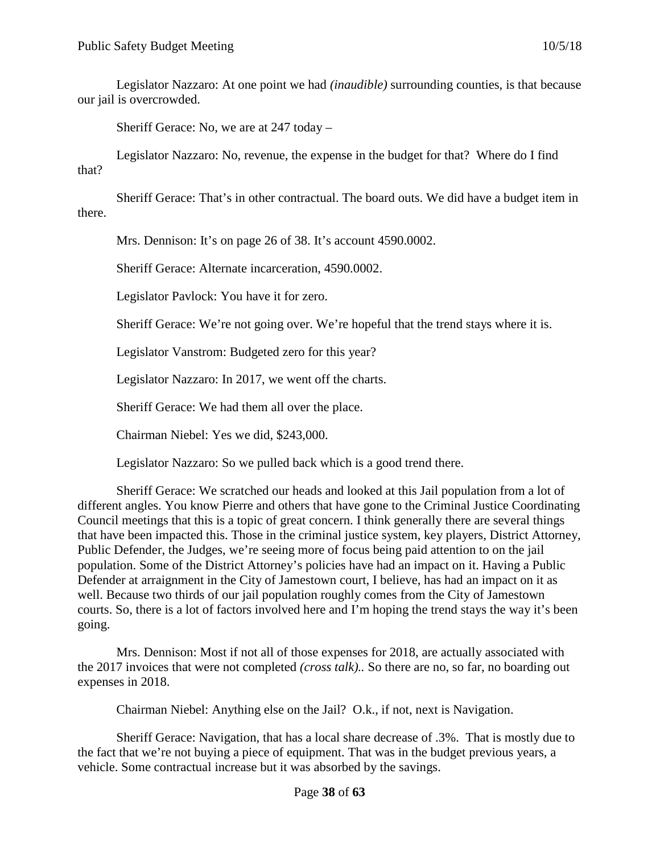Legislator Nazzaro: At one point we had *(inaudible)* surrounding counties, is that because our jail is overcrowded.

Sheriff Gerace: No, we are at 247 today –

Legislator Nazzaro: No, revenue, the expense in the budget for that? Where do I find that?

Sheriff Gerace: That's in other contractual. The board outs. We did have a budget item in there.

Mrs. Dennison: It's on page 26 of 38. It's account 4590.0002.

Sheriff Gerace: Alternate incarceration, 4590.0002.

Legislator Pavlock: You have it for zero.

Sheriff Gerace: We're not going over. We're hopeful that the trend stays where it is.

Legislator Vanstrom: Budgeted zero for this year?

Legislator Nazzaro: In 2017, we went off the charts.

Sheriff Gerace: We had them all over the place.

Chairman Niebel: Yes we did, \$243,000.

Legislator Nazzaro: So we pulled back which is a good trend there.

Sheriff Gerace: We scratched our heads and looked at this Jail population from a lot of different angles. You know Pierre and others that have gone to the Criminal Justice Coordinating Council meetings that this is a topic of great concern. I think generally there are several things that have been impacted this. Those in the criminal justice system, key players, District Attorney, Public Defender, the Judges, we're seeing more of focus being paid attention to on the jail population. Some of the District Attorney's policies have had an impact on it. Having a Public Defender at arraignment in the City of Jamestown court, I believe, has had an impact on it as well. Because two thirds of our jail population roughly comes from the City of Jamestown courts. So, there is a lot of factors involved here and I'm hoping the trend stays the way it's been going.

Mrs. Dennison: Most if not all of those expenses for 2018, are actually associated with the 2017 invoices that were not completed *(cross talk)..* So there are no, so far, no boarding out expenses in 2018.

Chairman Niebel: Anything else on the Jail? O.k., if not, next is Navigation.

Sheriff Gerace: Navigation, that has a local share decrease of .3%. That is mostly due to the fact that we're not buying a piece of equipment. That was in the budget previous years, a vehicle. Some contractual increase but it was absorbed by the savings.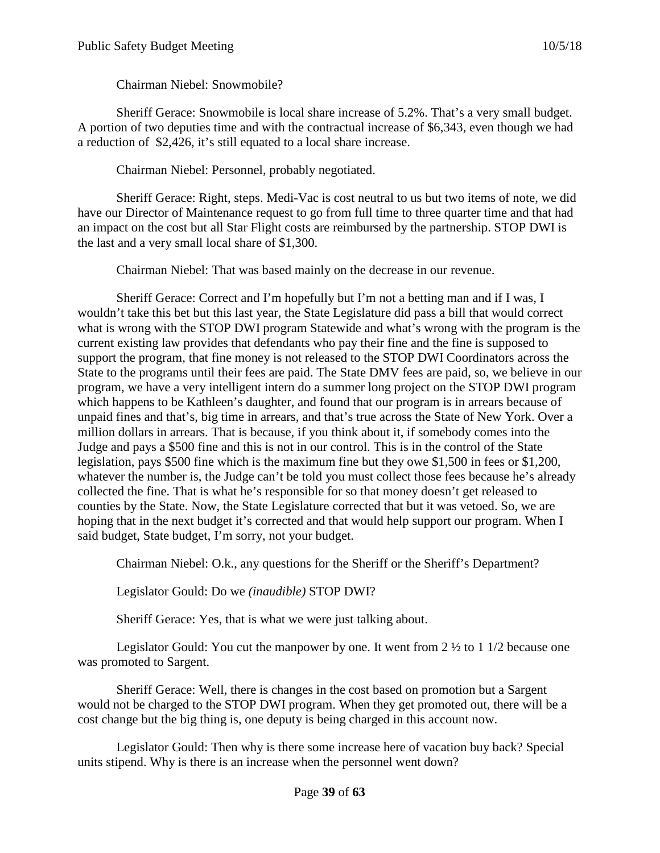Chairman Niebel: Snowmobile?

Sheriff Gerace: Snowmobile is local share increase of 5.2%. That's a very small budget. A portion of two deputies time and with the contractual increase of \$6,343, even though we had a reduction of \$2,426, it's still equated to a local share increase.

Chairman Niebel: Personnel, probably negotiated.

Sheriff Gerace: Right, steps. Medi-Vac is cost neutral to us but two items of note, we did have our Director of Maintenance request to go from full time to three quarter time and that had an impact on the cost but all Star Flight costs are reimbursed by the partnership. STOP DWI is the last and a very small local share of \$1,300.

Chairman Niebel: That was based mainly on the decrease in our revenue.

Sheriff Gerace: Correct and I'm hopefully but I'm not a betting man and if I was, I wouldn't take this bet but this last year, the State Legislature did pass a bill that would correct what is wrong with the STOP DWI program Statewide and what's wrong with the program is the current existing law provides that defendants who pay their fine and the fine is supposed to support the program, that fine money is not released to the STOP DWI Coordinators across the State to the programs until their fees are paid. The State DMV fees are paid, so, we believe in our program, we have a very intelligent intern do a summer long project on the STOP DWI program which happens to be Kathleen's daughter, and found that our program is in arrears because of unpaid fines and that's, big time in arrears, and that's true across the State of New York. Over a million dollars in arrears. That is because, if you think about it, if somebody comes into the Judge and pays a \$500 fine and this is not in our control. This is in the control of the State legislation, pays \$500 fine which is the maximum fine but they owe \$1,500 in fees or \$1,200, whatever the number is, the Judge can't be told you must collect those fees because he's already collected the fine. That is what he's responsible for so that money doesn't get released to counties by the State. Now, the State Legislature corrected that but it was vetoed. So, we are hoping that in the next budget it's corrected and that would help support our program. When I said budget, State budget, I'm sorry, not your budget.

Chairman Niebel: O.k., any questions for the Sheriff or the Sheriff's Department?

Legislator Gould: Do we *(inaudible)* STOP DWI?

Sheriff Gerace: Yes, that is what we were just talking about.

Legislator Gould: You cut the manpower by one. It went from 2 ½ to 1 1/2 because one was promoted to Sargent.

Sheriff Gerace: Well, there is changes in the cost based on promotion but a Sargent would not be charged to the STOP DWI program. When they get promoted out, there will be a cost change but the big thing is, one deputy is being charged in this account now.

Legislator Gould: Then why is there some increase here of vacation buy back? Special units stipend. Why is there is an increase when the personnel went down?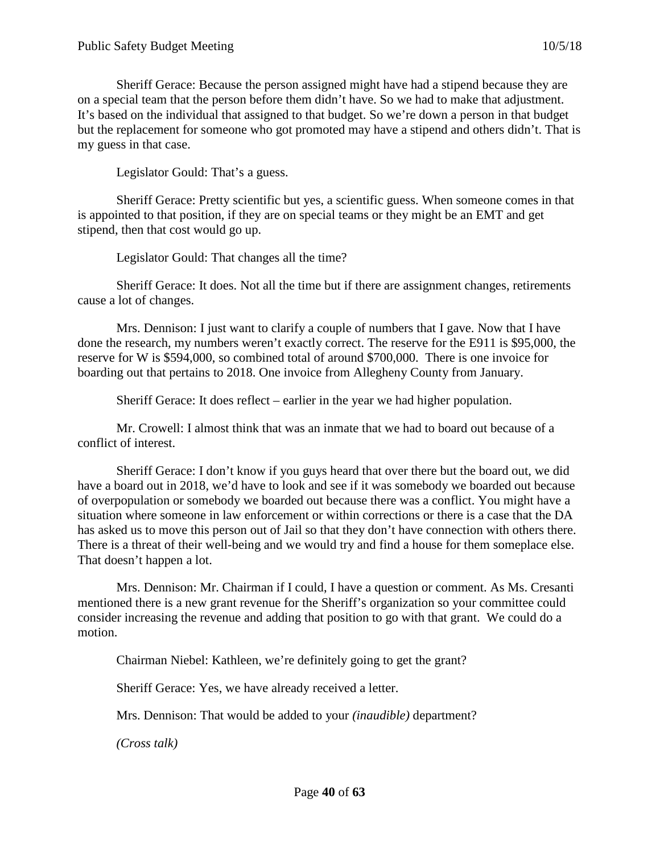Sheriff Gerace: Because the person assigned might have had a stipend because they are on a special team that the person before them didn't have. So we had to make that adjustment. It's based on the individual that assigned to that budget. So we're down a person in that budget but the replacement for someone who got promoted may have a stipend and others didn't. That is my guess in that case.

Legislator Gould: That's a guess.

Sheriff Gerace: Pretty scientific but yes, a scientific guess. When someone comes in that is appointed to that position, if they are on special teams or they might be an EMT and get stipend, then that cost would go up.

Legislator Gould: That changes all the time?

Sheriff Gerace: It does. Not all the time but if there are assignment changes, retirements cause a lot of changes.

Mrs. Dennison: I just want to clarify a couple of numbers that I gave. Now that I have done the research, my numbers weren't exactly correct. The reserve for the E911 is \$95,000, the reserve for W is \$594,000, so combined total of around \$700,000. There is one invoice for boarding out that pertains to 2018. One invoice from Allegheny County from January.

Sheriff Gerace: It does reflect – earlier in the year we had higher population.

Mr. Crowell: I almost think that was an inmate that we had to board out because of a conflict of interest.

Sheriff Gerace: I don't know if you guys heard that over there but the board out, we did have a board out in 2018, we'd have to look and see if it was somebody we boarded out because of overpopulation or somebody we boarded out because there was a conflict. You might have a situation where someone in law enforcement or within corrections or there is a case that the DA has asked us to move this person out of Jail so that they don't have connection with others there. There is a threat of their well-being and we would try and find a house for them someplace else. That doesn't happen a lot.

Mrs. Dennison: Mr. Chairman if I could, I have a question or comment. As Ms. Cresanti mentioned there is a new grant revenue for the Sheriff's organization so your committee could consider increasing the revenue and adding that position to go with that grant. We could do a motion.

Chairman Niebel: Kathleen, we're definitely going to get the grant?

Sheriff Gerace: Yes, we have already received a letter.

Mrs. Dennison: That would be added to your *(inaudible)* department?

*(Cross talk)*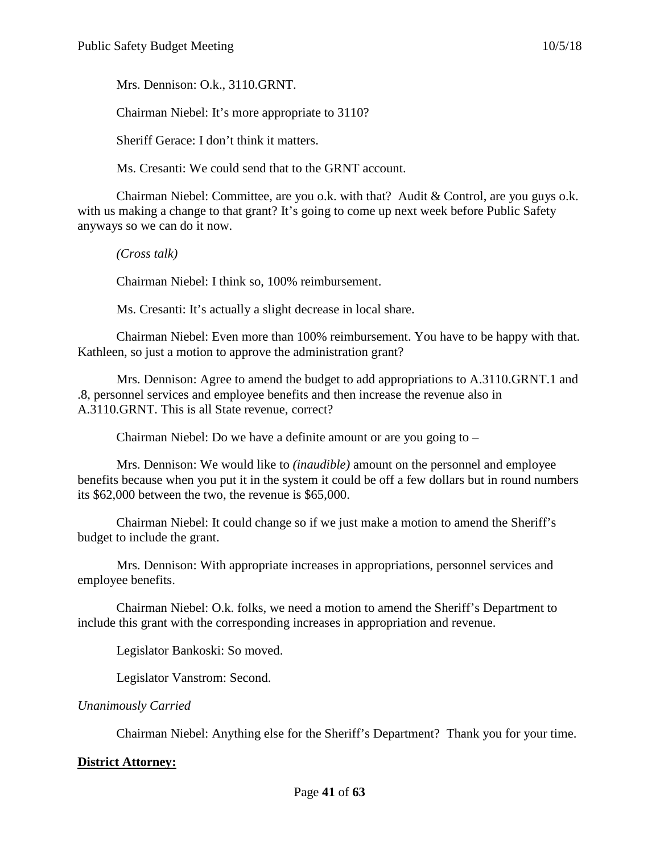Mrs. Dennison: O.k., 3110.GRNT.

Chairman Niebel: It's more appropriate to 3110?

Sheriff Gerace: I don't think it matters.

Ms. Cresanti: We could send that to the GRNT account.

Chairman Niebel: Committee, are you o.k. with that? Audit & Control, are you guys o.k. with us making a change to that grant? It's going to come up next week before Public Safety anyways so we can do it now.

*(Cross talk)*

Chairman Niebel: I think so, 100% reimbursement.

Ms. Cresanti: It's actually a slight decrease in local share.

Chairman Niebel: Even more than 100% reimbursement. You have to be happy with that. Kathleen, so just a motion to approve the administration grant?

Mrs. Dennison: Agree to amend the budget to add appropriations to A.3110.GRNT.1 and .8, personnel services and employee benefits and then increase the revenue also in A.3110.GRNT. This is all State revenue, correct?

Chairman Niebel: Do we have a definite amount or are you going to –

Mrs. Dennison: We would like to *(inaudible)* amount on the personnel and employee benefits because when you put it in the system it could be off a few dollars but in round numbers its \$62,000 between the two, the revenue is \$65,000.

Chairman Niebel: It could change so if we just make a motion to amend the Sheriff's budget to include the grant.

Mrs. Dennison: With appropriate increases in appropriations, personnel services and employee benefits.

Chairman Niebel: O.k. folks, we need a motion to amend the Sheriff's Department to include this grant with the corresponding increases in appropriation and revenue.

Legislator Bankoski: So moved.

Legislator Vanstrom: Second.

*Unanimously Carried*

Chairman Niebel: Anything else for the Sheriff's Department? Thank you for your time.

# **District Attorney:**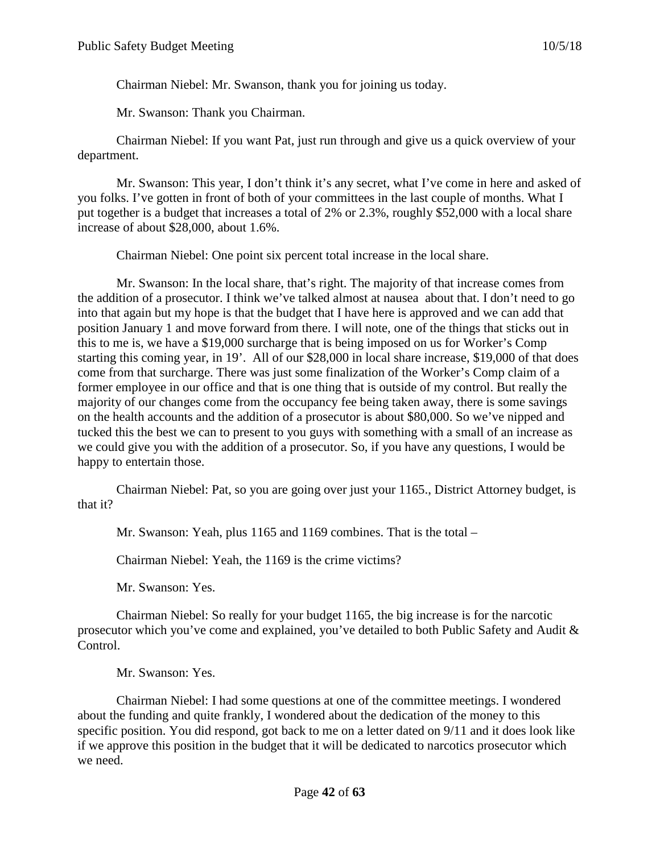Chairman Niebel: Mr. Swanson, thank you for joining us today.

Mr. Swanson: Thank you Chairman.

Chairman Niebel: If you want Pat, just run through and give us a quick overview of your department.

Mr. Swanson: This year, I don't think it's any secret, what I've come in here and asked of you folks. I've gotten in front of both of your committees in the last couple of months. What I put together is a budget that increases a total of 2% or 2.3%, roughly \$52,000 with a local share increase of about \$28,000, about 1.6%.

Chairman Niebel: One point six percent total increase in the local share.

Mr. Swanson: In the local share, that's right. The majority of that increase comes from the addition of a prosecutor. I think we've talked almost at nausea about that. I don't need to go into that again but my hope is that the budget that I have here is approved and we can add that position January 1 and move forward from there. I will note, one of the things that sticks out in this to me is, we have a \$19,000 surcharge that is being imposed on us for Worker's Comp starting this coming year, in 19'. All of our \$28,000 in local share increase, \$19,000 of that does come from that surcharge. There was just some finalization of the Worker's Comp claim of a former employee in our office and that is one thing that is outside of my control. But really the majority of our changes come from the occupancy fee being taken away, there is some savings on the health accounts and the addition of a prosecutor is about \$80,000. So we've nipped and tucked this the best we can to present to you guys with something with a small of an increase as we could give you with the addition of a prosecutor. So, if you have any questions, I would be happy to entertain those.

Chairman Niebel: Pat, so you are going over just your 1165., District Attorney budget, is that it?

Mr. Swanson: Yeah, plus 1165 and 1169 combines. That is the total –

Chairman Niebel: Yeah, the 1169 is the crime victims?

Mr. Swanson: Yes.

Chairman Niebel: So really for your budget 1165, the big increase is for the narcotic prosecutor which you've come and explained, you've detailed to both Public Safety and Audit & Control.

Mr. Swanson: Yes.

Chairman Niebel: I had some questions at one of the committee meetings. I wondered about the funding and quite frankly, I wondered about the dedication of the money to this specific position. You did respond, got back to me on a letter dated on 9/11 and it does look like if we approve this position in the budget that it will be dedicated to narcotics prosecutor which we need.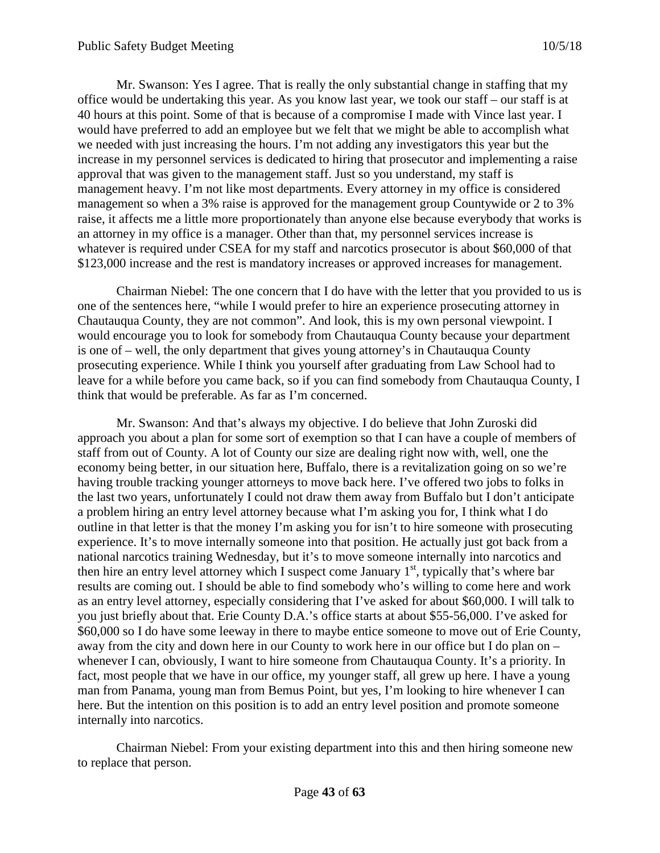Mr. Swanson: Yes I agree. That is really the only substantial change in staffing that my office would be undertaking this year. As you know last year, we took our staff – our staff is at 40 hours at this point. Some of that is because of a compromise I made with Vince last year. I would have preferred to add an employee but we felt that we might be able to accomplish what we needed with just increasing the hours. I'm not adding any investigators this year but the increase in my personnel services is dedicated to hiring that prosecutor and implementing a raise approval that was given to the management staff. Just so you understand, my staff is management heavy. I'm not like most departments. Every attorney in my office is considered management so when a 3% raise is approved for the management group Countywide or 2 to 3% raise, it affects me a little more proportionately than anyone else because everybody that works is an attorney in my office is a manager. Other than that, my personnel services increase is whatever is required under CSEA for my staff and narcotics prosecutor is about \$60,000 of that \$123,000 increase and the rest is mandatory increases or approved increases for management.

Chairman Niebel: The one concern that I do have with the letter that you provided to us is one of the sentences here, "while I would prefer to hire an experience prosecuting attorney in Chautauqua County, they are not common". And look, this is my own personal viewpoint. I would encourage you to look for somebody from Chautauqua County because your department is one of – well, the only department that gives young attorney's in Chautauqua County prosecuting experience. While I think you yourself after graduating from Law School had to leave for a while before you came back, so if you can find somebody from Chautauqua County, I think that would be preferable. As far as I'm concerned.

Mr. Swanson: And that's always my objective. I do believe that John Zuroski did approach you about a plan for some sort of exemption so that I can have a couple of members of staff from out of County. A lot of County our size are dealing right now with, well, one the economy being better, in our situation here, Buffalo, there is a revitalization going on so we're having trouble tracking younger attorneys to move back here. I've offered two jobs to folks in the last two years, unfortunately I could not draw them away from Buffalo but I don't anticipate a problem hiring an entry level attorney because what I'm asking you for, I think what I do outline in that letter is that the money I'm asking you for isn't to hire someone with prosecuting experience. It's to move internally someone into that position. He actually just got back from a national narcotics training Wednesday, but it's to move someone internally into narcotics and then hire an entry level attorney which I suspect come January  $1<sup>st</sup>$ , typically that's where bar results are coming out. I should be able to find somebody who's willing to come here and work as an entry level attorney, especially considering that I've asked for about \$60,000. I will talk to you just briefly about that. Erie County D.A.'s office starts at about \$55-56,000. I've asked for \$60,000 so I do have some leeway in there to maybe entice someone to move out of Erie County, away from the city and down here in our County to work here in our office but I do plan on – whenever I can, obviously, I want to hire someone from Chautauqua County. It's a priority. In fact, most people that we have in our office, my younger staff, all grew up here. I have a young man from Panama, young man from Bemus Point, but yes, I'm looking to hire whenever I can here. But the intention on this position is to add an entry level position and promote someone internally into narcotics.

Chairman Niebel: From your existing department into this and then hiring someone new to replace that person.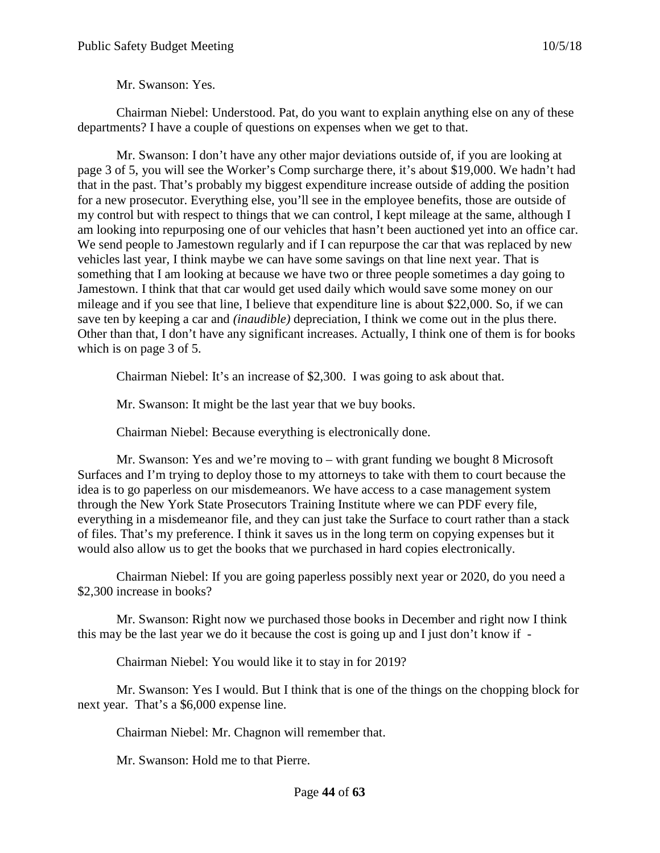Mr. Swanson: Yes.

Chairman Niebel: Understood. Pat, do you want to explain anything else on any of these departments? I have a couple of questions on expenses when we get to that.

Mr. Swanson: I don't have any other major deviations outside of, if you are looking at page 3 of 5, you will see the Worker's Comp surcharge there, it's about \$19,000. We hadn't had that in the past. That's probably my biggest expenditure increase outside of adding the position for a new prosecutor. Everything else, you'll see in the employee benefits, those are outside of my control but with respect to things that we can control, I kept mileage at the same, although I am looking into repurposing one of our vehicles that hasn't been auctioned yet into an office car. We send people to Jamestown regularly and if I can repurpose the car that was replaced by new vehicles last year, I think maybe we can have some savings on that line next year. That is something that I am looking at because we have two or three people sometimes a day going to Jamestown. I think that that car would get used daily which would save some money on our mileage and if you see that line, I believe that expenditure line is about \$22,000. So, if we can save ten by keeping a car and *(inaudible)* depreciation, I think we come out in the plus there. Other than that, I don't have any significant increases. Actually, I think one of them is for books which is on page 3 of 5.

Chairman Niebel: It's an increase of \$2,300. I was going to ask about that.

Mr. Swanson: It might be the last year that we buy books.

Chairman Niebel: Because everything is electronically done.

Mr. Swanson: Yes and we're moving to – with grant funding we bought 8 Microsoft Surfaces and I'm trying to deploy those to my attorneys to take with them to court because the idea is to go paperless on our misdemeanors. We have access to a case management system through the New York State Prosecutors Training Institute where we can PDF every file, everything in a misdemeanor file, and they can just take the Surface to court rather than a stack of files. That's my preference. I think it saves us in the long term on copying expenses but it would also allow us to get the books that we purchased in hard copies electronically.

Chairman Niebel: If you are going paperless possibly next year or 2020, do you need a \$2,300 increase in books?

Mr. Swanson: Right now we purchased those books in December and right now I think this may be the last year we do it because the cost is going up and I just don't know if -

Chairman Niebel: You would like it to stay in for 2019?

Mr. Swanson: Yes I would. But I think that is one of the things on the chopping block for next year. That's a \$6,000 expense line.

Chairman Niebel: Mr. Chagnon will remember that.

Mr. Swanson: Hold me to that Pierre.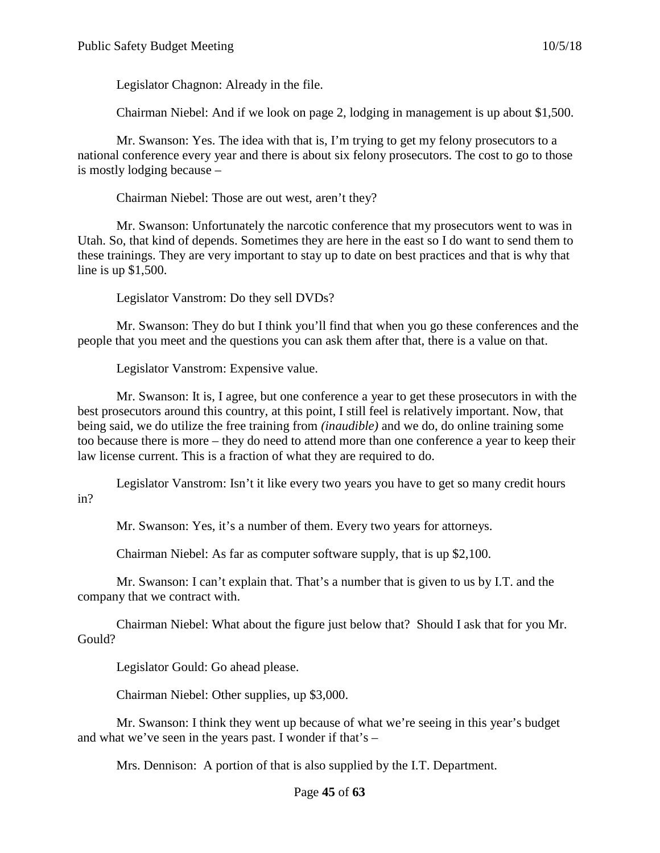Legislator Chagnon: Already in the file.

Chairman Niebel: And if we look on page 2, lodging in management is up about \$1,500.

Mr. Swanson: Yes. The idea with that is, I'm trying to get my felony prosecutors to a national conference every year and there is about six felony prosecutors. The cost to go to those is mostly lodging because –

Chairman Niebel: Those are out west, aren't they?

Mr. Swanson: Unfortunately the narcotic conference that my prosecutors went to was in Utah. So, that kind of depends. Sometimes they are here in the east so I do want to send them to these trainings. They are very important to stay up to date on best practices and that is why that line is up \$1,500.

Legislator Vanstrom: Do they sell DVDs?

Mr. Swanson: They do but I think you'll find that when you go these conferences and the people that you meet and the questions you can ask them after that, there is a value on that.

Legislator Vanstrom: Expensive value.

Mr. Swanson: It is, I agree, but one conference a year to get these prosecutors in with the best prosecutors around this country, at this point, I still feel is relatively important. Now, that being said, we do utilize the free training from *(inaudible)* and we do, do online training some too because there is more – they do need to attend more than one conference a year to keep their law license current. This is a fraction of what they are required to do.

Legislator Vanstrom: Isn't it like every two years you have to get so many credit hours in?

Mr. Swanson: Yes, it's a number of them. Every two years for attorneys.

Chairman Niebel: As far as computer software supply, that is up \$2,100.

Mr. Swanson: I can't explain that. That's a number that is given to us by I.T. and the company that we contract with.

Chairman Niebel: What about the figure just below that? Should I ask that for you Mr. Gould?

Legislator Gould: Go ahead please.

Chairman Niebel: Other supplies, up \$3,000.

Mr. Swanson: I think they went up because of what we're seeing in this year's budget and what we've seen in the years past. I wonder if that's –

Mrs. Dennison: A portion of that is also supplied by the I.T. Department.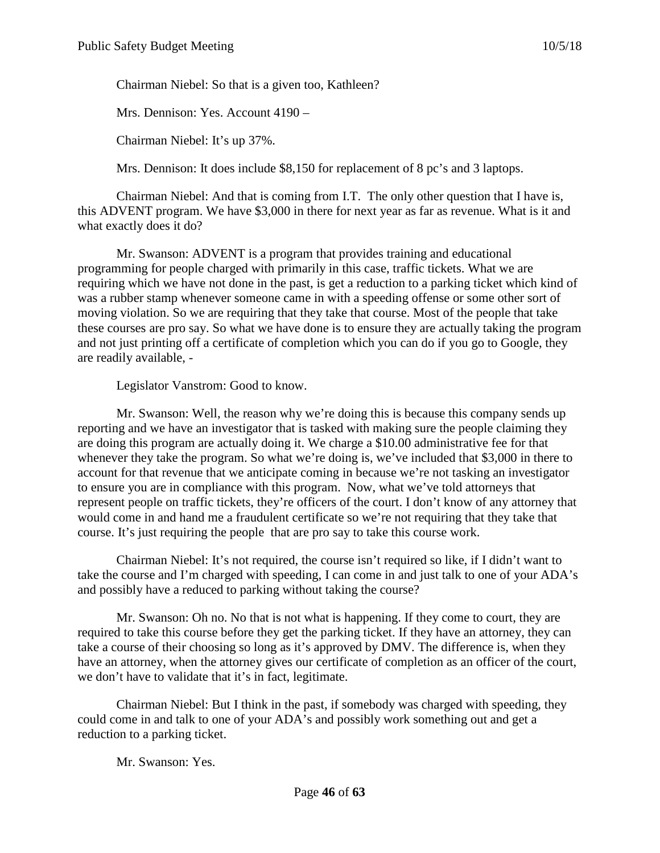Chairman Niebel: So that is a given too, Kathleen?

Mrs. Dennison: Yes. Account 4190 –

Chairman Niebel: It's up 37%.

Mrs. Dennison: It does include \$8,150 for replacement of 8 pc's and 3 laptops.

Chairman Niebel: And that is coming from I.T. The only other question that I have is, this ADVENT program. We have \$3,000 in there for next year as far as revenue. What is it and what exactly does it do?

Mr. Swanson: ADVENT is a program that provides training and educational programming for people charged with primarily in this case, traffic tickets. What we are requiring which we have not done in the past, is get a reduction to a parking ticket which kind of was a rubber stamp whenever someone came in with a speeding offense or some other sort of moving violation. So we are requiring that they take that course. Most of the people that take these courses are pro say. So what we have done is to ensure they are actually taking the program and not just printing off a certificate of completion which you can do if you go to Google, they are readily available, -

Legislator Vanstrom: Good to know.

Mr. Swanson: Well, the reason why we're doing this is because this company sends up reporting and we have an investigator that is tasked with making sure the people claiming they are doing this program are actually doing it. We charge a \$10.00 administrative fee for that whenever they take the program. So what we're doing is, we've included that \$3,000 in there to account for that revenue that we anticipate coming in because we're not tasking an investigator to ensure you are in compliance with this program. Now, what we've told attorneys that represent people on traffic tickets, they're officers of the court. I don't know of any attorney that would come in and hand me a fraudulent certificate so we're not requiring that they take that course. It's just requiring the people that are pro say to take this course work.

Chairman Niebel: It's not required, the course isn't required so like, if I didn't want to take the course and I'm charged with speeding, I can come in and just talk to one of your ADA's and possibly have a reduced to parking without taking the course?

Mr. Swanson: Oh no. No that is not what is happening. If they come to court, they are required to take this course before they get the parking ticket. If they have an attorney, they can take a course of their choosing so long as it's approved by DMV. The difference is, when they have an attorney, when the attorney gives our certificate of completion as an officer of the court, we don't have to validate that it's in fact, legitimate.

Chairman Niebel: But I think in the past, if somebody was charged with speeding, they could come in and talk to one of your ADA's and possibly work something out and get a reduction to a parking ticket.

Mr. Swanson: Yes.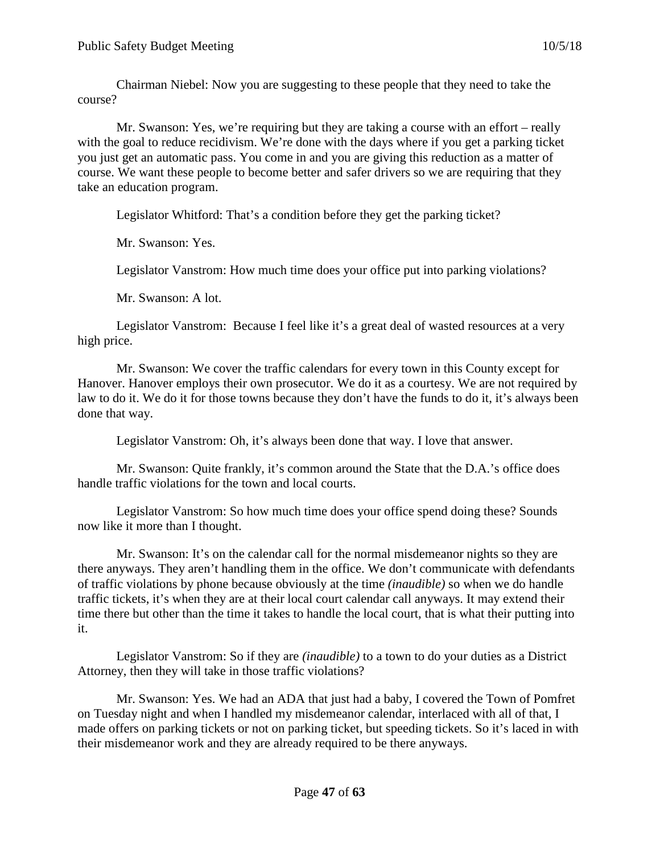Chairman Niebel: Now you are suggesting to these people that they need to take the course?

Mr. Swanson: Yes, we're requiring but they are taking a course with an effort – really with the goal to reduce recidivism. We're done with the days where if you get a parking ticket you just get an automatic pass. You come in and you are giving this reduction as a matter of course. We want these people to become better and safer drivers so we are requiring that they take an education program.

Legislator Whitford: That's a condition before they get the parking ticket?

Mr. Swanson: Yes.

Legislator Vanstrom: How much time does your office put into parking violations?

Mr. Swanson: A lot.

Legislator Vanstrom: Because I feel like it's a great deal of wasted resources at a very high price.

Mr. Swanson: We cover the traffic calendars for every town in this County except for Hanover. Hanover employs their own prosecutor. We do it as a courtesy. We are not required by law to do it. We do it for those towns because they don't have the funds to do it, it's always been done that way.

Legislator Vanstrom: Oh, it's always been done that way. I love that answer.

Mr. Swanson: Quite frankly, it's common around the State that the D.A.'s office does handle traffic violations for the town and local courts.

Legislator Vanstrom: So how much time does your office spend doing these? Sounds now like it more than I thought.

Mr. Swanson: It's on the calendar call for the normal misdemeanor nights so they are there anyways. They aren't handling them in the office. We don't communicate with defendants of traffic violations by phone because obviously at the time *(inaudible)* so when we do handle traffic tickets, it's when they are at their local court calendar call anyways. It may extend their time there but other than the time it takes to handle the local court, that is what their putting into it.

Legislator Vanstrom: So if they are *(inaudible)* to a town to do your duties as a District Attorney, then they will take in those traffic violations?

Mr. Swanson: Yes. We had an ADA that just had a baby, I covered the Town of Pomfret on Tuesday night and when I handled my misdemeanor calendar, interlaced with all of that, I made offers on parking tickets or not on parking ticket, but speeding tickets. So it's laced in with their misdemeanor work and they are already required to be there anyways.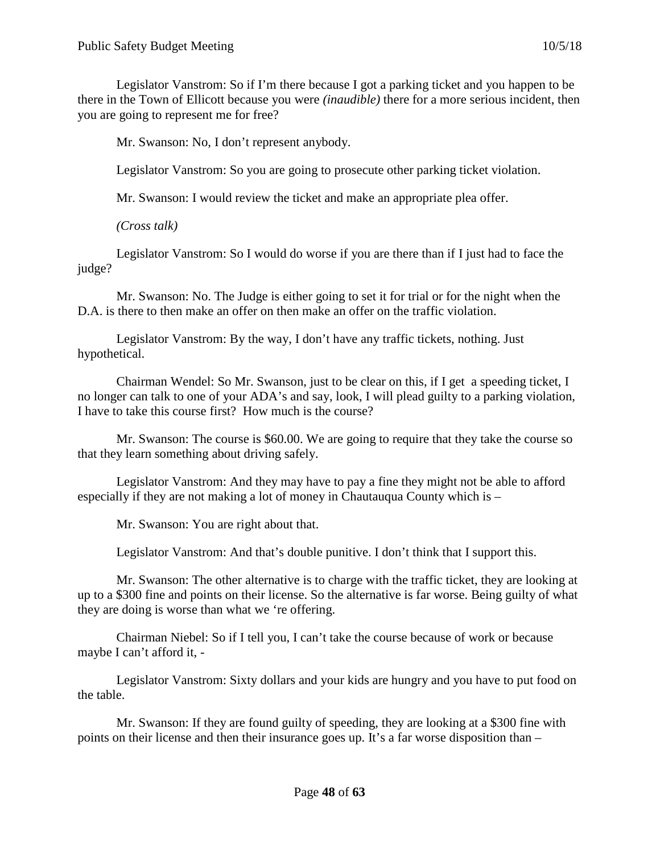Legislator Vanstrom: So if I'm there because I got a parking ticket and you happen to be there in the Town of Ellicott because you were *(inaudible)* there for a more serious incident, then you are going to represent me for free?

Mr. Swanson: No, I don't represent anybody.

Legislator Vanstrom: So you are going to prosecute other parking ticket violation.

Mr. Swanson: I would review the ticket and make an appropriate plea offer.

*(Cross talk)*

Legislator Vanstrom: So I would do worse if you are there than if I just had to face the judge?

Mr. Swanson: No. The Judge is either going to set it for trial or for the night when the D.A. is there to then make an offer on then make an offer on the traffic violation.

Legislator Vanstrom: By the way, I don't have any traffic tickets, nothing. Just hypothetical.

Chairman Wendel: So Mr. Swanson, just to be clear on this, if I get a speeding ticket, I no longer can talk to one of your ADA's and say, look, I will plead guilty to a parking violation, I have to take this course first? How much is the course?

Mr. Swanson: The course is \$60.00. We are going to require that they take the course so that they learn something about driving safely.

Legislator Vanstrom: And they may have to pay a fine they might not be able to afford especially if they are not making a lot of money in Chautauqua County which is –

Mr. Swanson: You are right about that.

Legislator Vanstrom: And that's double punitive. I don't think that I support this.

Mr. Swanson: The other alternative is to charge with the traffic ticket, they are looking at up to a \$300 fine and points on their license. So the alternative is far worse. Being guilty of what they are doing is worse than what we 're offering.

Chairman Niebel: So if I tell you, I can't take the course because of work or because maybe I can't afford it, -

Legislator Vanstrom: Sixty dollars and your kids are hungry and you have to put food on the table.

Mr. Swanson: If they are found guilty of speeding, they are looking at a \$300 fine with points on their license and then their insurance goes up. It's a far worse disposition than –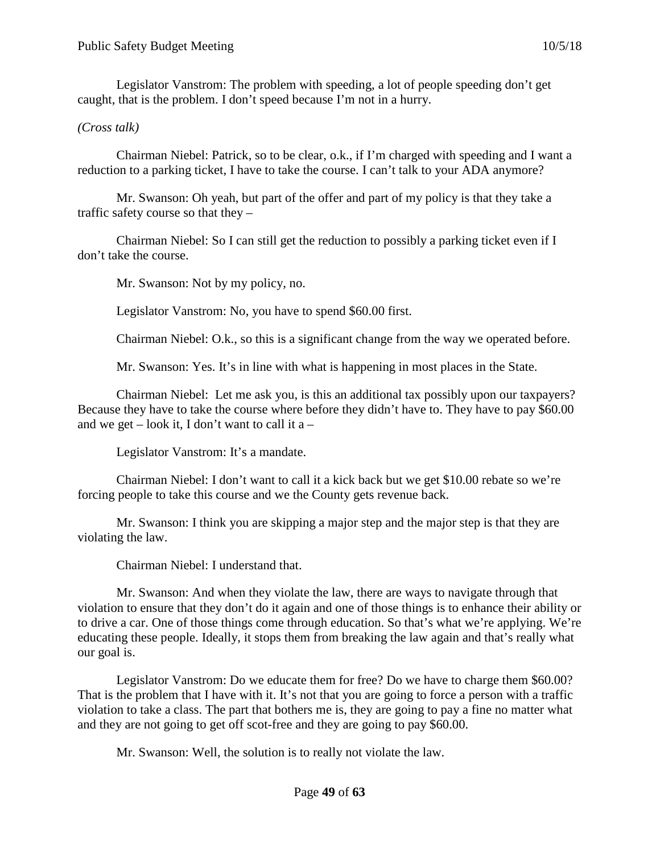Legislator Vanstrom: The problem with speeding, a lot of people speeding don't get caught, that is the problem. I don't speed because I'm not in a hurry.

# *(Cross talk)*

Chairman Niebel: Patrick, so to be clear, o.k., if I'm charged with speeding and I want a reduction to a parking ticket, I have to take the course. I can't talk to your ADA anymore?

Mr. Swanson: Oh yeah, but part of the offer and part of my policy is that they take a traffic safety course so that they –

Chairman Niebel: So I can still get the reduction to possibly a parking ticket even if I don't take the course.

Mr. Swanson: Not by my policy, no.

Legislator Vanstrom: No, you have to spend \$60.00 first.

Chairman Niebel: O.k., so this is a significant change from the way we operated before.

Mr. Swanson: Yes. It's in line with what is happening in most places in the State.

Chairman Niebel: Let me ask you, is this an additional tax possibly upon our taxpayers? Because they have to take the course where before they didn't have to. They have to pay \$60.00 and we get – look it, I don't want to call it  $a -$ 

Legislator Vanstrom: It's a mandate.

Chairman Niebel: I don't want to call it a kick back but we get \$10.00 rebate so we're forcing people to take this course and we the County gets revenue back.

Mr. Swanson: I think you are skipping a major step and the major step is that they are violating the law.

Chairman Niebel: I understand that.

Mr. Swanson: And when they violate the law, there are ways to navigate through that violation to ensure that they don't do it again and one of those things is to enhance their ability or to drive a car. One of those things come through education. So that's what we're applying. We're educating these people. Ideally, it stops them from breaking the law again and that's really what our goal is.

Legislator Vanstrom: Do we educate them for free? Do we have to charge them \$60.00? That is the problem that I have with it. It's not that you are going to force a person with a traffic violation to take a class. The part that bothers me is, they are going to pay a fine no matter what and they are not going to get off scot-free and they are going to pay \$60.00.

Mr. Swanson: Well, the solution is to really not violate the law.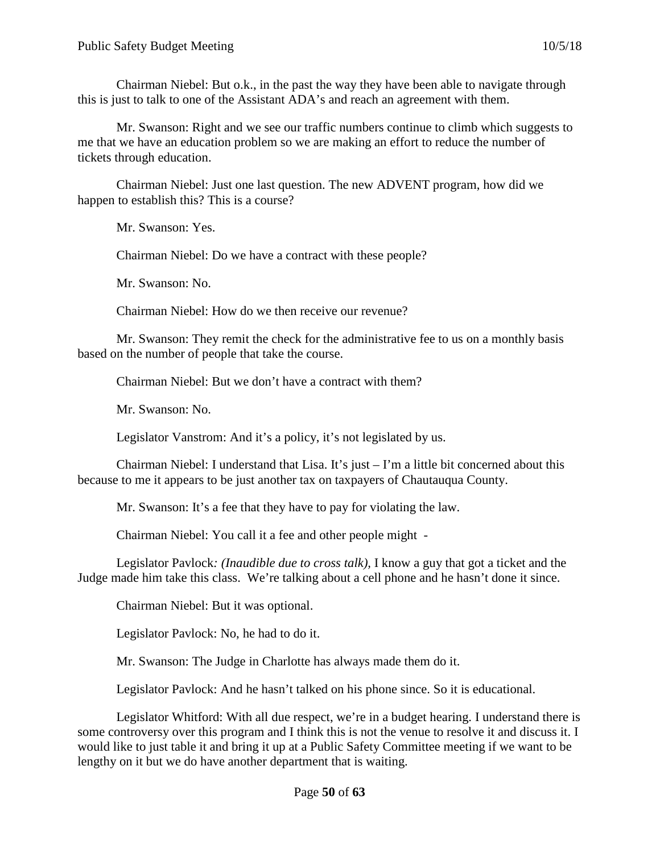Chairman Niebel: But o.k., in the past the way they have been able to navigate through this is just to talk to one of the Assistant ADA's and reach an agreement with them.

Mr. Swanson: Right and we see our traffic numbers continue to climb which suggests to me that we have an education problem so we are making an effort to reduce the number of tickets through education.

Chairman Niebel: Just one last question. The new ADVENT program, how did we happen to establish this? This is a course?

Mr. Swanson: Yes.

Chairman Niebel: Do we have a contract with these people?

Mr. Swanson: No.

Chairman Niebel: How do we then receive our revenue?

Mr. Swanson: They remit the check for the administrative fee to us on a monthly basis based on the number of people that take the course.

Chairman Niebel: But we don't have a contract with them?

Mr. Swanson: No.

Legislator Vanstrom: And it's a policy, it's not legislated by us.

Chairman Niebel: I understand that Lisa. It's just  $-1$ 'm a little bit concerned about this because to me it appears to be just another tax on taxpayers of Chautauqua County.

Mr. Swanson: It's a fee that they have to pay for violating the law.

Chairman Niebel: You call it a fee and other people might -

Legislator Pavlock*: (Inaudible due to cross talk),* I know a guy that got a ticket and the Judge made him take this class. We're talking about a cell phone and he hasn't done it since.

Chairman Niebel: But it was optional.

Legislator Pavlock: No, he had to do it.

Mr. Swanson: The Judge in Charlotte has always made them do it.

Legislator Pavlock: And he hasn't talked on his phone since. So it is educational.

Legislator Whitford: With all due respect, we're in a budget hearing. I understand there is some controversy over this program and I think this is not the venue to resolve it and discuss it. I would like to just table it and bring it up at a Public Safety Committee meeting if we want to be lengthy on it but we do have another department that is waiting.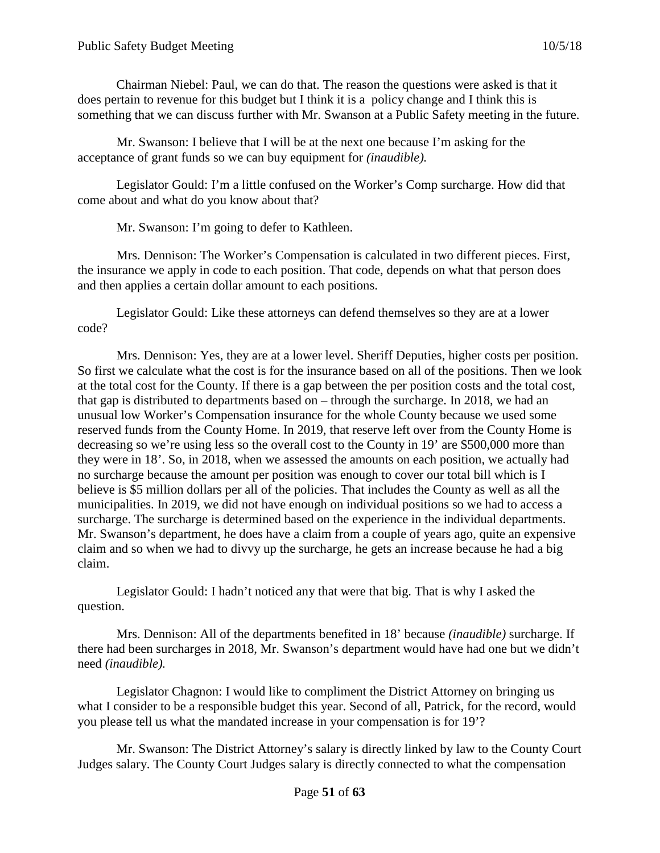Chairman Niebel: Paul, we can do that. The reason the questions were asked is that it does pertain to revenue for this budget but I think it is a policy change and I think this is something that we can discuss further with Mr. Swanson at a Public Safety meeting in the future.

Mr. Swanson: I believe that I will be at the next one because I'm asking for the acceptance of grant funds so we can buy equipment for *(inaudible).*

Legislator Gould: I'm a little confused on the Worker's Comp surcharge. How did that come about and what do you know about that?

Mr. Swanson: I'm going to defer to Kathleen.

Mrs. Dennison: The Worker's Compensation is calculated in two different pieces. First, the insurance we apply in code to each position. That code, depends on what that person does and then applies a certain dollar amount to each positions.

Legislator Gould: Like these attorneys can defend themselves so they are at a lower code?

Mrs. Dennison: Yes, they are at a lower level. Sheriff Deputies, higher costs per position. So first we calculate what the cost is for the insurance based on all of the positions. Then we look at the total cost for the County. If there is a gap between the per position costs and the total cost, that gap is distributed to departments based on – through the surcharge. In 2018, we had an unusual low Worker's Compensation insurance for the whole County because we used some reserved funds from the County Home. In 2019, that reserve left over from the County Home is decreasing so we're using less so the overall cost to the County in 19' are \$500,000 more than they were in 18'. So, in 2018, when we assessed the amounts on each position, we actually had no surcharge because the amount per position was enough to cover our total bill which is I believe is \$5 million dollars per all of the policies. That includes the County as well as all the municipalities. In 2019, we did not have enough on individual positions so we had to access a surcharge. The surcharge is determined based on the experience in the individual departments. Mr. Swanson's department, he does have a claim from a couple of years ago, quite an expensive claim and so when we had to divvy up the surcharge, he gets an increase because he had a big claim.

Legislator Gould: I hadn't noticed any that were that big. That is why I asked the question.

Mrs. Dennison: All of the departments benefited in 18' because *(inaudible)* surcharge. If there had been surcharges in 2018, Mr. Swanson's department would have had one but we didn't need *(inaudible).*

Legislator Chagnon: I would like to compliment the District Attorney on bringing us what I consider to be a responsible budget this year. Second of all, Patrick, for the record, would you please tell us what the mandated increase in your compensation is for 19'?

Mr. Swanson: The District Attorney's salary is directly linked by law to the County Court Judges salary. The County Court Judges salary is directly connected to what the compensation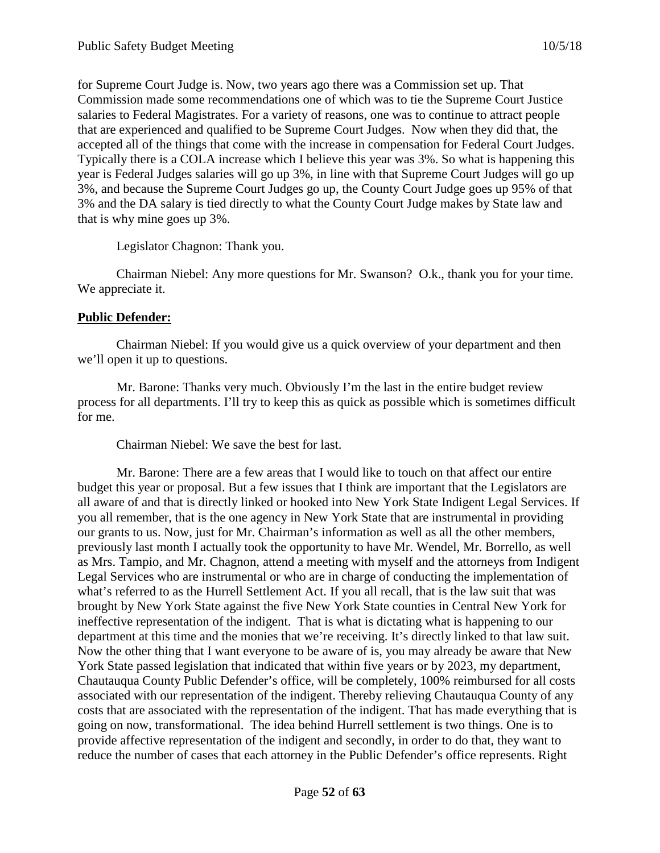for Supreme Court Judge is. Now, two years ago there was a Commission set up. That Commission made some recommendations one of which was to tie the Supreme Court Justice salaries to Federal Magistrates. For a variety of reasons, one was to continue to attract people that are experienced and qualified to be Supreme Court Judges. Now when they did that, the accepted all of the things that come with the increase in compensation for Federal Court Judges. Typically there is a COLA increase which I believe this year was 3%. So what is happening this year is Federal Judges salaries will go up 3%, in line with that Supreme Court Judges will go up 3%, and because the Supreme Court Judges go up, the County Court Judge goes up 95% of that 3% and the DA salary is tied directly to what the County Court Judge makes by State law and that is why mine goes up 3%.

Legislator Chagnon: Thank you.

Chairman Niebel: Any more questions for Mr. Swanson? O.k., thank you for your time. We appreciate it.

# **Public Defender:**

Chairman Niebel: If you would give us a quick overview of your department and then we'll open it up to questions.

Mr. Barone: Thanks very much. Obviously I'm the last in the entire budget review process for all departments. I'll try to keep this as quick as possible which is sometimes difficult for me.

Chairman Niebel: We save the best for last.

Mr. Barone: There are a few areas that I would like to touch on that affect our entire budget this year or proposal. But a few issues that I think are important that the Legislators are all aware of and that is directly linked or hooked into New York State Indigent Legal Services. If you all remember, that is the one agency in New York State that are instrumental in providing our grants to us. Now, just for Mr. Chairman's information as well as all the other members, previously last month I actually took the opportunity to have Mr. Wendel, Mr. Borrello, as well as Mrs. Tampio, and Mr. Chagnon, attend a meeting with myself and the attorneys from Indigent Legal Services who are instrumental or who are in charge of conducting the implementation of what's referred to as the Hurrell Settlement Act. If you all recall, that is the law suit that was brought by New York State against the five New York State counties in Central New York for ineffective representation of the indigent. That is what is dictating what is happening to our department at this time and the monies that we're receiving. It's directly linked to that law suit. Now the other thing that I want everyone to be aware of is, you may already be aware that New York State passed legislation that indicated that within five years or by 2023, my department, Chautauqua County Public Defender's office, will be completely, 100% reimbursed for all costs associated with our representation of the indigent. Thereby relieving Chautauqua County of any costs that are associated with the representation of the indigent. That has made everything that is going on now, transformational. The idea behind Hurrell settlement is two things. One is to provide affective representation of the indigent and secondly, in order to do that, they want to reduce the number of cases that each attorney in the Public Defender's office represents. Right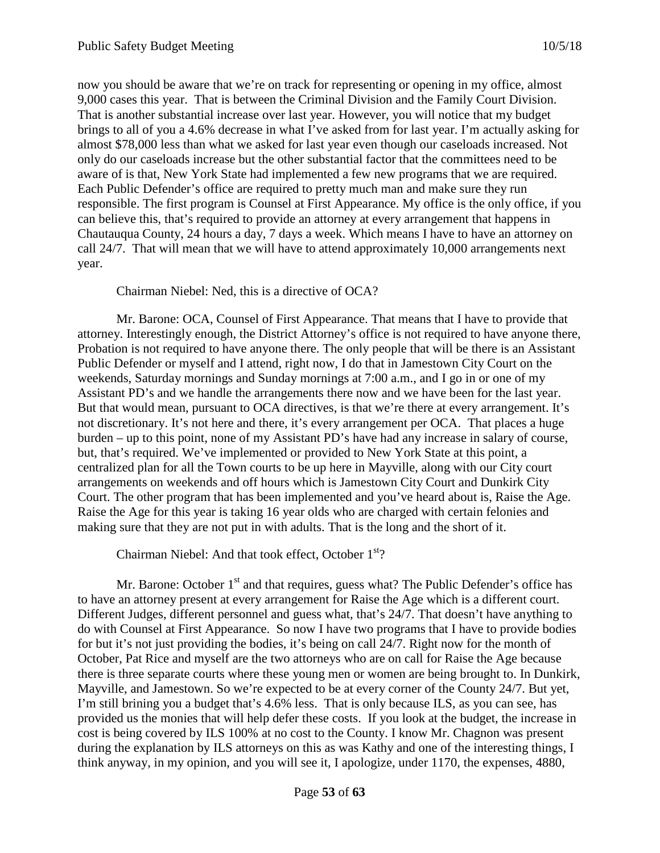now you should be aware that we're on track for representing or opening in my office, almost 9,000 cases this year. That is between the Criminal Division and the Family Court Division. That is another substantial increase over last year. However, you will notice that my budget brings to all of you a 4.6% decrease in what I've asked from for last year. I'm actually asking for almost \$78,000 less than what we asked for last year even though our caseloads increased. Not only do our caseloads increase but the other substantial factor that the committees need to be aware of is that, New York State had implemented a few new programs that we are required. Each Public Defender's office are required to pretty much man and make sure they run responsible. The first program is Counsel at First Appearance. My office is the only office, if you can believe this, that's required to provide an attorney at every arrangement that happens in Chautauqua County, 24 hours a day, 7 days a week. Which means I have to have an attorney on call 24/7. That will mean that we will have to attend approximately 10,000 arrangements next year.

#### Chairman Niebel: Ned, this is a directive of OCA?

Mr. Barone: OCA, Counsel of First Appearance. That means that I have to provide that attorney. Interestingly enough, the District Attorney's office is not required to have anyone there, Probation is not required to have anyone there. The only people that will be there is an Assistant Public Defender or myself and I attend, right now, I do that in Jamestown City Court on the weekends, Saturday mornings and Sunday mornings at 7:00 a.m., and I go in or one of my Assistant PD's and we handle the arrangements there now and we have been for the last year. But that would mean, pursuant to OCA directives, is that we're there at every arrangement. It's not discretionary. It's not here and there, it's every arrangement per OCA. That places a huge burden – up to this point, none of my Assistant PD's have had any increase in salary of course, but, that's required. We've implemented or provided to New York State at this point, a centralized plan for all the Town courts to be up here in Mayville, along with our City court arrangements on weekends and off hours which is Jamestown City Court and Dunkirk City Court. The other program that has been implemented and you've heard about is, Raise the Age. Raise the Age for this year is taking 16 year olds who are charged with certain felonies and making sure that they are not put in with adults. That is the long and the short of it.

Chairman Niebel: And that took effect, October  $1<sup>st</sup>$ ?

Mr. Barone: October  $1<sup>st</sup>$  and that requires, guess what? The Public Defender's office has to have an attorney present at every arrangement for Raise the Age which is a different court. Different Judges, different personnel and guess what, that's 24/7. That doesn't have anything to do with Counsel at First Appearance. So now I have two programs that I have to provide bodies for but it's not just providing the bodies, it's being on call 24/7. Right now for the month of October, Pat Rice and myself are the two attorneys who are on call for Raise the Age because there is three separate courts where these young men or women are being brought to. In Dunkirk, Mayville, and Jamestown. So we're expected to be at every corner of the County 24/7. But yet, I'm still brining you a budget that's 4.6% less. That is only because ILS, as you can see, has provided us the monies that will help defer these costs. If you look at the budget, the increase in cost is being covered by ILS 100% at no cost to the County. I know Mr. Chagnon was present during the explanation by ILS attorneys on this as was Kathy and one of the interesting things, I think anyway, in my opinion, and you will see it, I apologize, under 1170, the expenses, 4880,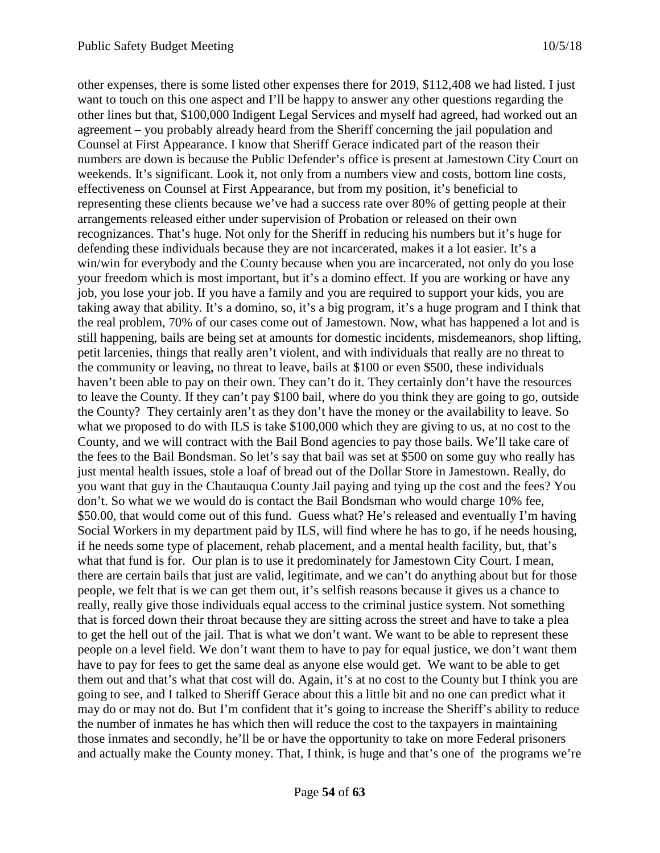other expenses, there is some listed other expenses there for 2019, \$112,408 we had listed. I just want to touch on this one aspect and I'll be happy to answer any other questions regarding the other lines but that, \$100,000 Indigent Legal Services and myself had agreed, had worked out an agreement – you probably already heard from the Sheriff concerning the jail population and Counsel at First Appearance. I know that Sheriff Gerace indicated part of the reason their numbers are down is because the Public Defender's office is present at Jamestown City Court on weekends. It's significant. Look it, not only from a numbers view and costs, bottom line costs, effectiveness on Counsel at First Appearance, but from my position, it's beneficial to representing these clients because we've had a success rate over 80% of getting people at their arrangements released either under supervision of Probation or released on their own recognizances. That's huge. Not only for the Sheriff in reducing his numbers but it's huge for defending these individuals because they are not incarcerated, makes it a lot easier. It's a win/win for everybody and the County because when you are incarcerated, not only do you lose your freedom which is most important, but it's a domino effect. If you are working or have any job, you lose your job. If you have a family and you are required to support your kids, you are taking away that ability. It's a domino, so, it's a big program, it's a huge program and I think that the real problem, 70% of our cases come out of Jamestown. Now, what has happened a lot and is still happening, bails are being set at amounts for domestic incidents, misdemeanors, shop lifting, petit larcenies, things that really aren't violent, and with individuals that really are no threat to the community or leaving, no threat to leave, bails at \$100 or even \$500, these individuals haven't been able to pay on their own. They can't do it. They certainly don't have the resources to leave the County. If they can't pay \$100 bail, where do you think they are going to go, outside the County? They certainly aren't as they don't have the money or the availability to leave. So what we proposed to do with ILS is take \$100,000 which they are giving to us, at no cost to the County, and we will contract with the Bail Bond agencies to pay those bails. We'll take care of the fees to the Bail Bondsman. So let's say that bail was set at \$500 on some guy who really has just mental health issues, stole a loaf of bread out of the Dollar Store in Jamestown. Really, do you want that guy in the Chautauqua County Jail paying and tying up the cost and the fees? You don't. So what we we would do is contact the Bail Bondsman who would charge 10% fee, \$50.00, that would come out of this fund. Guess what? He's released and eventually I'm having Social Workers in my department paid by ILS, will find where he has to go, if he needs housing, if he needs some type of placement, rehab placement, and a mental health facility, but, that's what that fund is for. Our plan is to use it predominately for Jamestown City Court. I mean, there are certain bails that just are valid, legitimate, and we can't do anything about but for those people, we felt that is we can get them out, it's selfish reasons because it gives us a chance to really, really give those individuals equal access to the criminal justice system. Not something that is forced down their throat because they are sitting across the street and have to take a plea to get the hell out of the jail. That is what we don't want. We want to be able to represent these people on a level field. We don't want them to have to pay for equal justice, we don't want them have to pay for fees to get the same deal as anyone else would get. We want to be able to get them out and that's what that cost will do. Again, it's at no cost to the County but I think you are going to see, and I talked to Sheriff Gerace about this a little bit and no one can predict what it may do or may not do. But I'm confident that it's going to increase the Sheriff's ability to reduce the number of inmates he has which then will reduce the cost to the taxpayers in maintaining those inmates and secondly, he'll be or have the opportunity to take on more Federal prisoners and actually make the County money. That, I think, is huge and that's one of the programs we're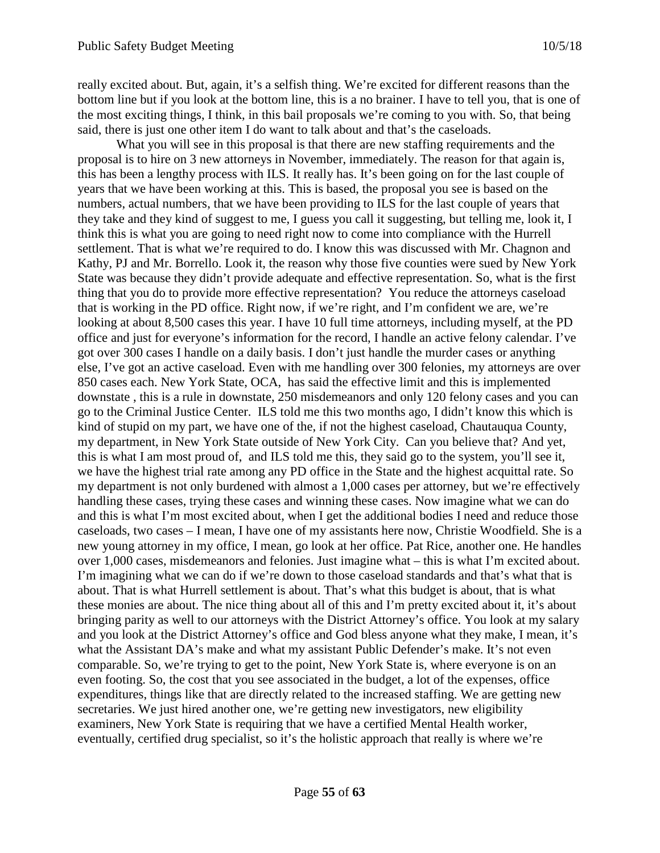really excited about. But, again, it's a selfish thing. We're excited for different reasons than the bottom line but if you look at the bottom line, this is a no brainer. I have to tell you, that is one of the most exciting things, I think, in this bail proposals we're coming to you with. So, that being said, there is just one other item I do want to talk about and that's the caseloads.

What you will see in this proposal is that there are new staffing requirements and the proposal is to hire on 3 new attorneys in November, immediately. The reason for that again is, this has been a lengthy process with ILS. It really has. It's been going on for the last couple of years that we have been working at this. This is based, the proposal you see is based on the numbers, actual numbers, that we have been providing to ILS for the last couple of years that they take and they kind of suggest to me, I guess you call it suggesting, but telling me, look it, I think this is what you are going to need right now to come into compliance with the Hurrell settlement. That is what we're required to do. I know this was discussed with Mr. Chagnon and Kathy, PJ and Mr. Borrello. Look it, the reason why those five counties were sued by New York State was because they didn't provide adequate and effective representation. So, what is the first thing that you do to provide more effective representation? You reduce the attorneys caseload that is working in the PD office. Right now, if we're right, and I'm confident we are, we're looking at about 8,500 cases this year. I have 10 full time attorneys, including myself, at the PD office and just for everyone's information for the record, I handle an active felony calendar. I've got over 300 cases I handle on a daily basis. I don't just handle the murder cases or anything else, I've got an active caseload. Even with me handling over 300 felonies, my attorneys are over 850 cases each. New York State, OCA, has said the effective limit and this is implemented downstate , this is a rule in downstate, 250 misdemeanors and only 120 felony cases and you can go to the Criminal Justice Center. ILS told me this two months ago, I didn't know this which is kind of stupid on my part, we have one of the, if not the highest caseload, Chautauqua County, my department, in New York State outside of New York City. Can you believe that? And yet, this is what I am most proud of, and ILS told me this, they said go to the system, you'll see it, we have the highest trial rate among any PD office in the State and the highest acquittal rate. So my department is not only burdened with almost a 1,000 cases per attorney, but we're effectively handling these cases, trying these cases and winning these cases. Now imagine what we can do and this is what I'm most excited about, when I get the additional bodies I need and reduce those caseloads, two cases – I mean, I have one of my assistants here now, Christie Woodfield. She is a new young attorney in my office, I mean, go look at her office. Pat Rice, another one. He handles over 1,000 cases, misdemeanors and felonies. Just imagine what – this is what I'm excited about. I'm imagining what we can do if we're down to those caseload standards and that's what that is about. That is what Hurrell settlement is about. That's what this budget is about, that is what these monies are about. The nice thing about all of this and I'm pretty excited about it, it's about bringing parity as well to our attorneys with the District Attorney's office. You look at my salary and you look at the District Attorney's office and God bless anyone what they make, I mean, it's what the Assistant DA's make and what my assistant Public Defender's make. It's not even comparable. So, we're trying to get to the point, New York State is, where everyone is on an even footing. So, the cost that you see associated in the budget, a lot of the expenses, office expenditures, things like that are directly related to the increased staffing. We are getting new secretaries. We just hired another one, we're getting new investigators, new eligibility examiners, New York State is requiring that we have a certified Mental Health worker, eventually, certified drug specialist, so it's the holistic approach that really is where we're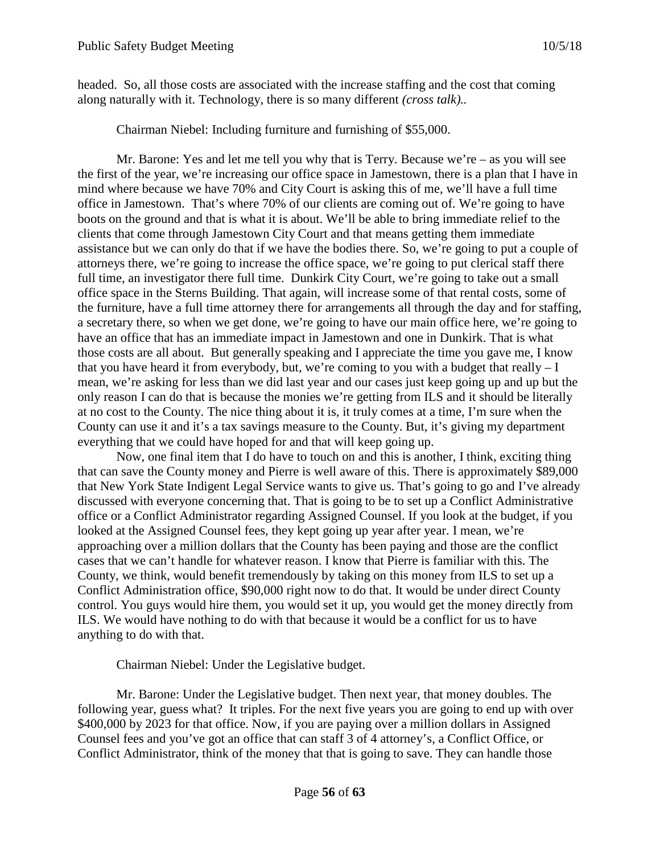headed. So, all those costs are associated with the increase staffing and the cost that coming along naturally with it. Technology, there is so many different *(cross talk)..*

Chairman Niebel: Including furniture and furnishing of \$55,000.

Mr. Barone: Yes and let me tell you why that is Terry. Because we're – as you will see the first of the year, we're increasing our office space in Jamestown, there is a plan that I have in mind where because we have 70% and City Court is asking this of me, we'll have a full time office in Jamestown. That's where 70% of our clients are coming out of. We're going to have boots on the ground and that is what it is about. We'll be able to bring immediate relief to the clients that come through Jamestown City Court and that means getting them immediate assistance but we can only do that if we have the bodies there. So, we're going to put a couple of attorneys there, we're going to increase the office space, we're going to put clerical staff there full time, an investigator there full time. Dunkirk City Court, we're going to take out a small office space in the Sterns Building. That again, will increase some of that rental costs, some of the furniture, have a full time attorney there for arrangements all through the day and for staffing, a secretary there, so when we get done, we're going to have our main office here, we're going to have an office that has an immediate impact in Jamestown and one in Dunkirk. That is what those costs are all about. But generally speaking and I appreciate the time you gave me, I know that you have heard it from everybody, but, we're coming to you with a budget that really  $-I$ mean, we're asking for less than we did last year and our cases just keep going up and up but the only reason I can do that is because the monies we're getting from ILS and it should be literally at no cost to the County. The nice thing about it is, it truly comes at a time, I'm sure when the County can use it and it's a tax savings measure to the County. But, it's giving my department everything that we could have hoped for and that will keep going up.

Now, one final item that I do have to touch on and this is another, I think, exciting thing that can save the County money and Pierre is well aware of this. There is approximately \$89,000 that New York State Indigent Legal Service wants to give us. That's going to go and I've already discussed with everyone concerning that. That is going to be to set up a Conflict Administrative office or a Conflict Administrator regarding Assigned Counsel. If you look at the budget, if you looked at the Assigned Counsel fees, they kept going up year after year. I mean, we're approaching over a million dollars that the County has been paying and those are the conflict cases that we can't handle for whatever reason. I know that Pierre is familiar with this. The County, we think, would benefit tremendously by taking on this money from ILS to set up a Conflict Administration office, \$90,000 right now to do that. It would be under direct County control. You guys would hire them, you would set it up, you would get the money directly from ILS. We would have nothing to do with that because it would be a conflict for us to have anything to do with that.

Chairman Niebel: Under the Legislative budget.

Mr. Barone: Under the Legislative budget. Then next year, that money doubles. The following year, guess what? It triples. For the next five years you are going to end up with over \$400,000 by 2023 for that office. Now, if you are paying over a million dollars in Assigned Counsel fees and you've got an office that can staff 3 of 4 attorney's, a Conflict Office, or Conflict Administrator, think of the money that that is going to save. They can handle those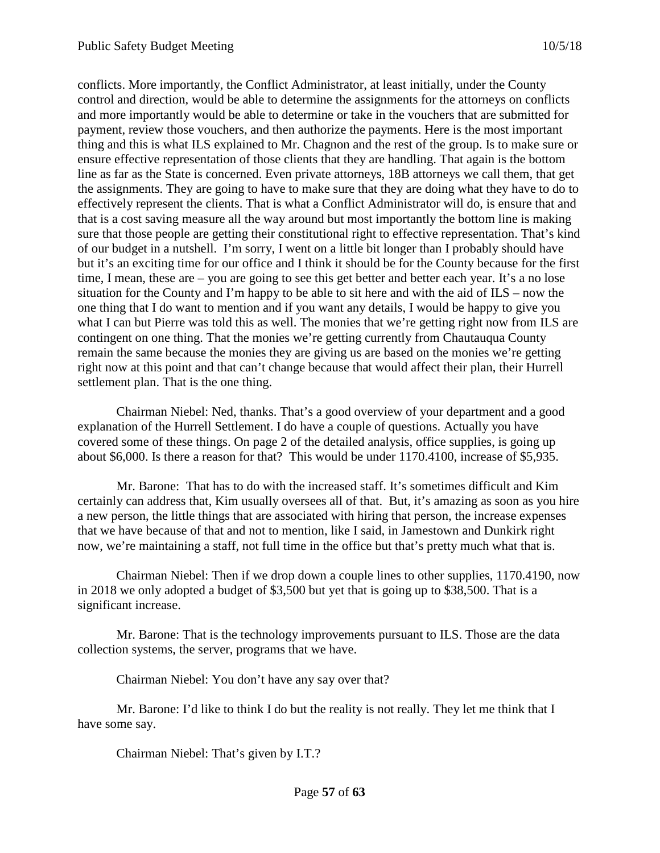conflicts. More importantly, the Conflict Administrator, at least initially, under the County control and direction, would be able to determine the assignments for the attorneys on conflicts and more importantly would be able to determine or take in the vouchers that are submitted for payment, review those vouchers, and then authorize the payments. Here is the most important thing and this is what ILS explained to Mr. Chagnon and the rest of the group. Is to make sure or ensure effective representation of those clients that they are handling. That again is the bottom line as far as the State is concerned. Even private attorneys, 18B attorneys we call them, that get the assignments. They are going to have to make sure that they are doing what they have to do to effectively represent the clients. That is what a Conflict Administrator will do, is ensure that and that is a cost saving measure all the way around but most importantly the bottom line is making sure that those people are getting their constitutional right to effective representation. That's kind of our budget in a nutshell. I'm sorry, I went on a little bit longer than I probably should have but it's an exciting time for our office and I think it should be for the County because for the first time, I mean, these are – you are going to see this get better and better each year. It's a no lose situation for the County and I'm happy to be able to sit here and with the aid of ILS – now the one thing that I do want to mention and if you want any details, I would be happy to give you what I can but Pierre was told this as well. The monies that we're getting right now from ILS are contingent on one thing. That the monies we're getting currently from Chautauqua County remain the same because the monies they are giving us are based on the monies we're getting right now at this point and that can't change because that would affect their plan, their Hurrell settlement plan. That is the one thing.

Chairman Niebel: Ned, thanks. That's a good overview of your department and a good explanation of the Hurrell Settlement. I do have a couple of questions. Actually you have covered some of these things. On page 2 of the detailed analysis, office supplies, is going up about \$6,000. Is there a reason for that? This would be under 1170.4100, increase of \$5,935.

Mr. Barone: That has to do with the increased staff. It's sometimes difficult and Kim certainly can address that, Kim usually oversees all of that. But, it's amazing as soon as you hire a new person, the little things that are associated with hiring that person, the increase expenses that we have because of that and not to mention, like I said, in Jamestown and Dunkirk right now, we're maintaining a staff, not full time in the office but that's pretty much what that is.

Chairman Niebel: Then if we drop down a couple lines to other supplies, 1170.4190, now in 2018 we only adopted a budget of \$3,500 but yet that is going up to \$38,500. That is a significant increase.

Mr. Barone: That is the technology improvements pursuant to ILS. Those are the data collection systems, the server, programs that we have.

Chairman Niebel: You don't have any say over that?

Mr. Barone: I'd like to think I do but the reality is not really. They let me think that I have some say.

Chairman Niebel: That's given by I.T.?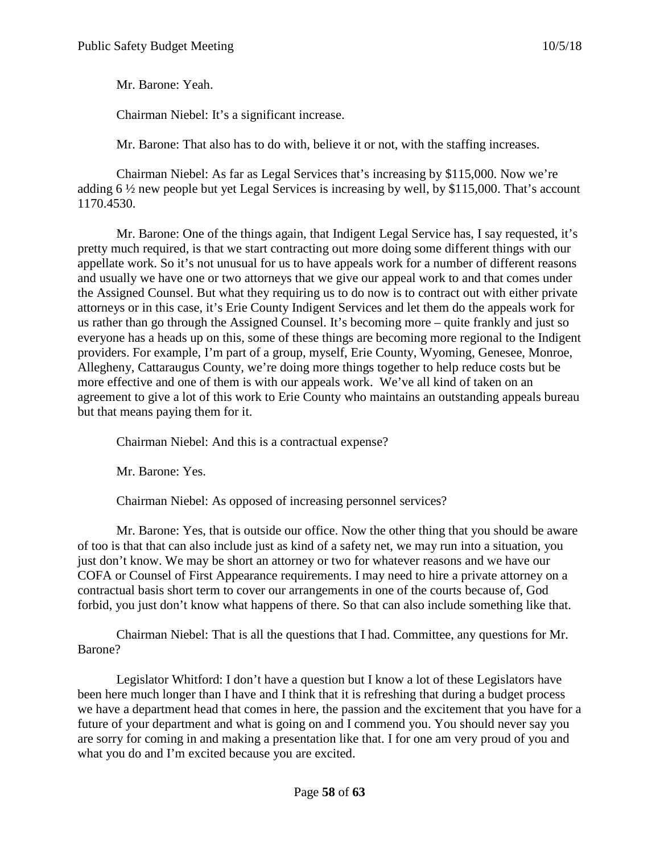Mr. Barone: Yeah.

Chairman Niebel: It's a significant increase.

Mr. Barone: That also has to do with, believe it or not, with the staffing increases.

Chairman Niebel: As far as Legal Services that's increasing by \$115,000. Now we're adding 6 ½ new people but yet Legal Services is increasing by well, by \$115,000. That's account 1170.4530.

Mr. Barone: One of the things again, that Indigent Legal Service has, I say requested, it's pretty much required, is that we start contracting out more doing some different things with our appellate work. So it's not unusual for us to have appeals work for a number of different reasons and usually we have one or two attorneys that we give our appeal work to and that comes under the Assigned Counsel. But what they requiring us to do now is to contract out with either private attorneys or in this case, it's Erie County Indigent Services and let them do the appeals work for us rather than go through the Assigned Counsel. It's becoming more – quite frankly and just so everyone has a heads up on this, some of these things are becoming more regional to the Indigent providers. For example, I'm part of a group, myself, Erie County, Wyoming, Genesee, Monroe, Allegheny, Cattaraugus County, we're doing more things together to help reduce costs but be more effective and one of them is with our appeals work. We've all kind of taken on an agreement to give a lot of this work to Erie County who maintains an outstanding appeals bureau but that means paying them for it.

Chairman Niebel: And this is a contractual expense?

Mr. Barone: Yes.

Chairman Niebel: As opposed of increasing personnel services?

Mr. Barone: Yes, that is outside our office. Now the other thing that you should be aware of too is that that can also include just as kind of a safety net, we may run into a situation, you just don't know. We may be short an attorney or two for whatever reasons and we have our COFA or Counsel of First Appearance requirements. I may need to hire a private attorney on a contractual basis short term to cover our arrangements in one of the courts because of, God forbid, you just don't know what happens of there. So that can also include something like that.

Chairman Niebel: That is all the questions that I had. Committee, any questions for Mr. Barone?

Legislator Whitford: I don't have a question but I know a lot of these Legislators have been here much longer than I have and I think that it is refreshing that during a budget process we have a department head that comes in here, the passion and the excitement that you have for a future of your department and what is going on and I commend you. You should never say you are sorry for coming in and making a presentation like that. I for one am very proud of you and what you do and I'm excited because you are excited.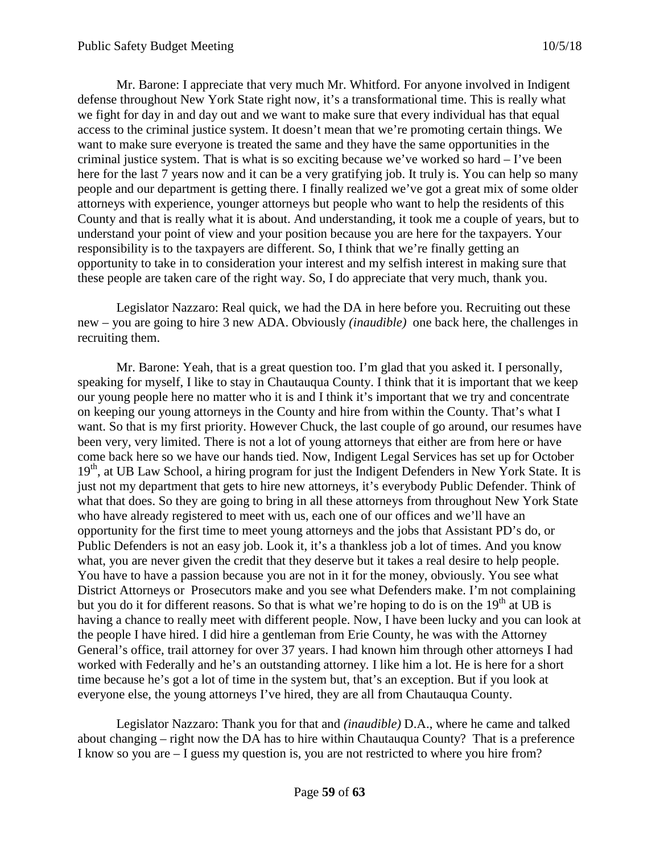Mr. Barone: I appreciate that very much Mr. Whitford. For anyone involved in Indigent defense throughout New York State right now, it's a transformational time. This is really what we fight for day in and day out and we want to make sure that every individual has that equal access to the criminal justice system. It doesn't mean that we're promoting certain things. We want to make sure everyone is treated the same and they have the same opportunities in the criminal justice system. That is what is so exciting because we've worked so hard – I've been here for the last 7 years now and it can be a very gratifying job. It truly is. You can help so many people and our department is getting there. I finally realized we've got a great mix of some older attorneys with experience, younger attorneys but people who want to help the residents of this County and that is really what it is about. And understanding, it took me a couple of years, but to understand your point of view and your position because you are here for the taxpayers. Your responsibility is to the taxpayers are different. So, I think that we're finally getting an opportunity to take in to consideration your interest and my selfish interest in making sure that these people are taken care of the right way. So, I do appreciate that very much, thank you.

Legislator Nazzaro: Real quick, we had the DA in here before you. Recruiting out these new – you are going to hire 3 new ADA. Obviously *(inaudible)* one back here, the challenges in recruiting them.

Mr. Barone: Yeah, that is a great question too. I'm glad that you asked it. I personally, speaking for myself, I like to stay in Chautauqua County. I think that it is important that we keep our young people here no matter who it is and I think it's important that we try and concentrate on keeping our young attorneys in the County and hire from within the County. That's what I want. So that is my first priority. However Chuck, the last couple of go around, our resumes have been very, very limited. There is not a lot of young attorneys that either are from here or have come back here so we have our hands tied. Now, Indigent Legal Services has set up for October 19<sup>th</sup>, at UB Law School, a hiring program for just the Indigent Defenders in New York State. It is just not my department that gets to hire new attorneys, it's everybody Public Defender. Think of what that does. So they are going to bring in all these attorneys from throughout New York State who have already registered to meet with us, each one of our offices and we'll have an opportunity for the first time to meet young attorneys and the jobs that Assistant PD's do, or Public Defenders is not an easy job. Look it, it's a thankless job a lot of times. And you know what, you are never given the credit that they deserve but it takes a real desire to help people. You have to have a passion because you are not in it for the money, obviously. You see what District Attorneys or Prosecutors make and you see what Defenders make. I'm not complaining but you do it for different reasons. So that is what we're hoping to do is on the  $19<sup>th</sup>$  at UB is having a chance to really meet with different people. Now, I have been lucky and you can look at the people I have hired. I did hire a gentleman from Erie County, he was with the Attorney General's office, trail attorney for over 37 years. I had known him through other attorneys I had worked with Federally and he's an outstanding attorney. I like him a lot. He is here for a short time because he's got a lot of time in the system but, that's an exception. But if you look at everyone else, the young attorneys I've hired, they are all from Chautauqua County.

Legislator Nazzaro: Thank you for that and *(inaudible)* D.A., where he came and talked about changing – right now the DA has to hire within Chautauqua County? That is a preference I know so you are – I guess my question is, you are not restricted to where you hire from?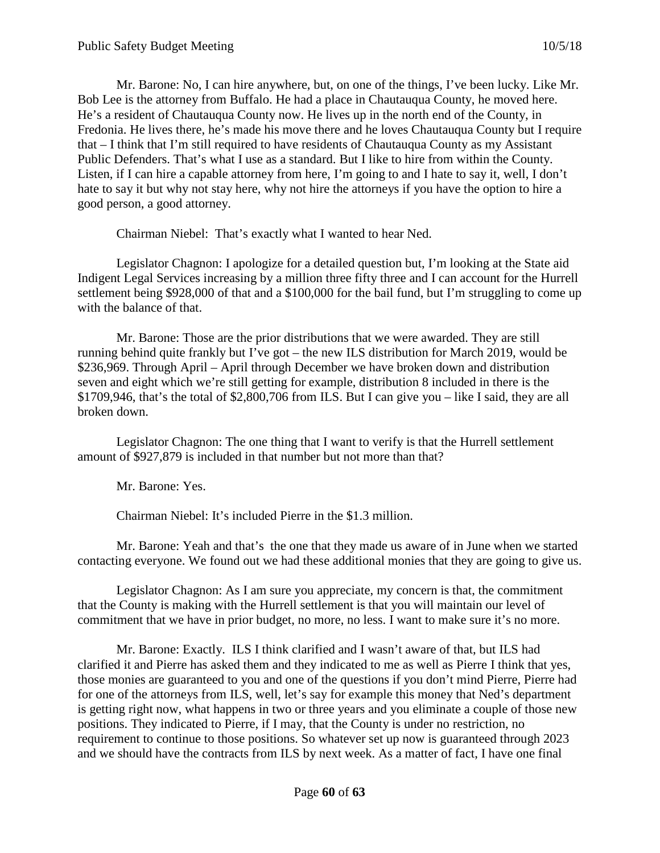Mr. Barone: No, I can hire anywhere, but, on one of the things, I've been lucky. Like Mr. Bob Lee is the attorney from Buffalo. He had a place in Chautauqua County, he moved here. He's a resident of Chautauqua County now. He lives up in the north end of the County, in Fredonia. He lives there, he's made his move there and he loves Chautauqua County but I require that – I think that I'm still required to have residents of Chautauqua County as my Assistant Public Defenders. That's what I use as a standard. But I like to hire from within the County. Listen, if I can hire a capable attorney from here, I'm going to and I hate to say it, well, I don't hate to say it but why not stay here, why not hire the attorneys if you have the option to hire a good person, a good attorney.

Chairman Niebel: That's exactly what I wanted to hear Ned.

Legislator Chagnon: I apologize for a detailed question but, I'm looking at the State aid Indigent Legal Services increasing by a million three fifty three and I can account for the Hurrell settlement being \$928,000 of that and a \$100,000 for the bail fund, but I'm struggling to come up with the balance of that.

Mr. Barone: Those are the prior distributions that we were awarded. They are still running behind quite frankly but I've got – the new ILS distribution for March 2019, would be \$236,969. Through April – April through December we have broken down and distribution seven and eight which we're still getting for example, distribution 8 included in there is the \$1709,946, that's the total of \$2,800,706 from ILS. But I can give you – like I said, they are all broken down.

Legislator Chagnon: The one thing that I want to verify is that the Hurrell settlement amount of \$927,879 is included in that number but not more than that?

Mr. Barone: Yes.

Chairman Niebel: It's included Pierre in the \$1.3 million.

Mr. Barone: Yeah and that's the one that they made us aware of in June when we started contacting everyone. We found out we had these additional monies that they are going to give us.

Legislator Chagnon: As I am sure you appreciate, my concern is that, the commitment that the County is making with the Hurrell settlement is that you will maintain our level of commitment that we have in prior budget, no more, no less. I want to make sure it's no more.

Mr. Barone: Exactly. ILS I think clarified and I wasn't aware of that, but ILS had clarified it and Pierre has asked them and they indicated to me as well as Pierre I think that yes, those monies are guaranteed to you and one of the questions if you don't mind Pierre, Pierre had for one of the attorneys from ILS, well, let's say for example this money that Ned's department is getting right now, what happens in two or three years and you eliminate a couple of those new positions. They indicated to Pierre, if I may, that the County is under no restriction, no requirement to continue to those positions. So whatever set up now is guaranteed through 2023 and we should have the contracts from ILS by next week. As a matter of fact, I have one final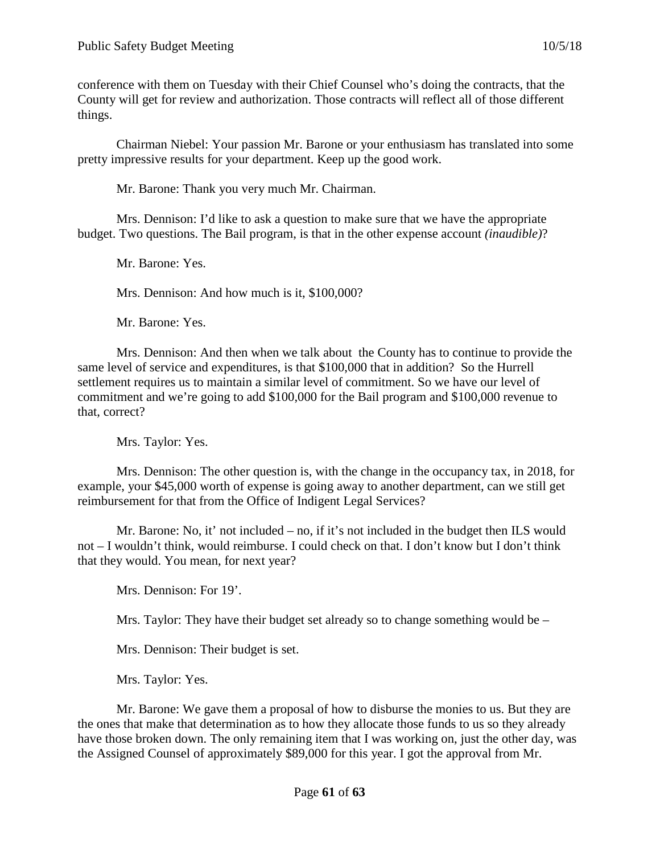conference with them on Tuesday with their Chief Counsel who's doing the contracts, that the County will get for review and authorization. Those contracts will reflect all of those different things.

Chairman Niebel: Your passion Mr. Barone or your enthusiasm has translated into some pretty impressive results for your department. Keep up the good work.

Mr. Barone: Thank you very much Mr. Chairman.

Mrs. Dennison: I'd like to ask a question to make sure that we have the appropriate budget. Two questions. The Bail program, is that in the other expense account *(inaudible)*?

Mr. Barone: Yes.

Mrs. Dennison: And how much is it, \$100,000?

Mr. Barone: Yes.

Mrs. Dennison: And then when we talk about the County has to continue to provide the same level of service and expenditures, is that \$100,000 that in addition? So the Hurrell settlement requires us to maintain a similar level of commitment. So we have our level of commitment and we're going to add \$100,000 for the Bail program and \$100,000 revenue to that, correct?

Mrs. Taylor: Yes.

Mrs. Dennison: The other question is, with the change in the occupancy tax, in 2018, for example, your \$45,000 worth of expense is going away to another department, can we still get reimbursement for that from the Office of Indigent Legal Services?

Mr. Barone: No, it' not included – no, if it's not included in the budget then ILS would not – I wouldn't think, would reimburse. I could check on that. I don't know but I don't think that they would. You mean, for next year?

Mrs. Dennison: For 19'.

Mrs. Taylor: They have their budget set already so to change something would be –

Mrs. Dennison: Their budget is set.

Mrs. Taylor: Yes.

Mr. Barone: We gave them a proposal of how to disburse the monies to us. But they are the ones that make that determination as to how they allocate those funds to us so they already have those broken down. The only remaining item that I was working on, just the other day, was the Assigned Counsel of approximately \$89,000 for this year. I got the approval from Mr.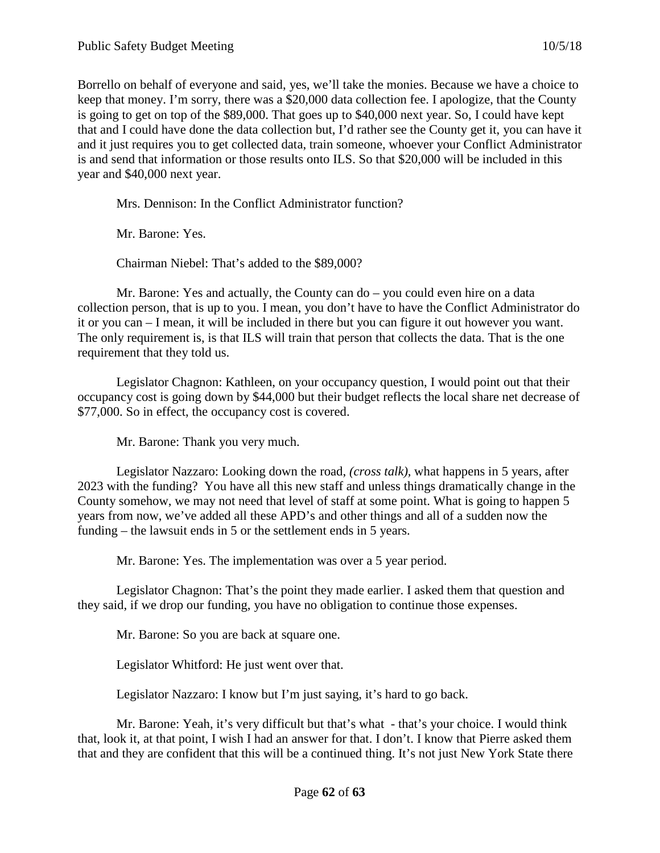Borrello on behalf of everyone and said, yes, we'll take the monies. Because we have a choice to keep that money. I'm sorry, there was a \$20,000 data collection fee. I apologize, that the County is going to get on top of the \$89,000. That goes up to \$40,000 next year. So, I could have kept that and I could have done the data collection but, I'd rather see the County get it, you can have it and it just requires you to get collected data, train someone, whoever your Conflict Administrator is and send that information or those results onto ILS. So that \$20,000 will be included in this year and \$40,000 next year.

Mrs. Dennison: In the Conflict Administrator function?

Mr. Barone: Yes.

Chairman Niebel: That's added to the \$89,000?

Mr. Barone: Yes and actually, the County can do – you could even hire on a data collection person, that is up to you. I mean, you don't have to have the Conflict Administrator do it or you can – I mean, it will be included in there but you can figure it out however you want. The only requirement is, is that ILS will train that person that collects the data. That is the one requirement that they told us.

Legislator Chagnon: Kathleen, on your occupancy question, I would point out that their occupancy cost is going down by \$44,000 but their budget reflects the local share net decrease of \$77,000. So in effect, the occupancy cost is covered.

Mr. Barone: Thank you very much.

Legislator Nazzaro: Looking down the road, *(cross talk),* what happens in 5 years, after 2023 with the funding? You have all this new staff and unless things dramatically change in the County somehow, we may not need that level of staff at some point. What is going to happen 5 years from now, we've added all these APD's and other things and all of a sudden now the funding – the lawsuit ends in 5 or the settlement ends in 5 years.

Mr. Barone: Yes. The implementation was over a 5 year period.

Legislator Chagnon: That's the point they made earlier. I asked them that question and they said, if we drop our funding, you have no obligation to continue those expenses.

Mr. Barone: So you are back at square one.

Legislator Whitford: He just went over that.

Legislator Nazzaro: I know but I'm just saying, it's hard to go back.

Mr. Barone: Yeah, it's very difficult but that's what - that's your choice. I would think that, look it, at that point, I wish I had an answer for that. I don't. I know that Pierre asked them that and they are confident that this will be a continued thing. It's not just New York State there